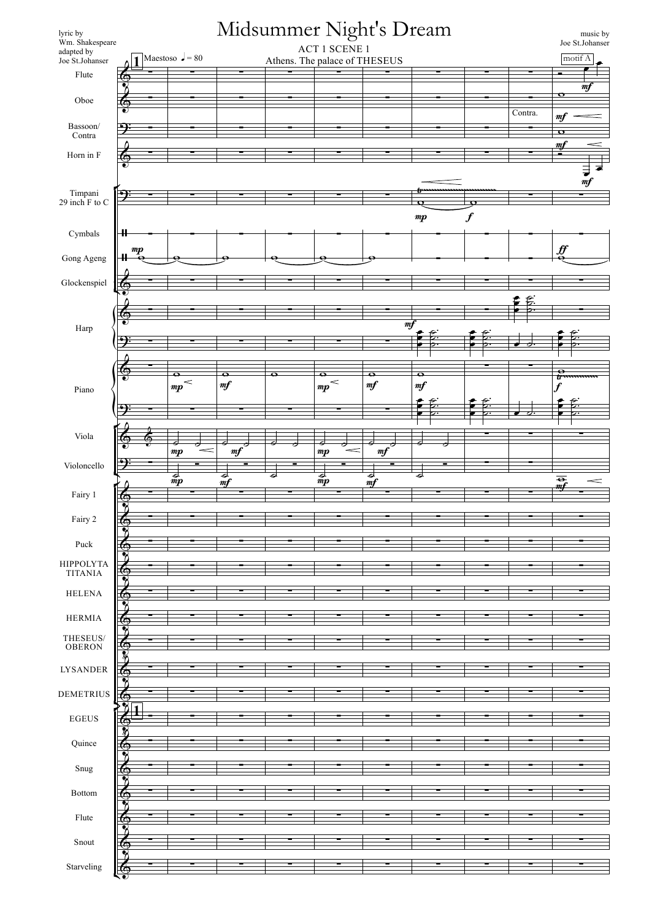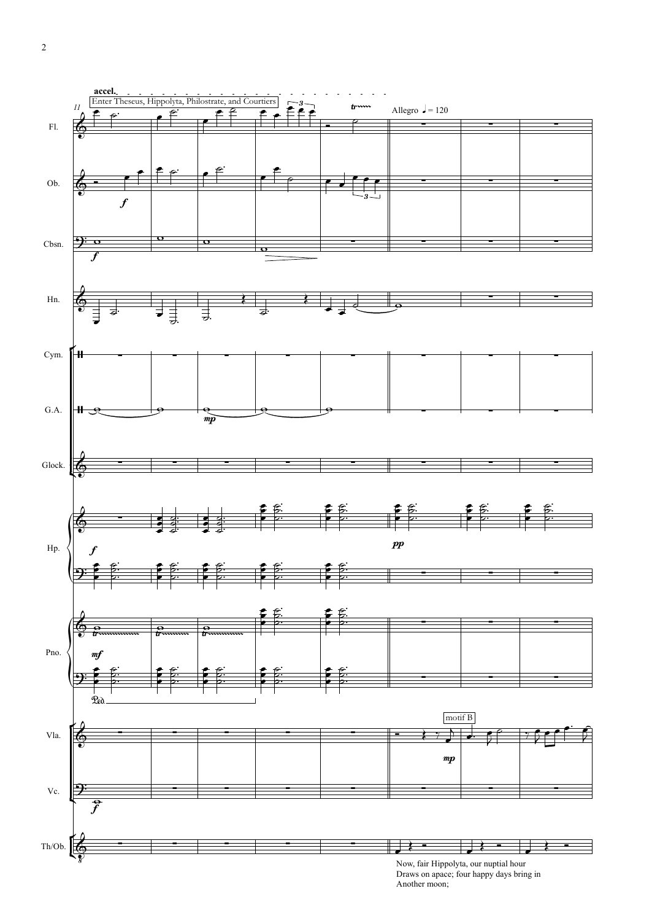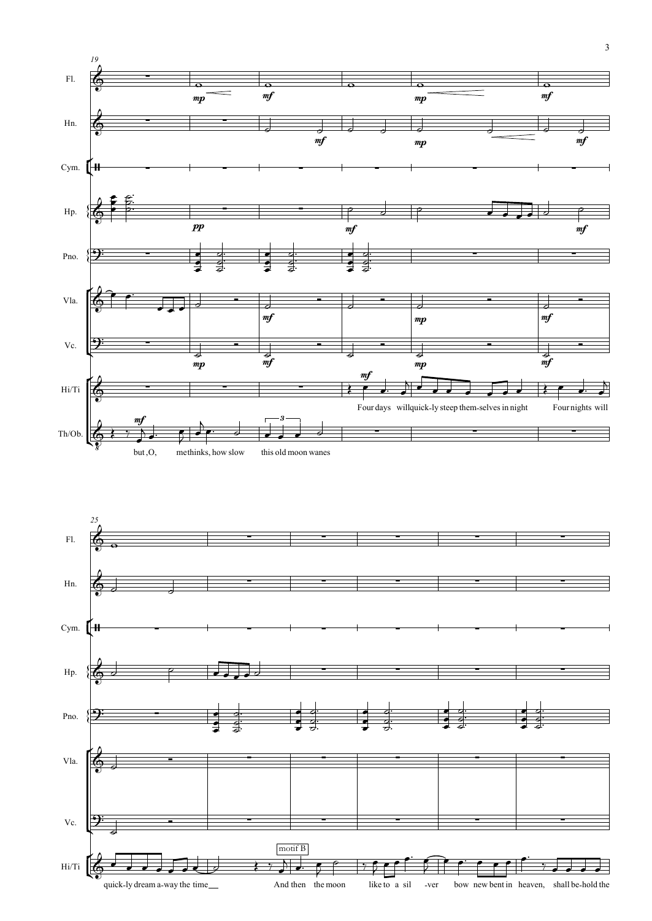

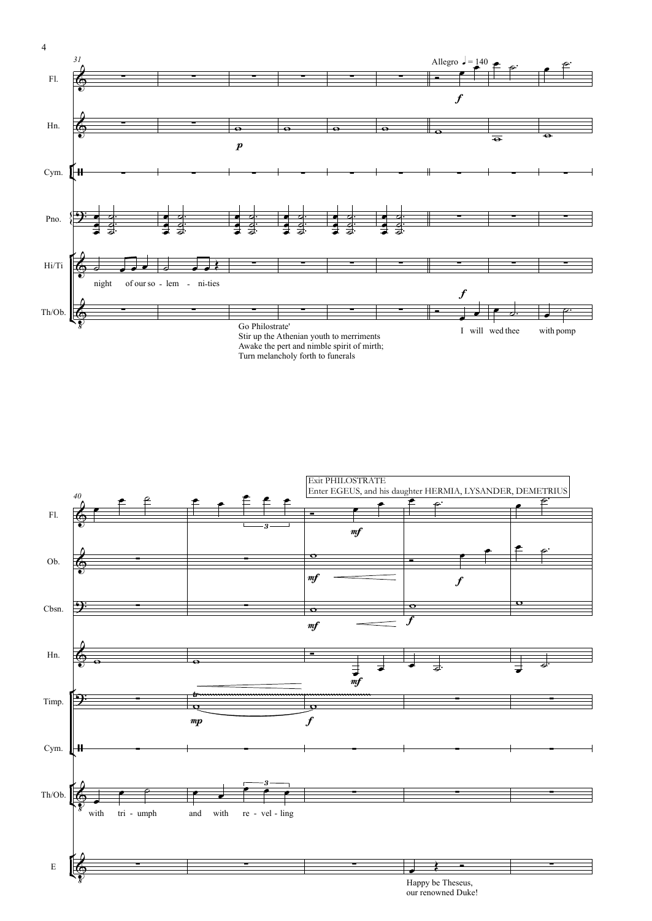

Awake the pert and nimble spirit of mirth; Turn melancholy forth to funerals



our renowned Duke!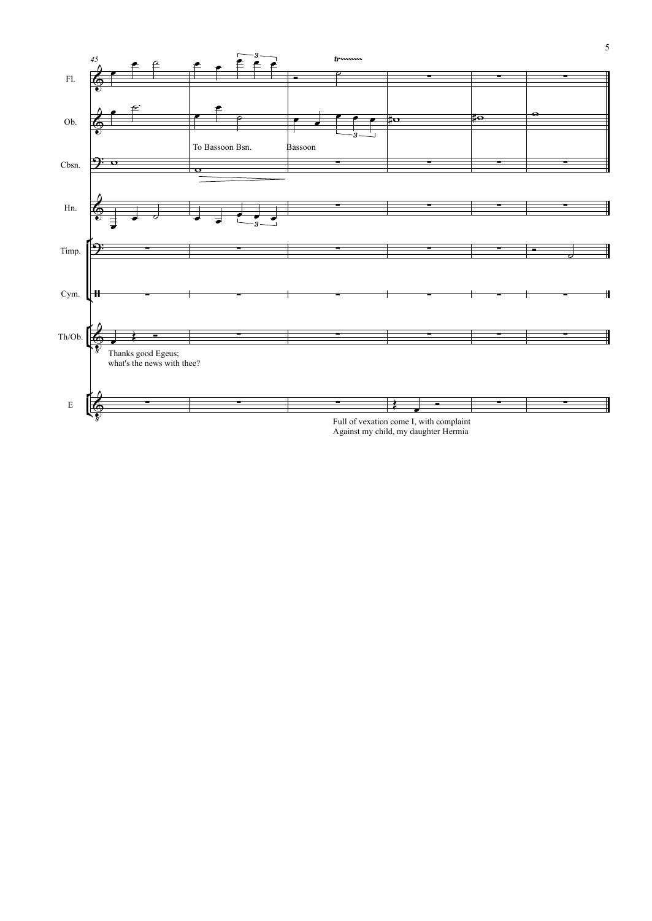

Against my child, my daughter Hermia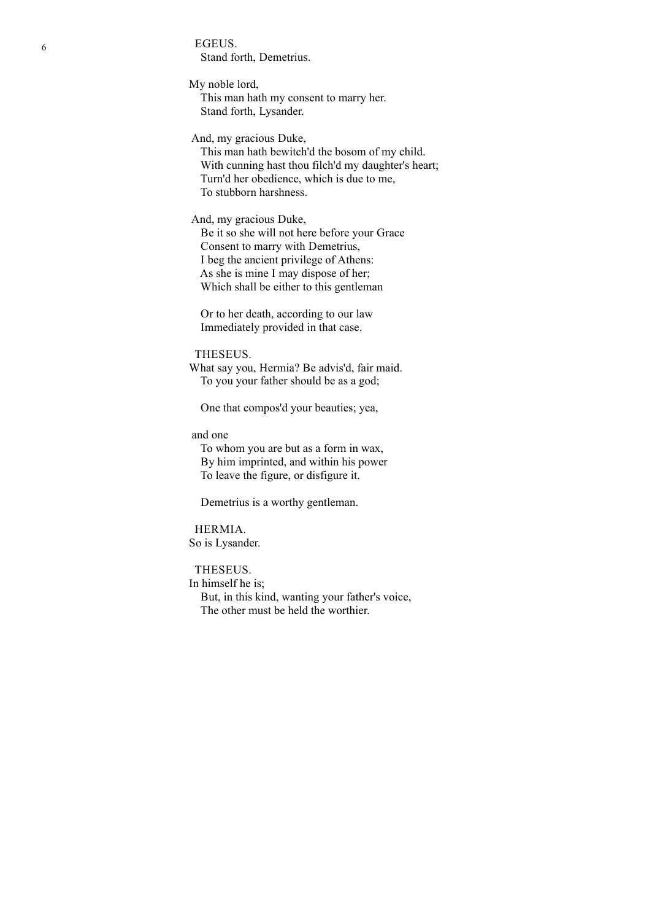<sup>6</sup> EGEUS. Stand forth, Demetrius.

My noble lord,

This man hath my consent to marry her. Stand forth, Lysander.

And, my gracious Duke,

This man hath bewitch'd the bosom of my child. With cunning hast thou filch'd my daughter's heart; Turn'd her obedience, which is due to me, To stubborn harshness.

And, my gracious Duke,

Be it so she will not here before your Grace Consent to marry with Demetrius, I beg the ancient privilege of Athens: As she is mine I may dispose of her; Which shall be either to this gentleman

Or to her death, according to our law Immediately provided in that case.

## THESEUS.

What say you, Hermia? Be advis'd, fair maid. To you your father should be as a god;

One that compos'd your beauties; yea,

## and one

To whom you are but as a form in wax, By him imprinted, and within his power To leave the figure, or disfigure it.

Demetrius is a worthy gentleman.

# HERMIA.

So is Lysander.

# THESEUS.

In himself he is;

But, in this kind, wanting your father's voice, The other must be held the worthier.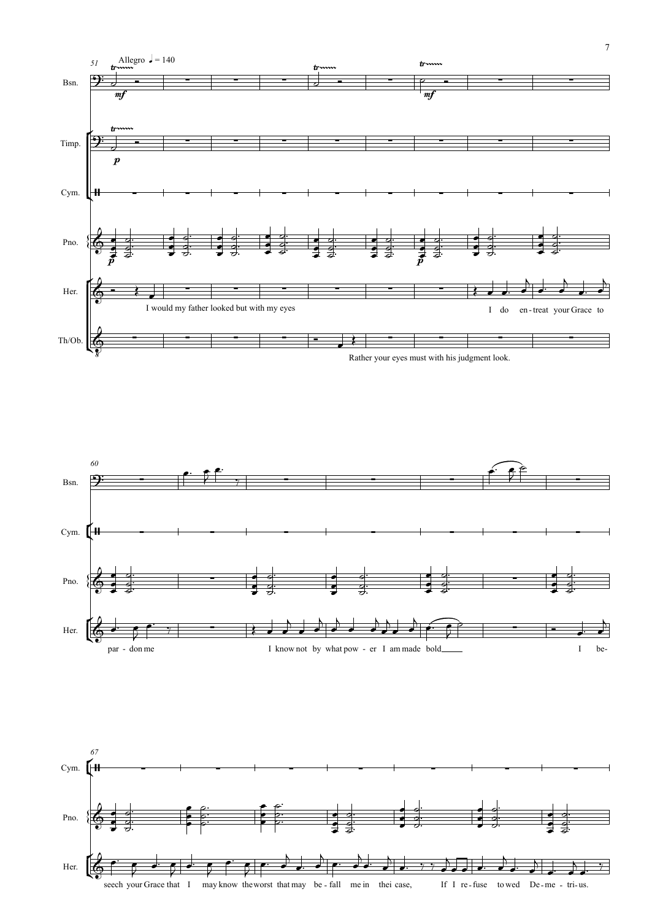



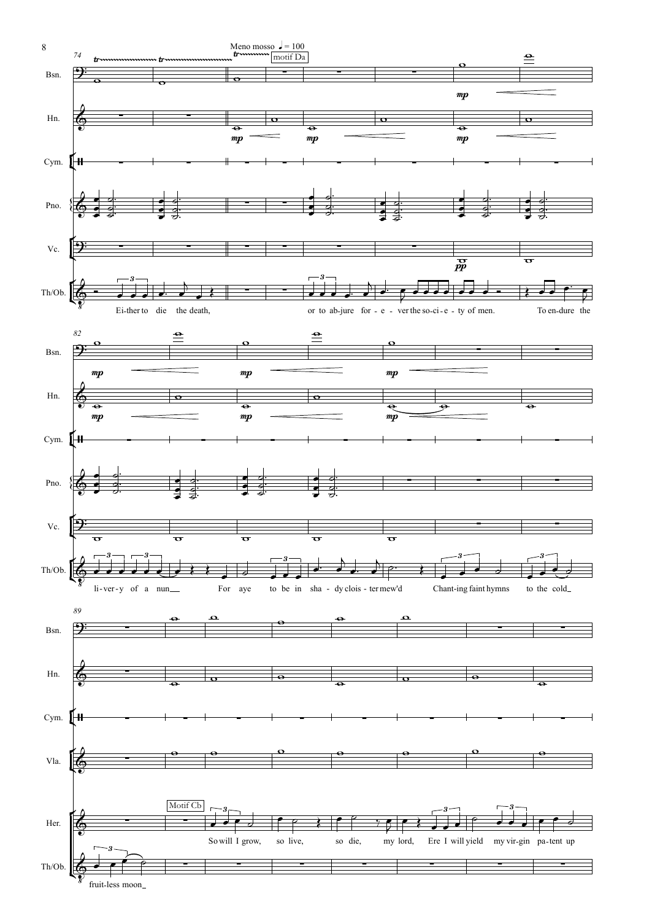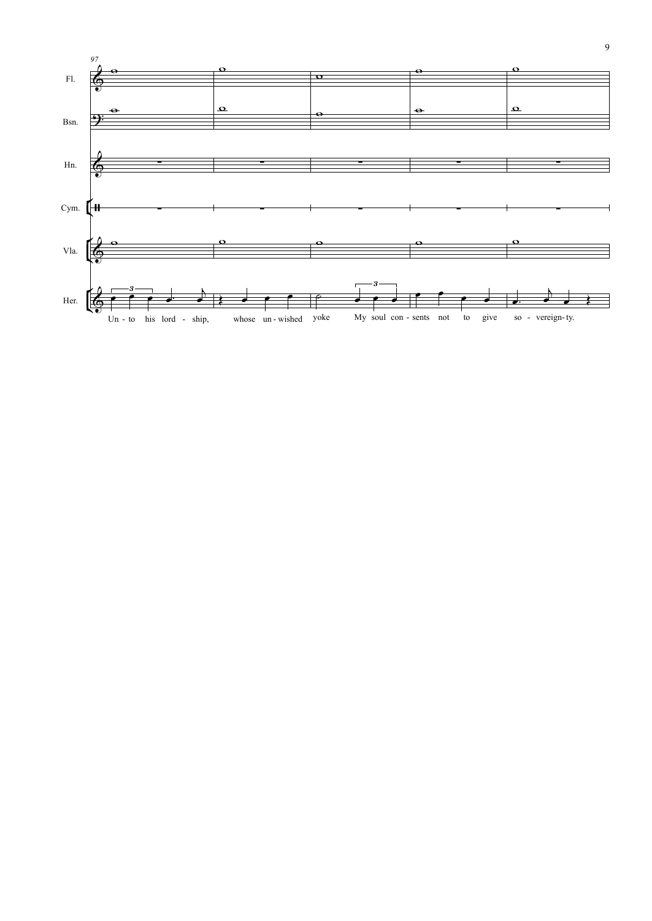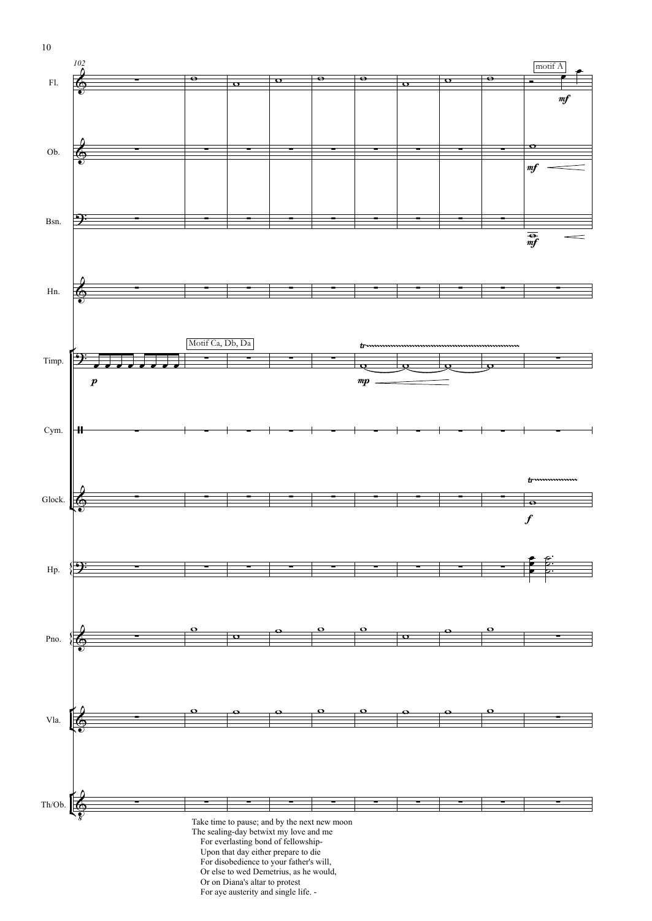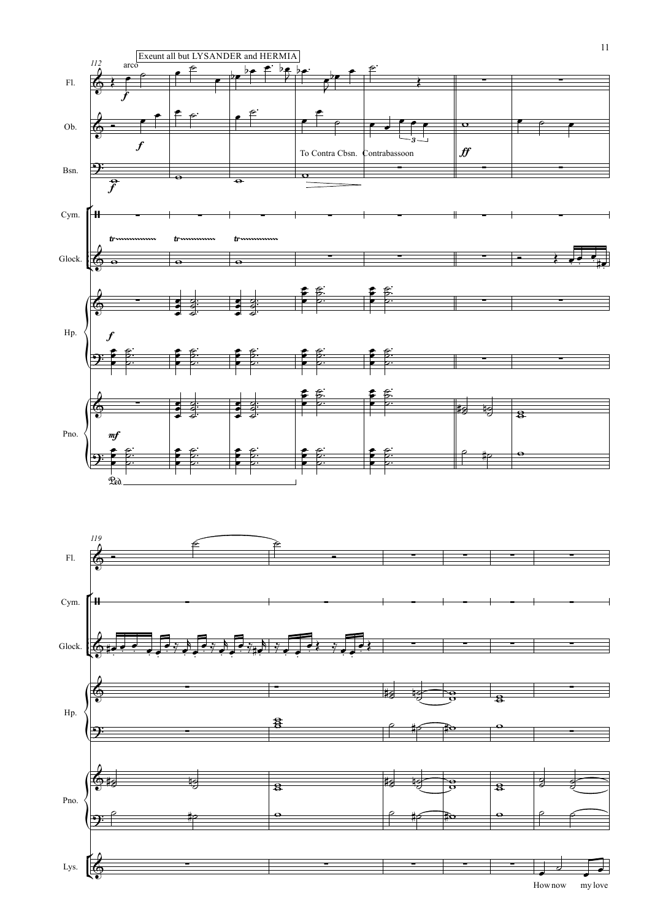

How now my love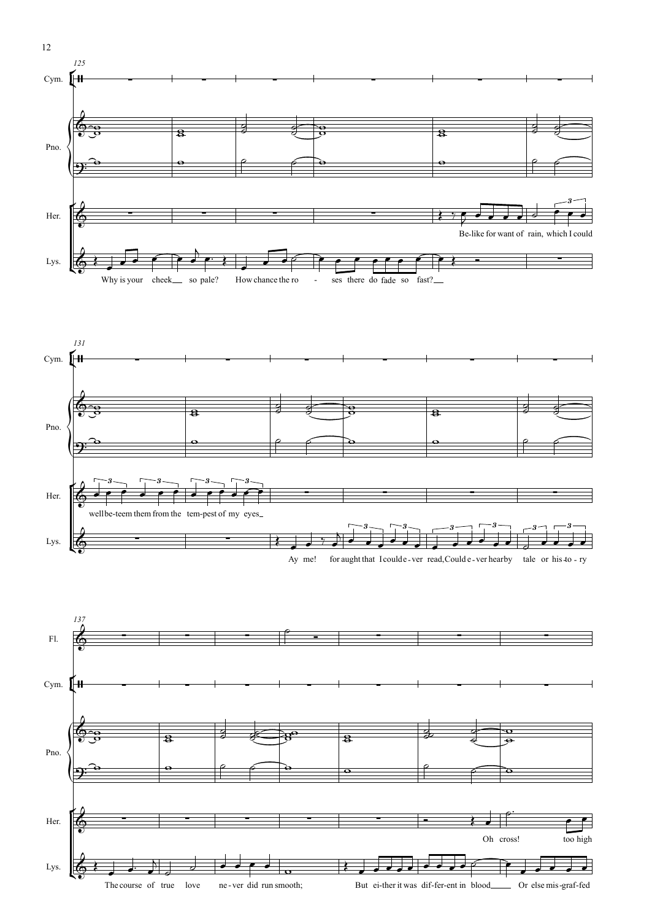







12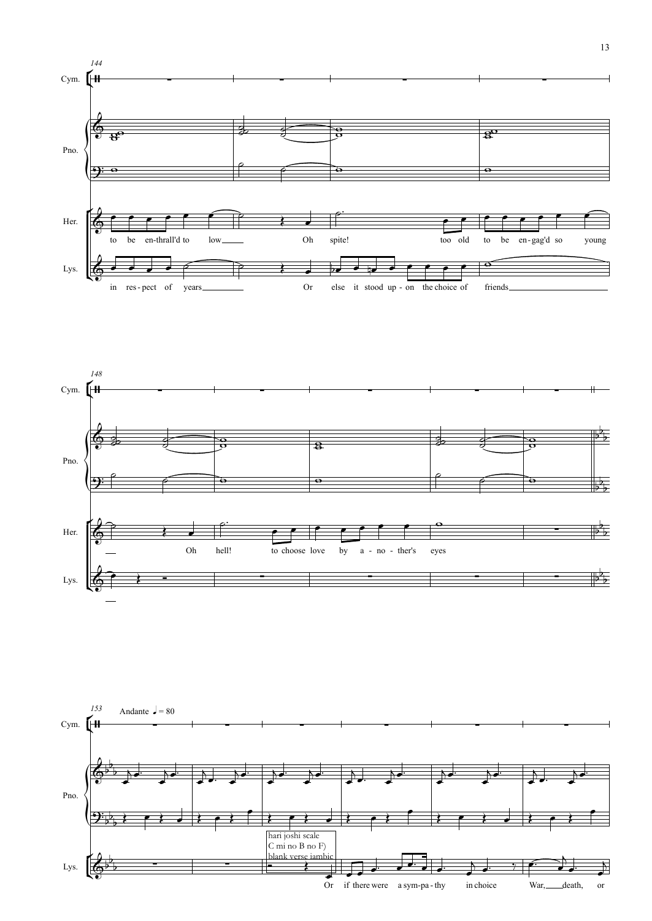



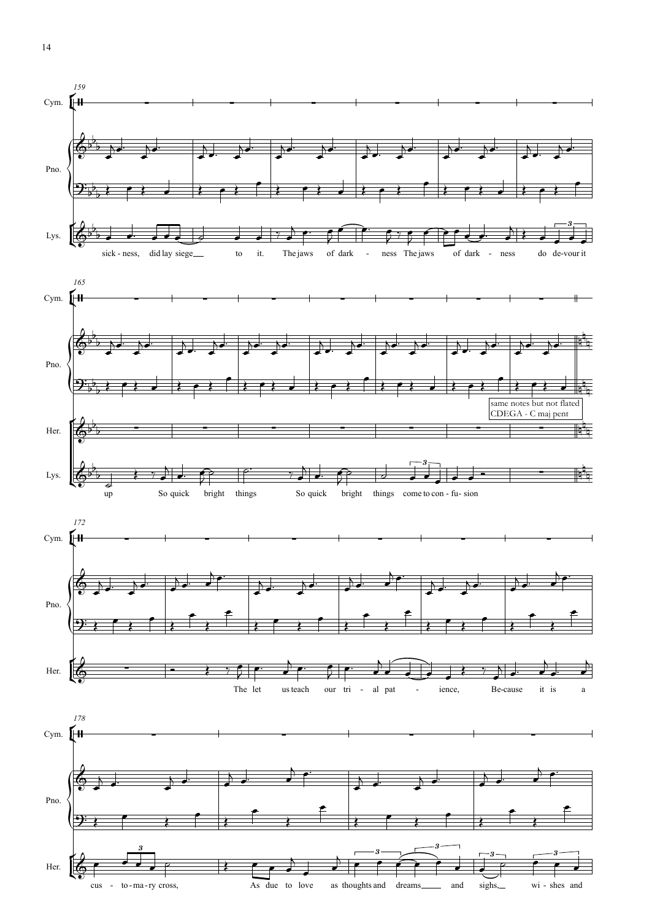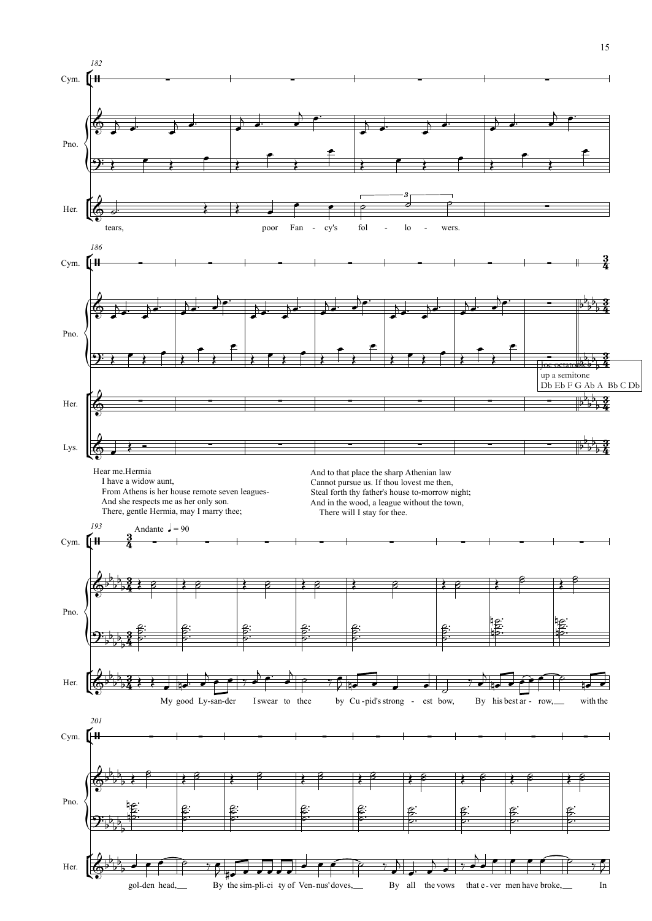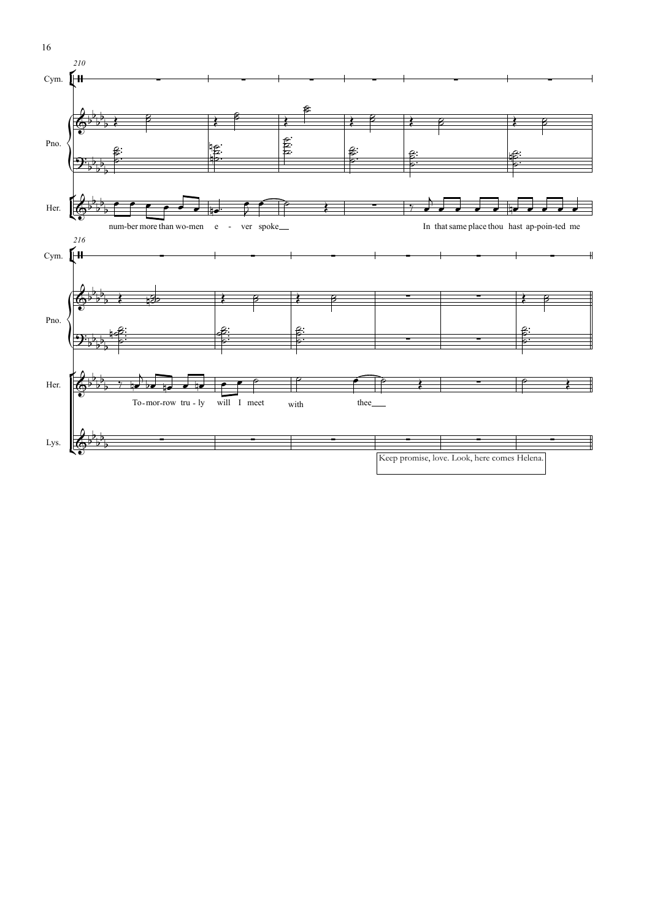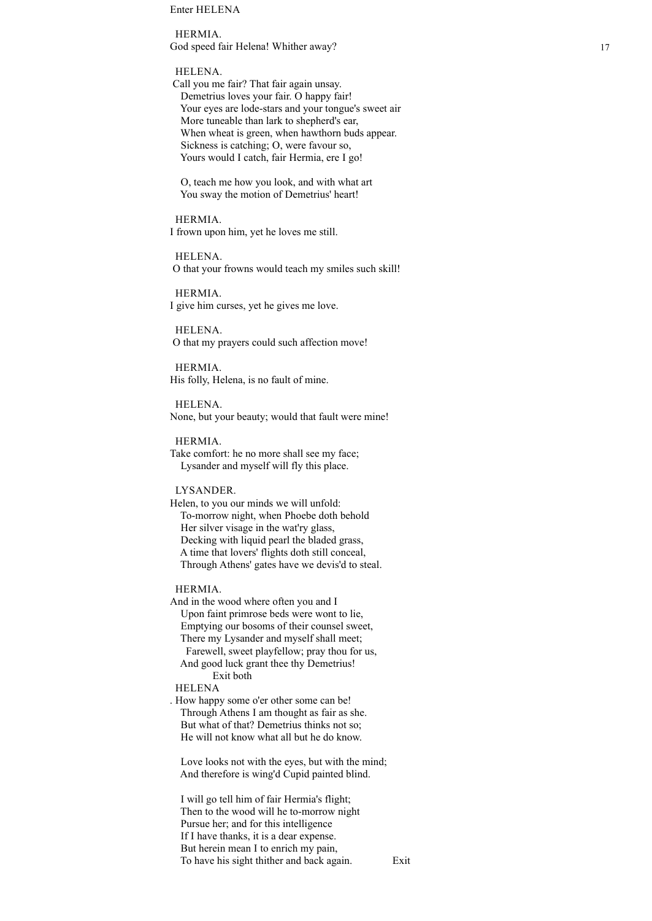Enter HELENA<br>17 HERMIA.<br>God speed fair Helena! Whither away?

## HELENA.

Call you me fair? That fair again unsay. Demetrius loves your fair. O happy fair! Your eyes are lode-stars and your tongue's sweet air More tuneable than lark to shepherd's ear, When wheat is green, when hawthorn buds appear. Sickness is catching; O, were favour so, Yours would I catch, fair Hermia, ere I go!

O, teach me how you look, and with what art You sway the motion of Demetrius' heart!

## HERMIA.

I frown upon him, yet he loves me still.

#### HELENA.

O that your frowns would teach my smiles such skill!

HERMIA. I give him curses, yet he gives me love.

HELENA. O that my prayers could such affection move!

HERMIA. His folly, Helena, is no fault of mine.

HELENA.

None, but your beauty; would that fault were mine!

## HERMIA.

Take comfort: he no more shall see my face; Lysander and myself will fly this place.

#### LYSANDER.

Helen, to you our minds we will unfold: To-morrow night, when Phoebe doth behold Her silver visage in the wat'ry glass, Decking with liquid pearl the bladed grass, A time that lovers' flights doth still conceal, Through Athens' gates have we devis'd to steal.

## HERMIA.

And in the wood where often you and I Upon faint primrose beds were wont to lie, Emptying our bosoms of their counsel sweet, There my Lysander and myself shall meet; Farewell, sweet playfellow; pray thou for us, And good luck grant thee thy Demetrius! Exit both

## HELENA

. How happy some o'er other some can be! Through Athens I am thought as fair as she. But what of that? Demetrius thinks not so; He will not know what all but he do know.

Love looks not with the eyes, but with the mind; And therefore is wing'd Cupid painted blind.

I will go tell him of fair Hermia's flight; Then to the wood will he to-morrow night Pursue her; and for this intelligence If I have thanks, it is a dear expense. But herein mean I to enrich my pain, To have his sight thither and back again. Exit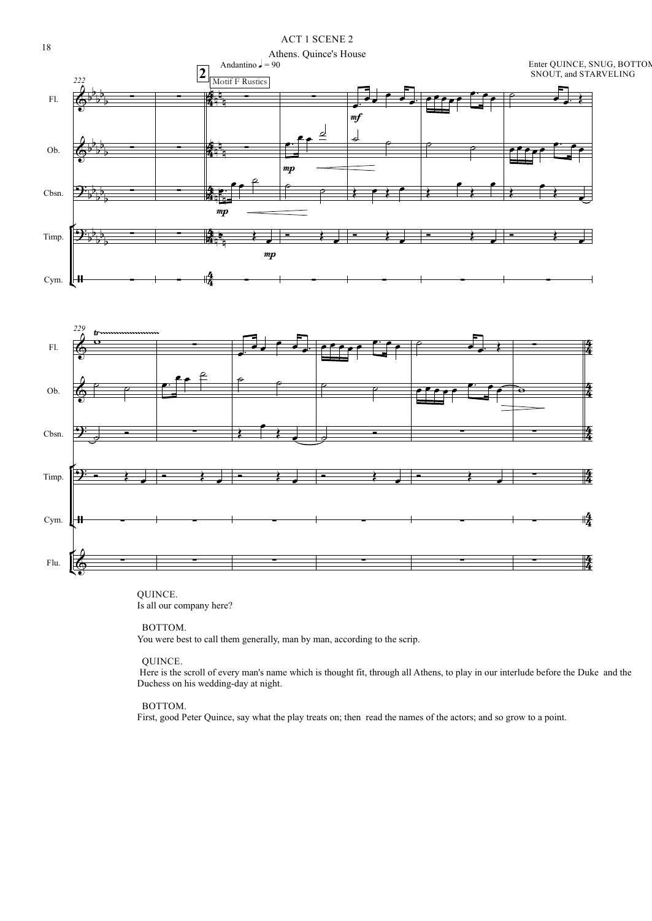

QUINCE. Is all our company here?

#### BOTTOM.

You were best to call them generally, man by man, according to the scrip.

### QUINCE.

Here is the scroll of every man's name which is thought fit, through all Athens, to play in our interlude before the Duke and the Duchess on his wedding-day at night.

### BOTTOM.

First, good Peter Quince, say what the play treats on; then read the names of the actors; and so grow to a point.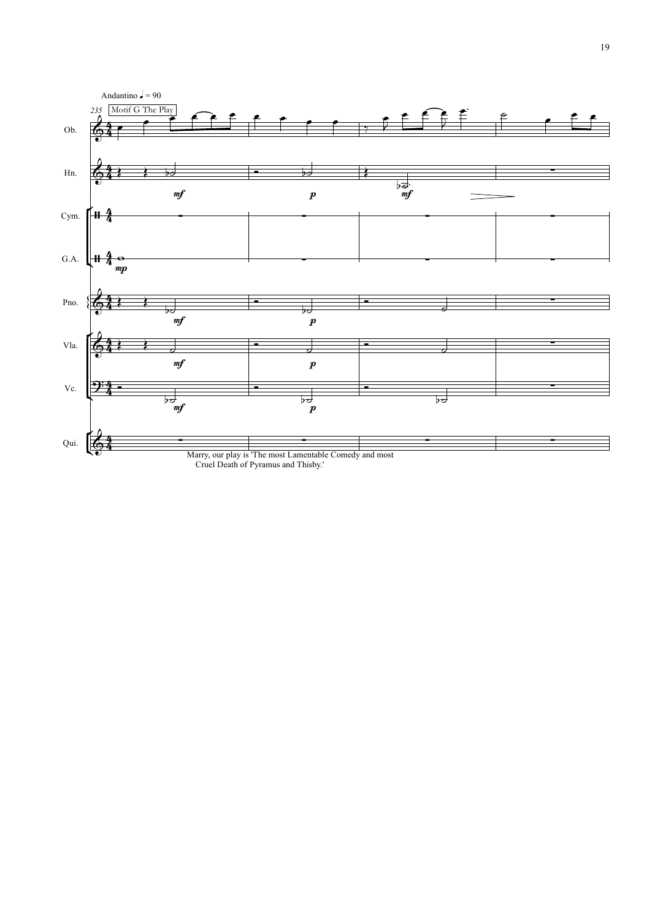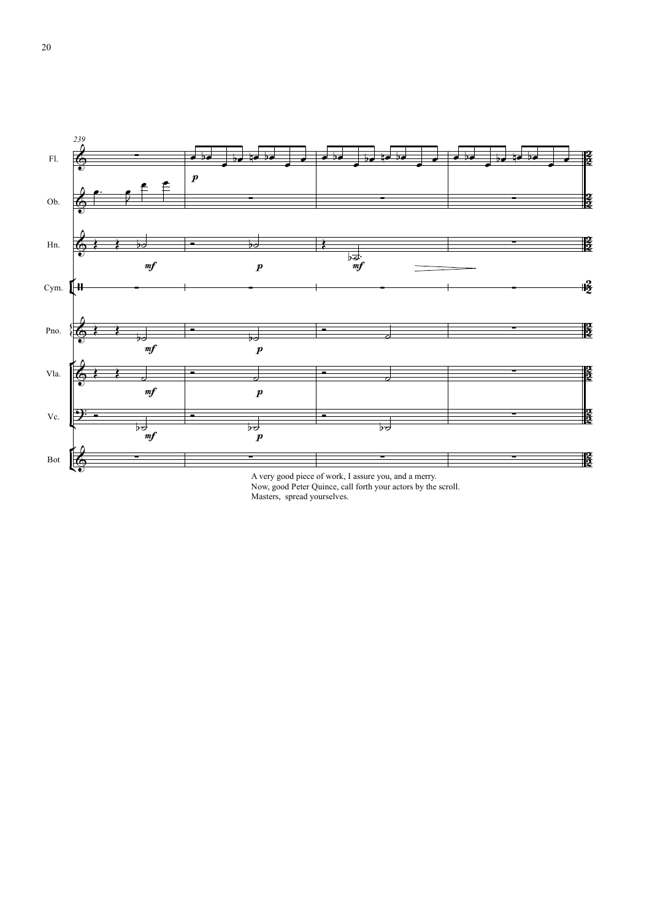

A very good piece of work, I assure you, and a merry. Now, good Peter Quince, call forth your actors by the scroll. Masters, spread yourselves.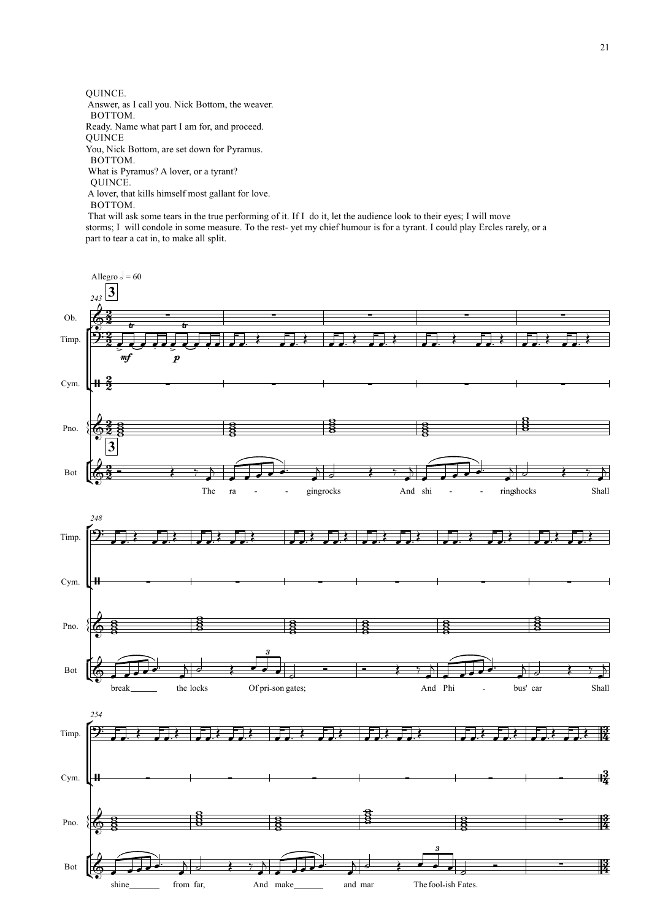QUINCE. Answer, as I call you. Nick Bottom, the weaver. BOTTOM. Ready. Name what part I am for, and proceed. **QUINCE** You, Nick Bottom, are set down for Pyramus. BOTTOM. What is Pyramus? A lover, or a tyrant? QUINCE. A lover, that kills himself most gallant for love.

BOTTOM.

That will ask some tears in the true performing of it. If I do it, let the audience look to their eyes; I will move storms; I will condole in some measure. To the rest- yet my chief humour is for a tyrant. I could play Ercles rarely, or a part to tear a cat in, to make all split.

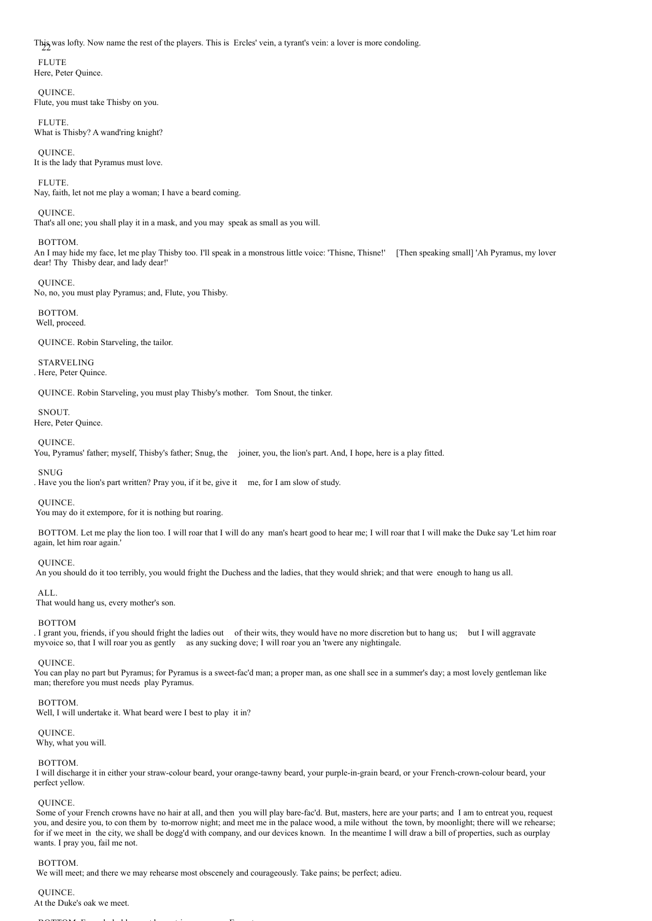This was lofty. Now name the rest of the players. This is Ercles' vein, a tyrant's vein: a lover is more condoling.

## FLUTE Here, Peter Quince.

**OUINCE** Flute, you must take Thisby on you.

FLUTE. What is Thisby? A wand'ring knight?

QUINCE. It is the lady that Pyramus must love.

FLUTE. Nay, faith, let not me play a woman; I have a beard coming.

QUINCE.

That's all one; you shall play it in a mask, and you may speak as small as you will.

#### BOTTOM.

An I may hide my face, let me play Thisby too. I'll speak in a monstrous little voice: 'Thisne, Thisne!' [Then speaking small] 'Ah Pyramus, my lover dear! Thy Thisby dear, and lady dear!'

QUINCE.

No, no, you must play Pyramus; and, Flute, you Thisby.

BOTTOM. Well, proceed.

QUINCE. Robin Starveling, the tailor.

STARVELING . Here, Peter Quince.

QUINCE. Robin Starveling, you must play Thisby's mother. Tom Snout, the tinker.

**SNOUT.** Here, Peter Quince.

QUINCE.

You, Pyramus' father; myself, Thisby's father; Snug, the joiner, you, the lion's part. And, I hope, here is a play fitted.

SNUG

. Have you the lion's part written? Pray you, if it be, give it me, for I am slow of study.

QUINCE.

You may do it extempore, for it is nothing but roaring.

BOTTOM. Let me play the lion too.I will roar that I will do any man's heart good to hear me; I will roar that I will make the Duke say 'Let him roar again, let him roar again.'

#### QUINCE.

An you should do it too terribly, you would fright the Duchess and the ladies, that they would shriek; and that were enough to hang us all.

#### ALL.

That would hang us, every mother's son.

#### BOTTOM

. I grant you, friends, if you should fright the ladies out of their wits, they would have no more discretion butto hang us; but I will aggravate myvoice so,that I will roar you as gently as any sucking dove; I will roar you an 'twere any nightingale.

#### **OUINCE**

You can play no part but Pyramus; for Pyramus is a sweet-fac'd man; a proper man, as one shall see in a summer's day; a most lovely gentleman like man; therefore you must needs play Pyramus.

BOTTOM.

Well, I will undertake it. What beard were I best to play it in?

## QUINCE.

Why, what you will.

#### BOTTOM.

I will discharge it in either your straw-colour beard, your orange-tawny beard, your purple-in-grain beard, or your French-crown-colour beard, your perfect yellow.

#### QUINCE.

Some of your French crowns have no hair at all, and then you will play bare-fac'd. But, masters, here are your parts; and I am to entreat you, request you, and desire you, to con them by to-morrow night; and meet me in the palace wood, a mile without the town, by moonlight; there will we rehearse; for if we meet in the city, we shall be dogg'd with company, and our devices known. In the meantime I will draw a bill of properties, such as ourplay wants. I pray you, fail me not.

#### BOTTOM.

We will meet; and there we may rehearse most obscenely and courageously. Take pains; be perfect; adieu.

## QUINCE.

# At the Duke's oak we meet.

BOTTOM. Enough; hold, or cut bow-strings. Exeunt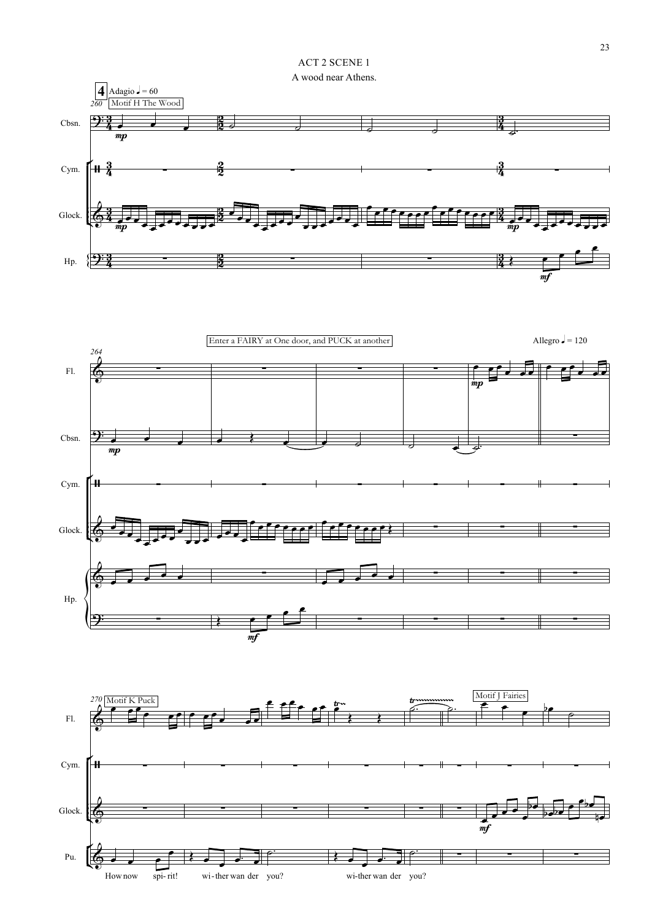



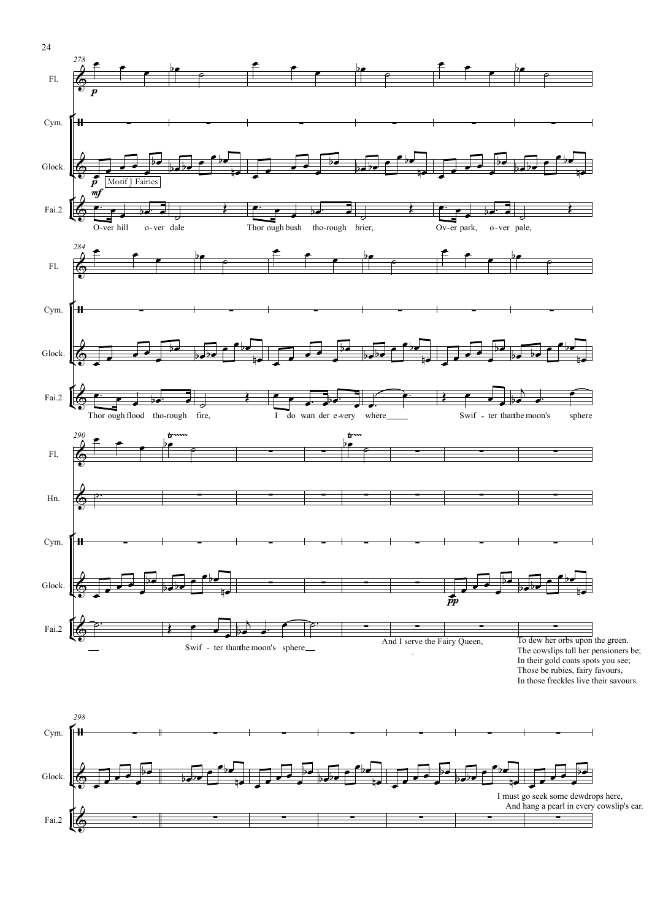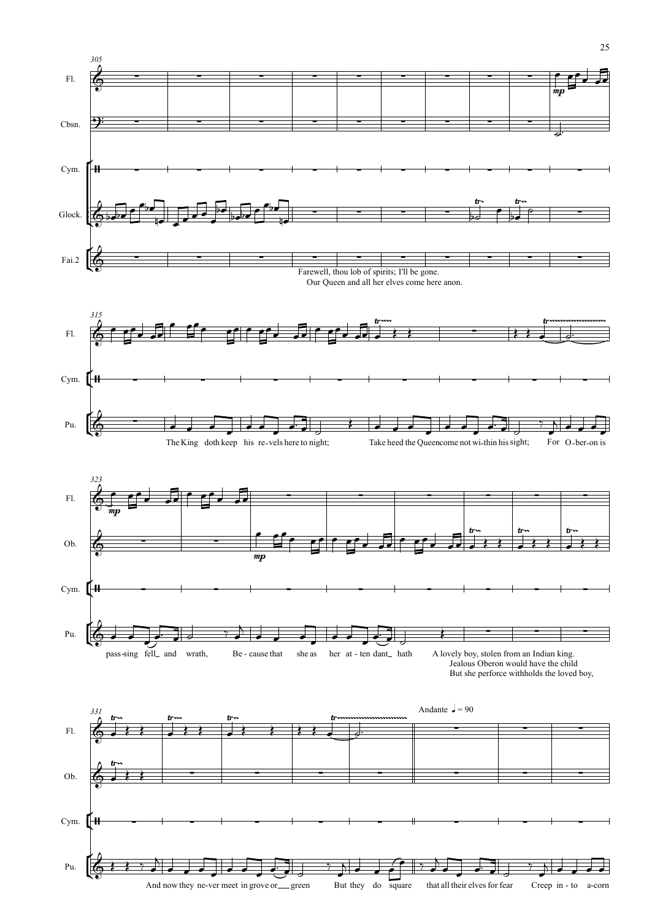

And now they ne-ver meet in grove or green But they do square that all their elves for fear Creep in - to a-corn

that all their elves for fear

But they do square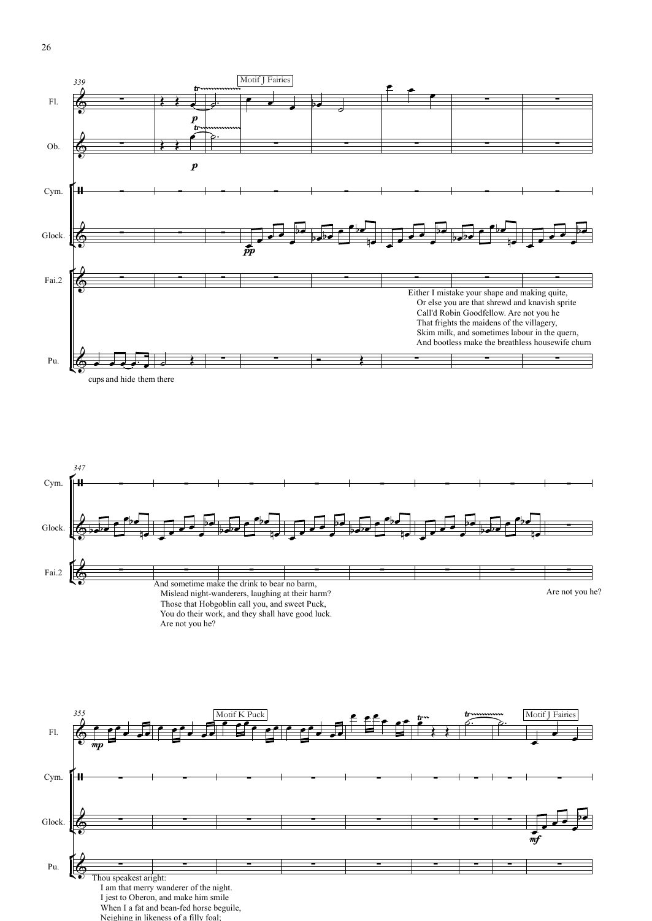



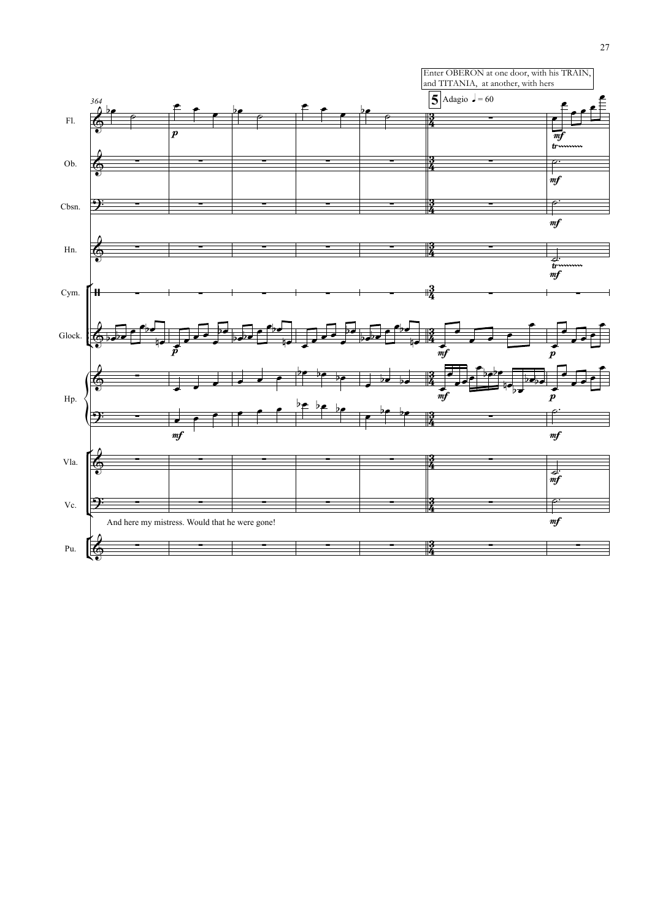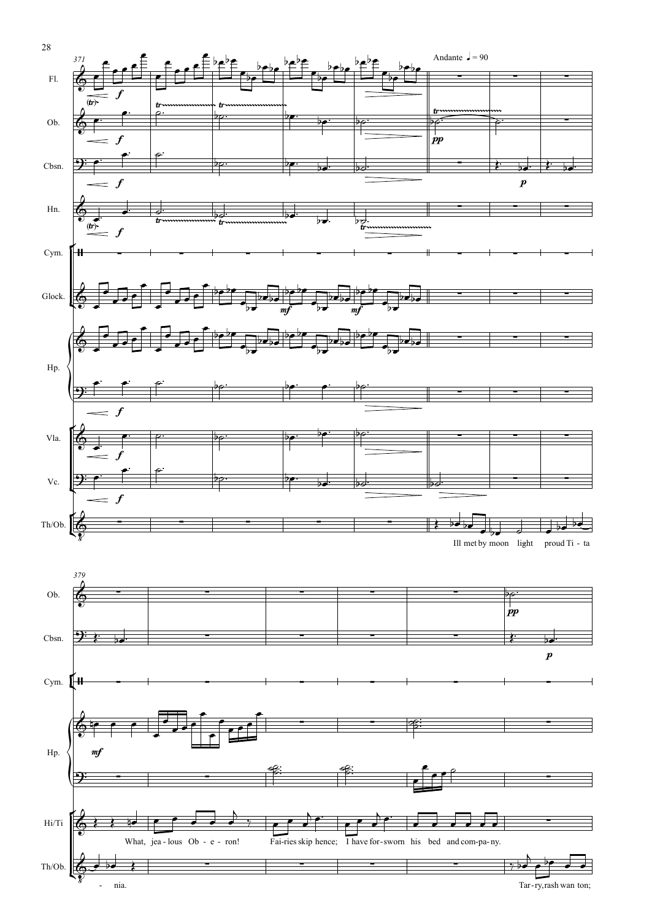

- nia. Tar-ry,rash wan ton;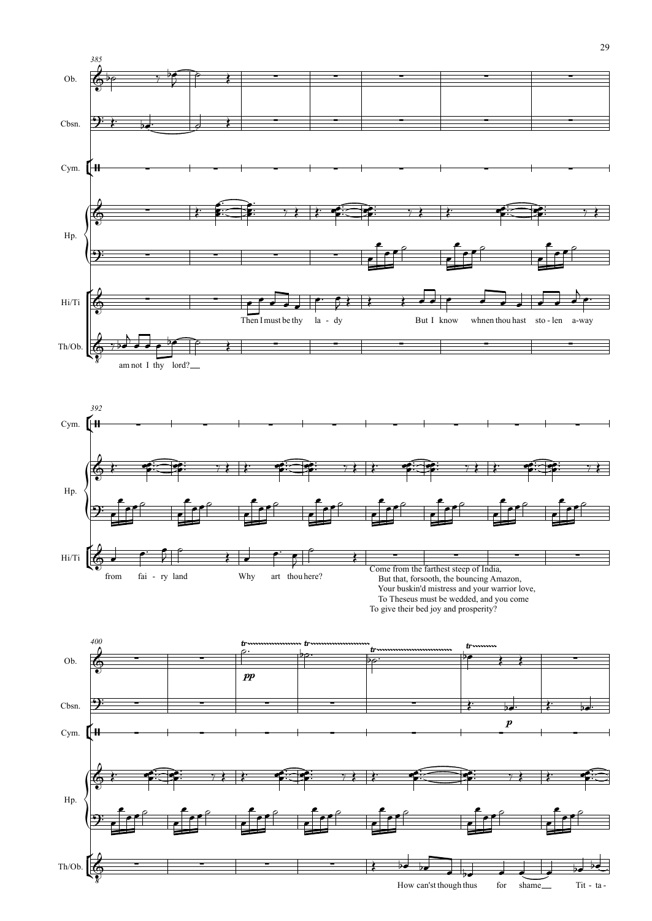



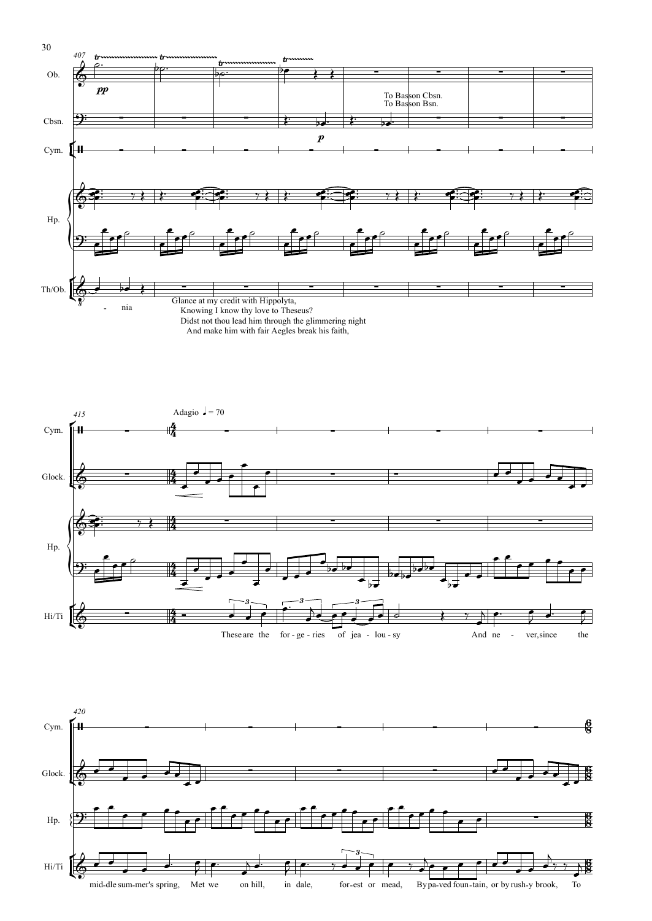



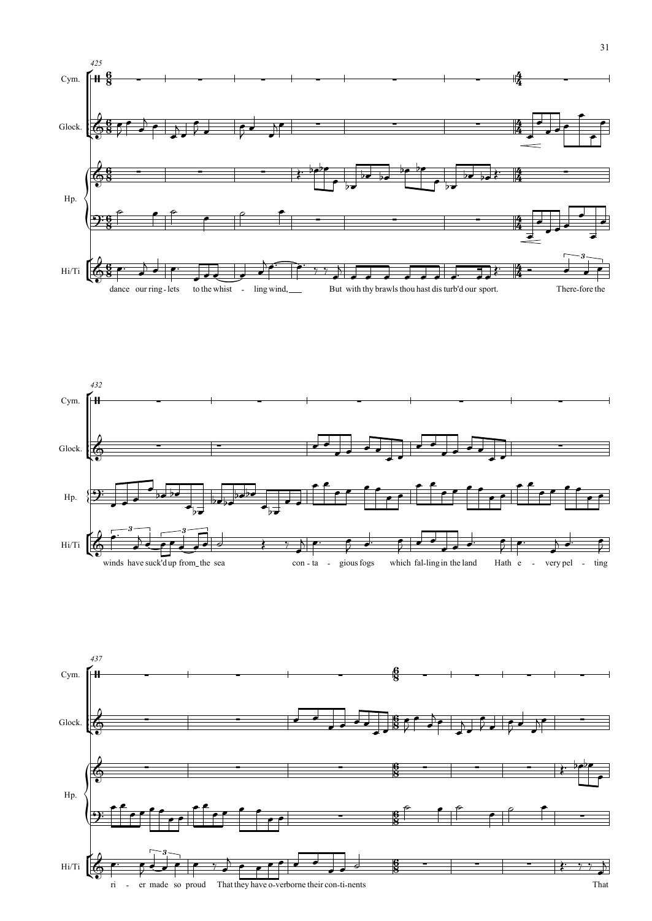



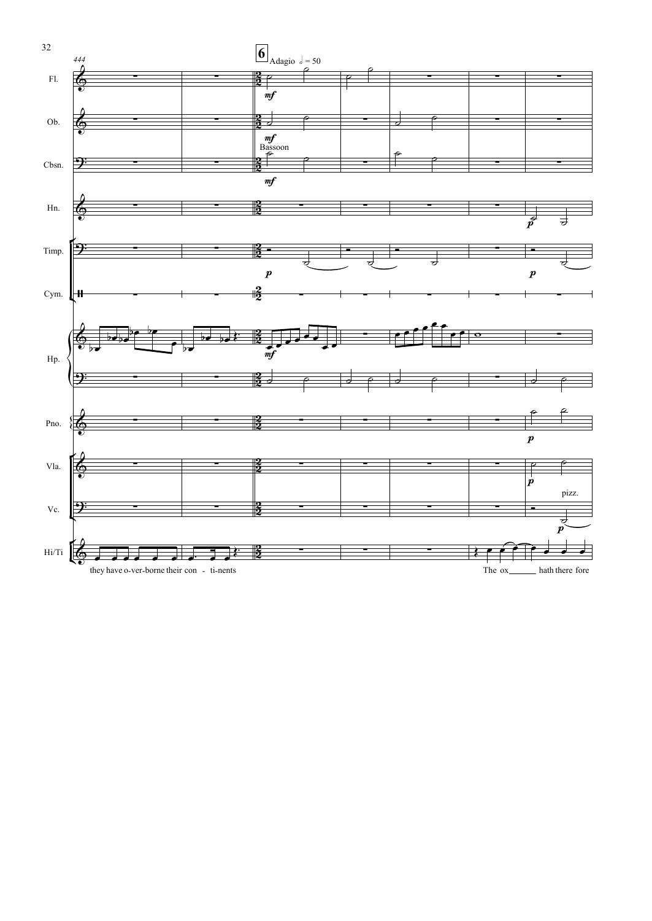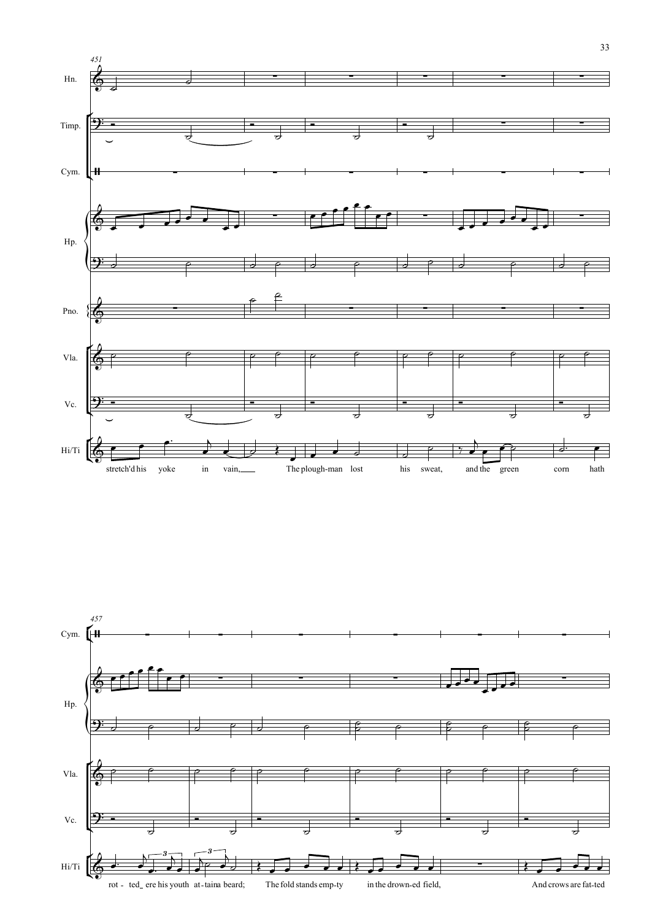

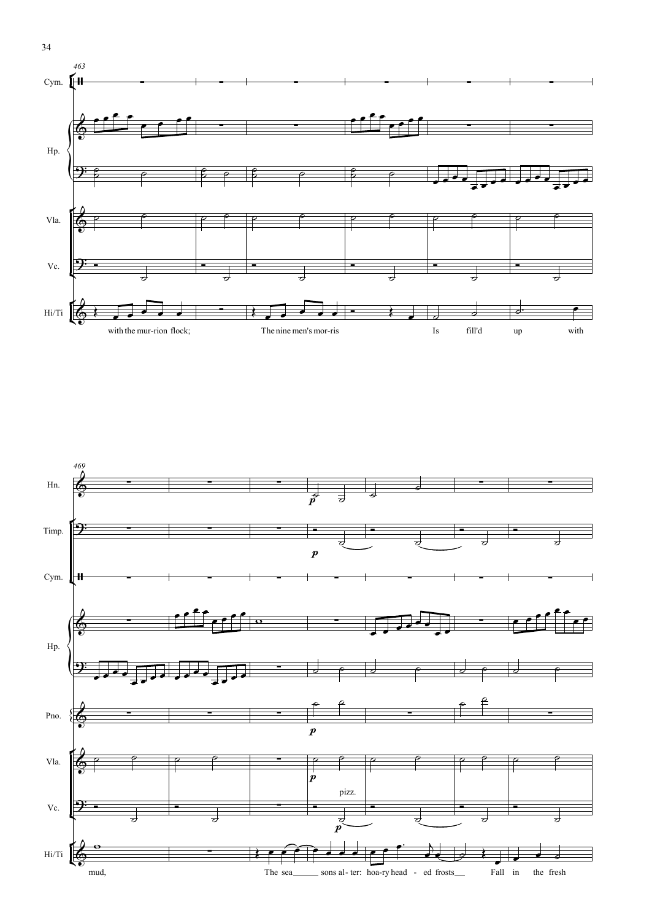

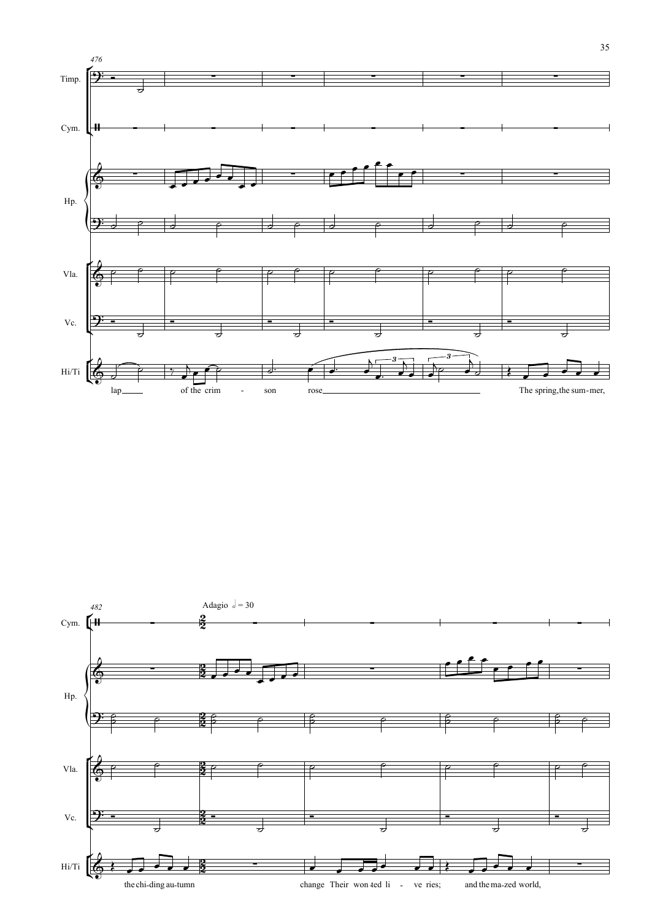

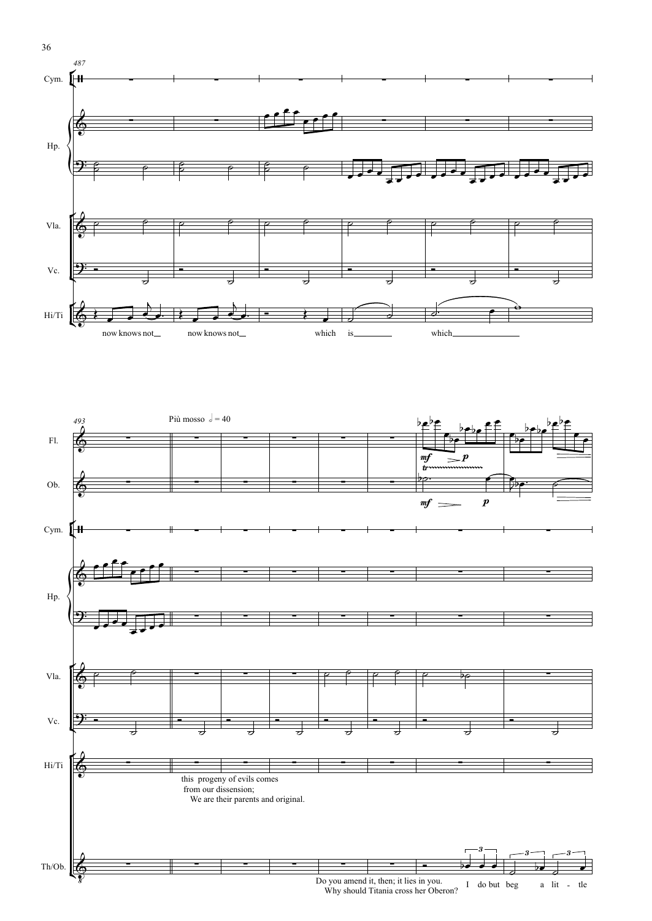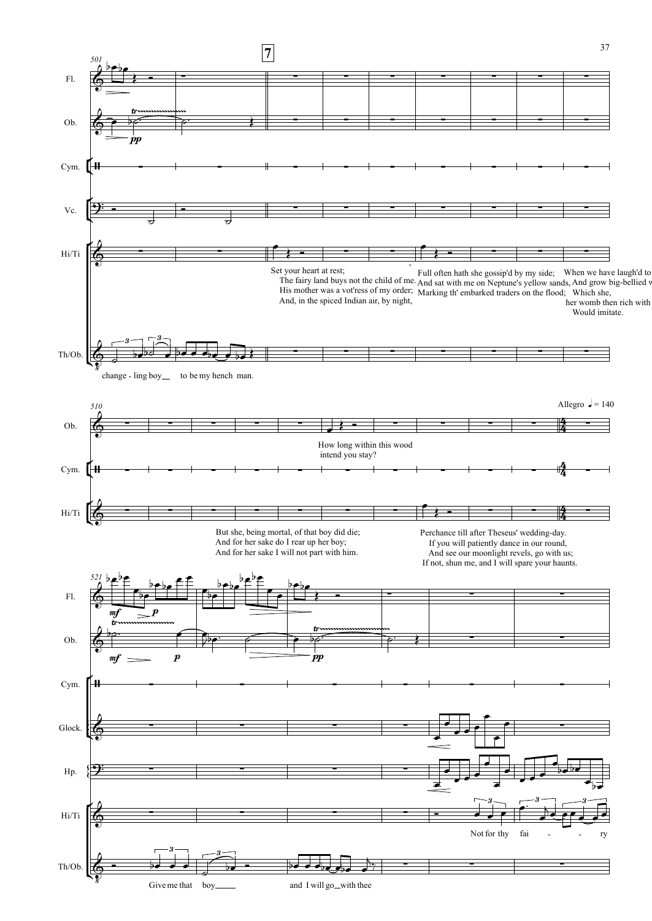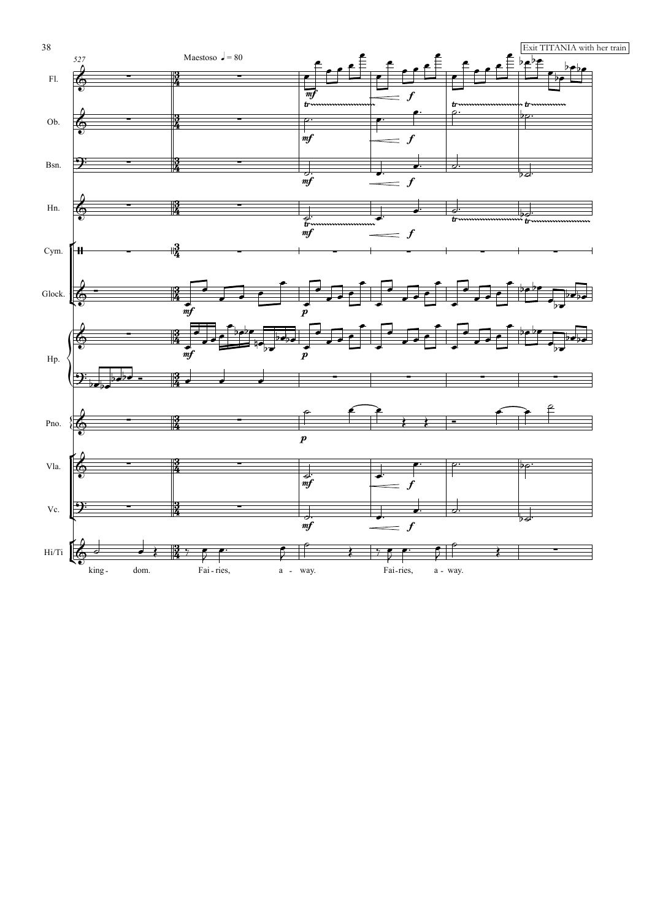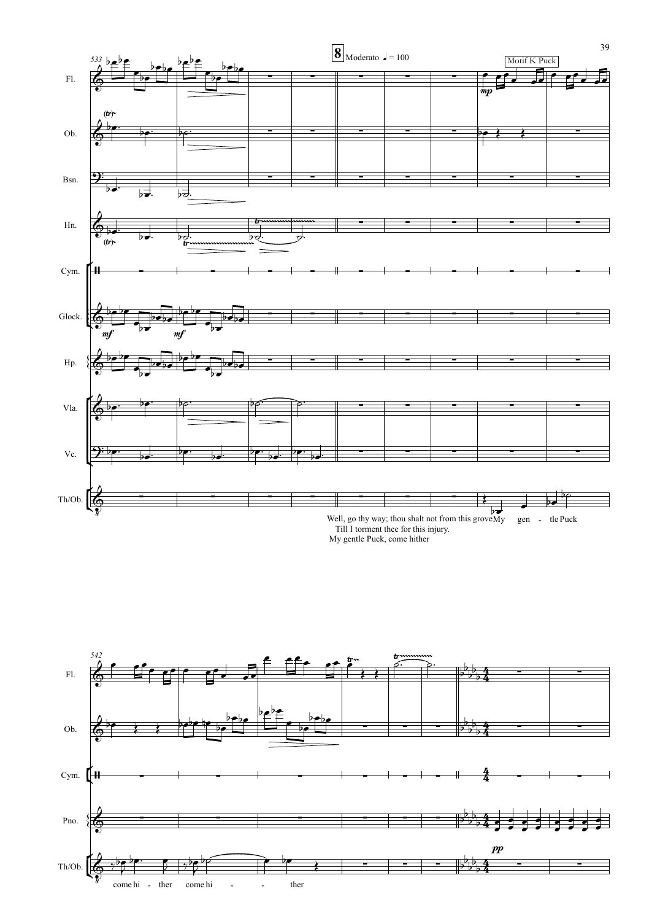

gen - tle Puck Till I torment thee for this injury.



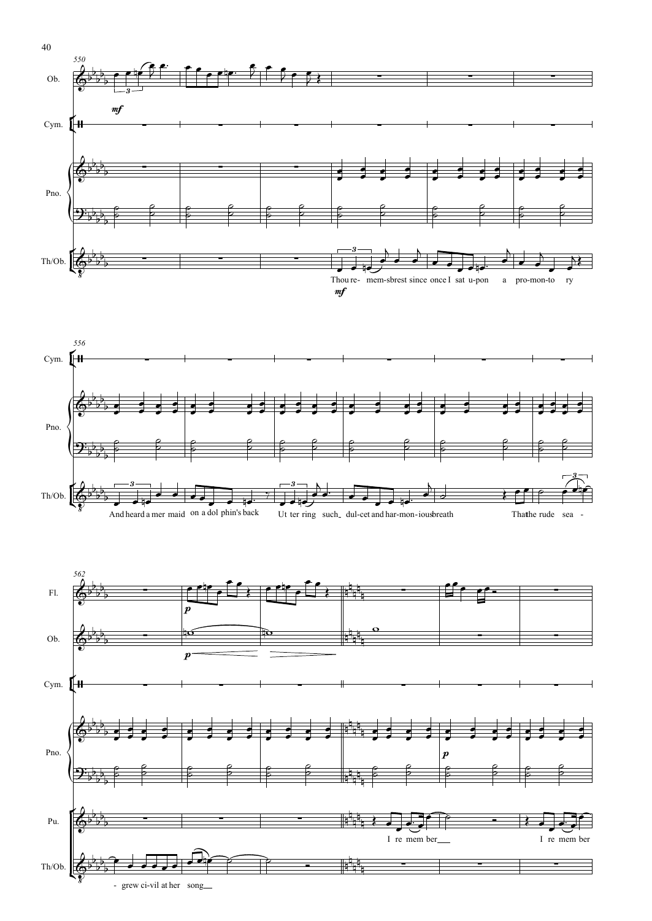



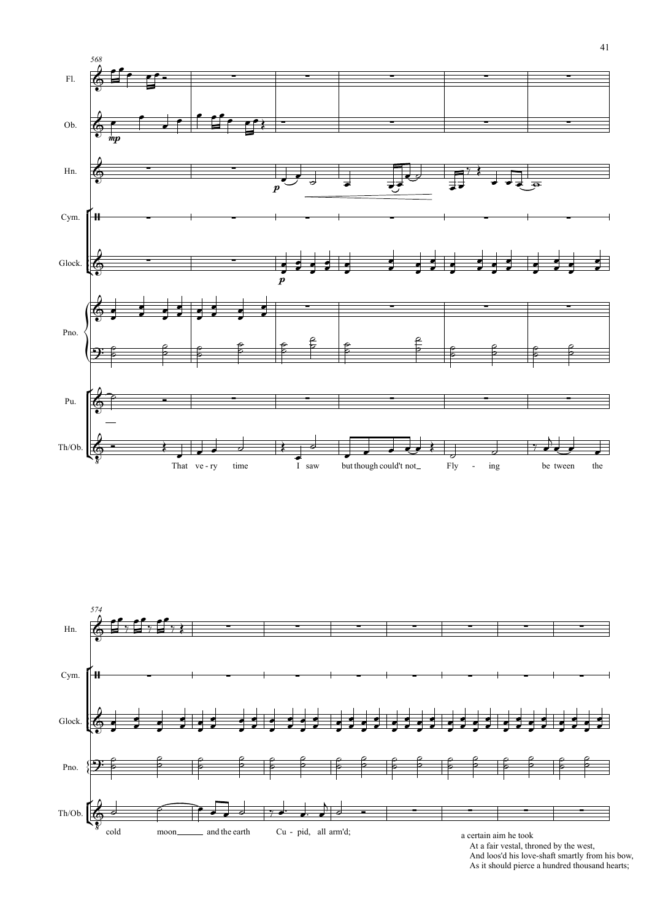



At a fair vestal, throned by the west, And loos'd his love-shaft smartly from his bow,

As it should pierce a hundred thousand hearts;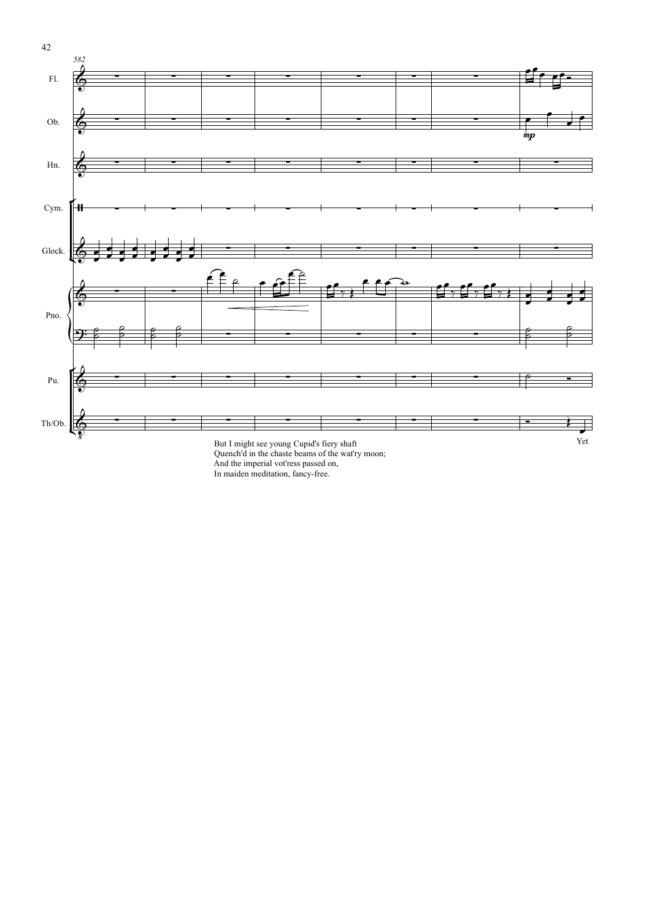

Quench'd in the chaste beams of the wat'ry moon; And the imperial vot'ress passed on,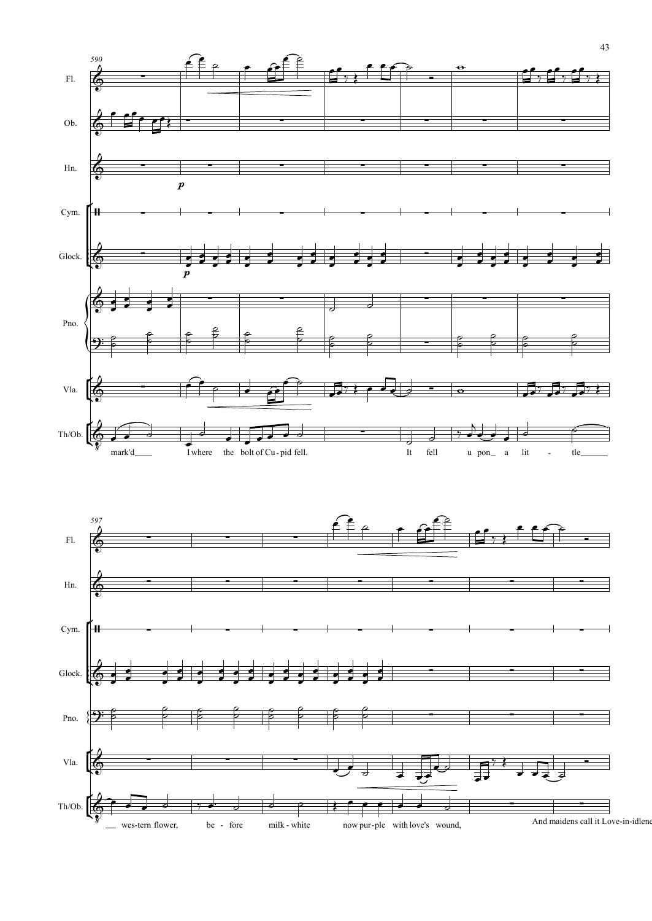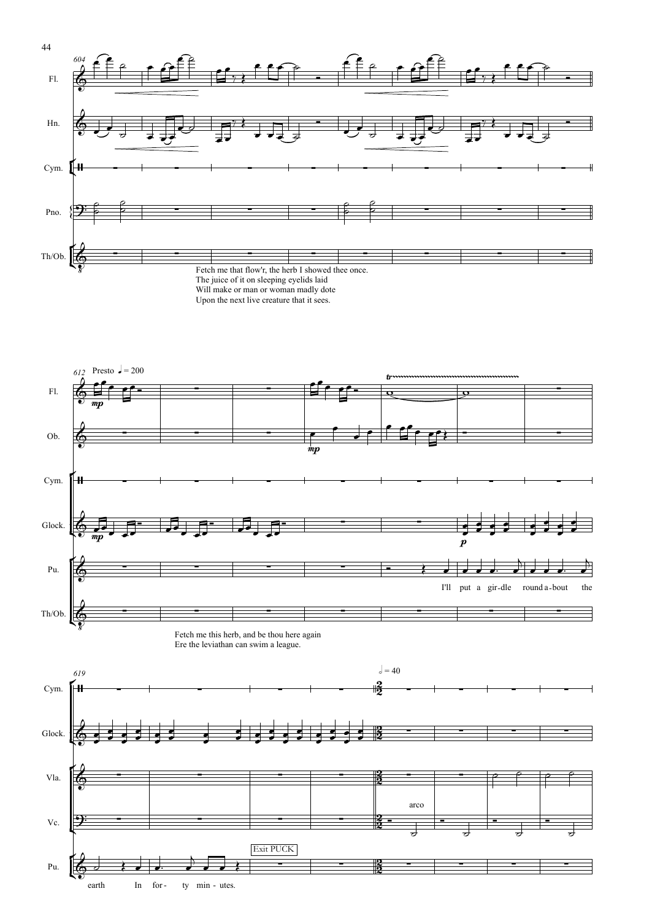





In for- ty min-utes.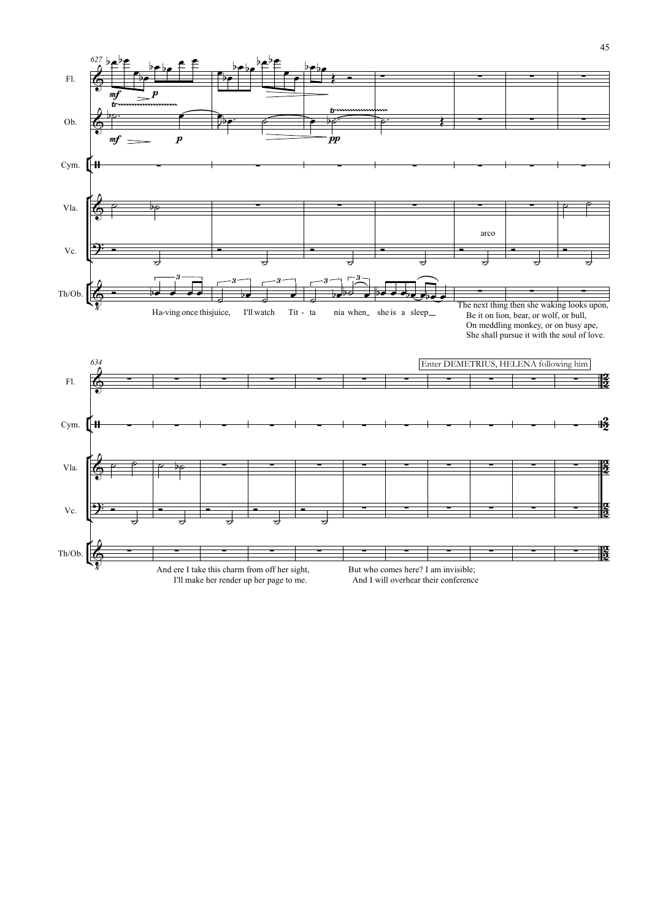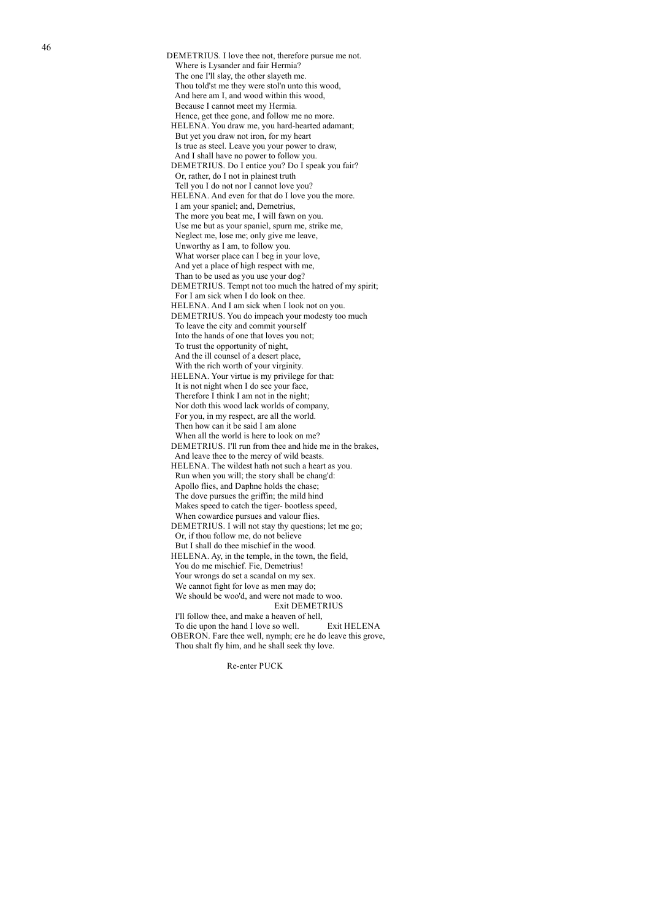<sup>46</sup> DEMETRIUS. <sup>I</sup> love thee not, therefore pursue me not. Where is Lysander and fair Hermia? The one I'll slay, the other slayeth me. Thou told'st me they were stol'n unto this wood, And here am I, and wood within this wood, Because I cannot meet my Hermia. Hence, get thee gone, and follow me no more. HELENA. You draw me, you hard-hearted adamant; But yet you draw not iron, for my heart Is true as steel. Leave you your power to draw, And I shall have no power to follow you. DEMETRIUS. Do I entice you? Do I speak you fair? Or, rather, do I not in plainest truth Tell you I do not nor I cannot love you? HELENA. And even for that do I love you the more. I am your spaniel; and, Demetrius, The more you beat me, I will fawn on you. Use me but as your spaniel, spurn me, strike me, Neglect me, lose me; only give me leave, Unworthy as I am, to follow you. What worser place can I beg in your love, And yet a place of high respect with me, Than to be used as you use your dog? DEMETRIUS. Tempt not too much the hatred of my spirit; For I am sick when I do look on thee. HELENA. And I am sick when I look not on you. DEMETRIUS. You do impeach your modesty too much To leave the city and commit yourself Into the hands of one that loves you not; To trust the opportunity of night, And the ill counsel of a desert place, With the rich worth of your virginity. HELENA. Your virtue is my privilege for that: It is not night when I do see your face, Therefore I think I am not in the night; Nor doth this wood lack worlds of company, For you, in my respect, are all the world. Then how can it be said I am alone<br>When all the world is here to look on me? DEMETRIUS. I'll run from thee and hide me in the brakes, And leave thee to the mercy of wild beasts. HELENA. The wildest hath not such a heart as you. Run when you will; the story shall be chang'd: Apollo flies, and Daphne holds the chase; The dove pursues the griffin; the mild hind Makes speed to catch the tiger- bootless speed, When cowardice pursues and valour flies. DEMETRIUS. I will not stay thy questions; let me go; Or, if thou follow me, do not believe But I shall do thee mischief in the wood. HELENA. Ay, in the temple, in the town, the field, You do me mischief. Fie, Demetrius! Your wrongs do set a scandal on my sex.<br>We cannot fight for love as men may do; We should be woo'd, and were not made to woo. Exit DEMETRIUS

- I'll follow thee, and make a heaven of hell,
- To die upon the hand I love so well. Exit HELENA OBERON. Fare thee well, nymph; ere he do leave this grove,
- Thou shalt fly him, and he shall seek thy love.

Re-enter PUCK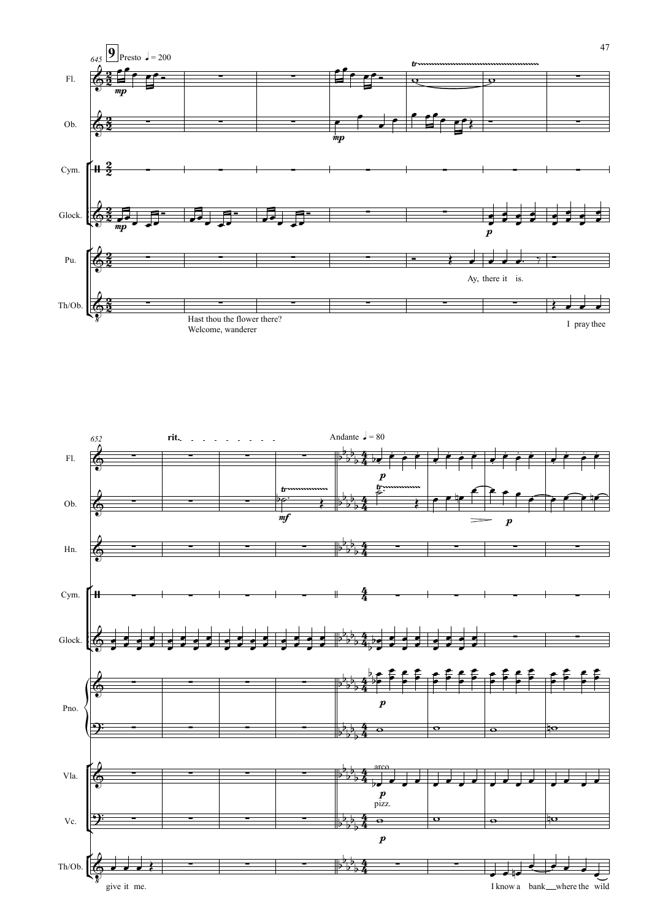

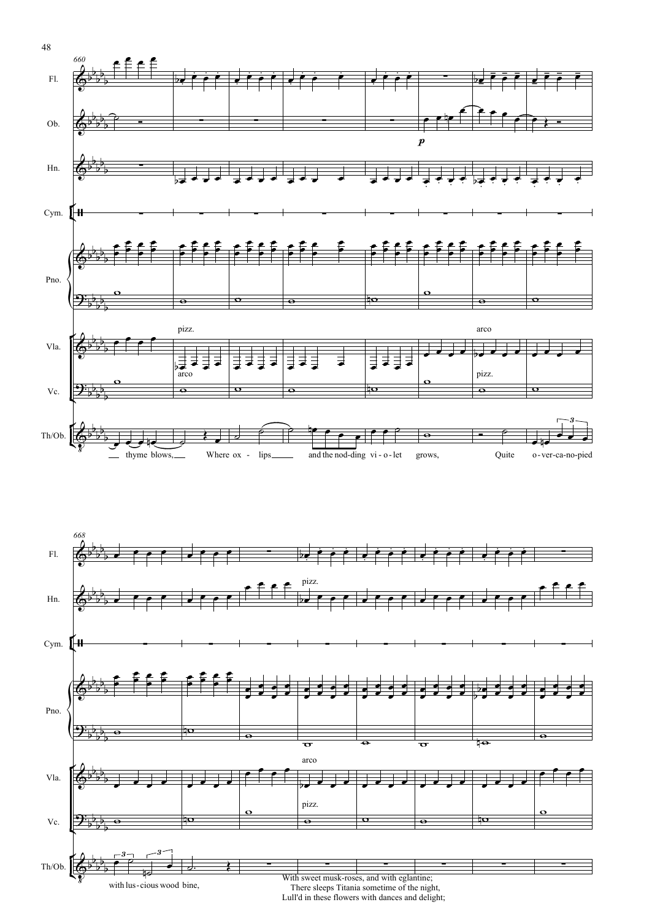

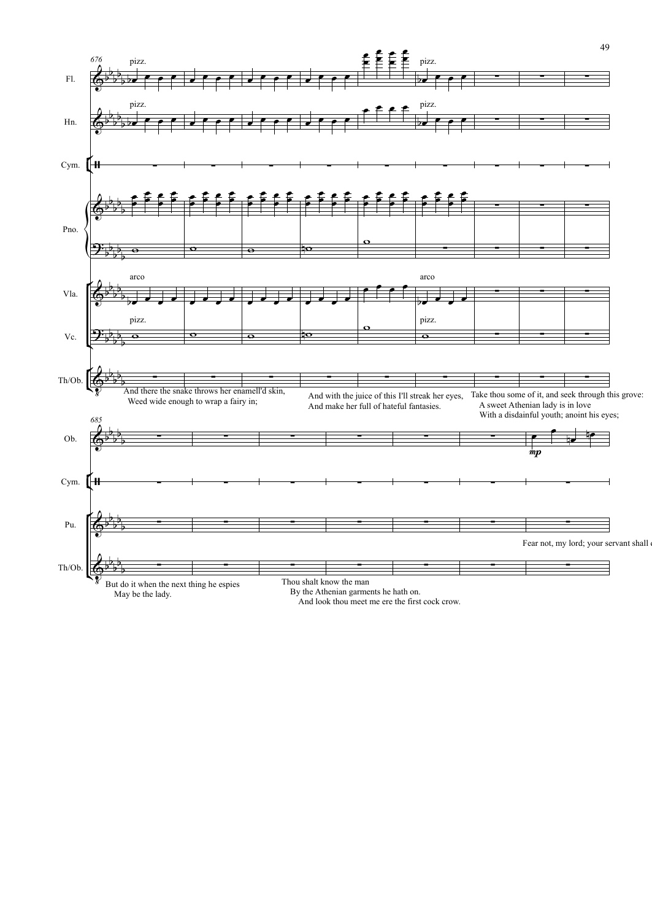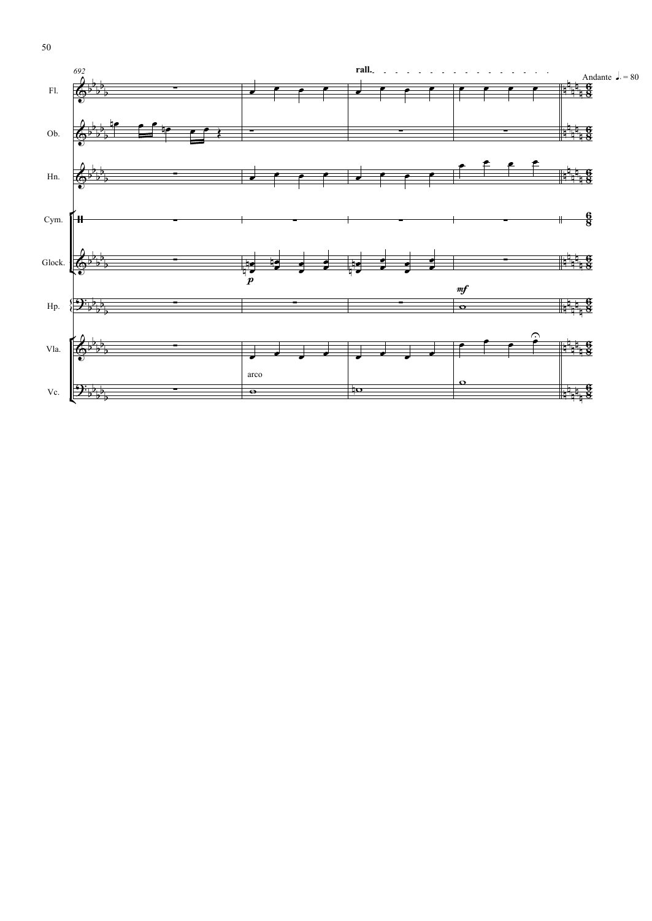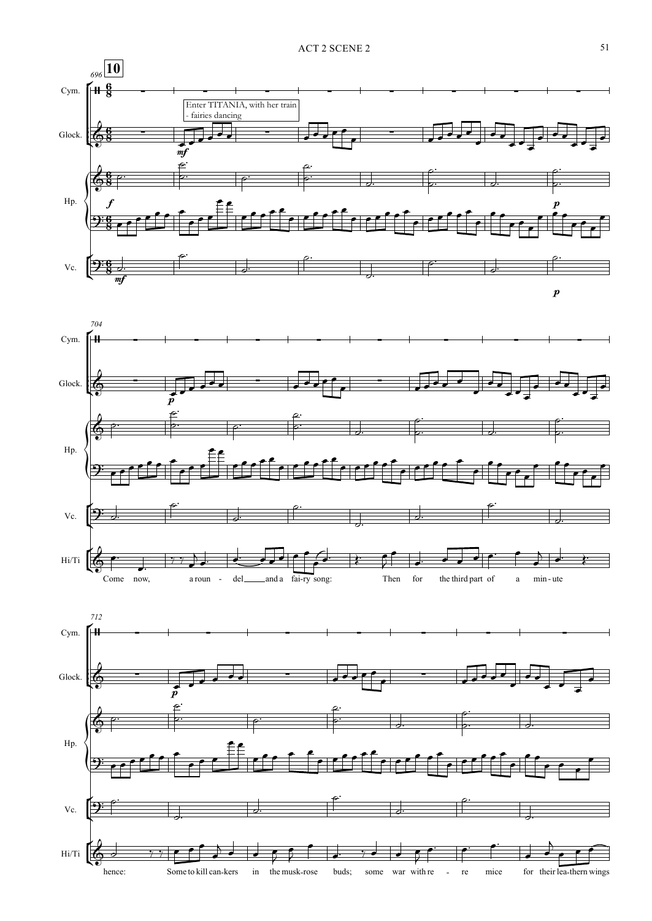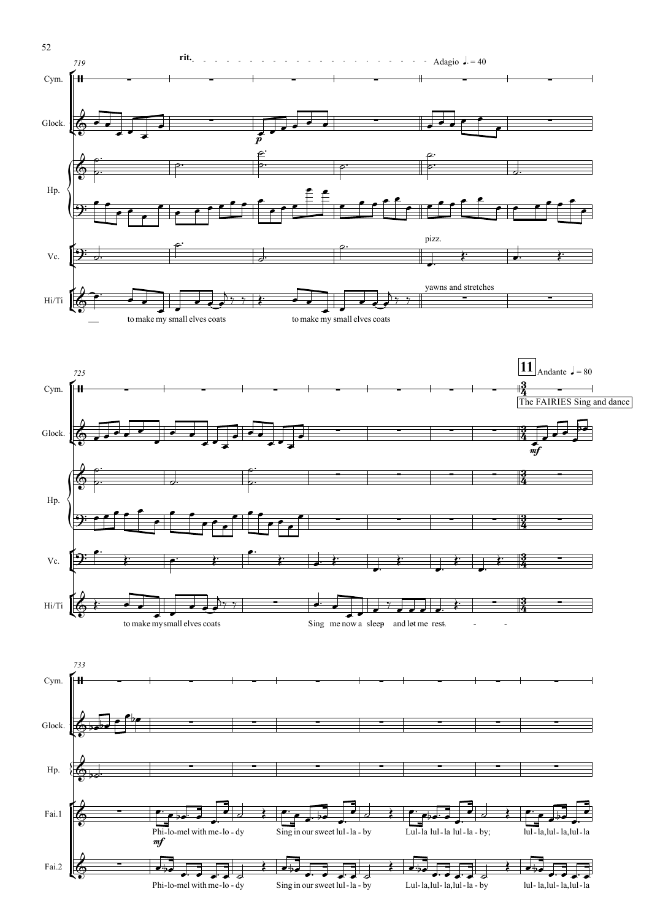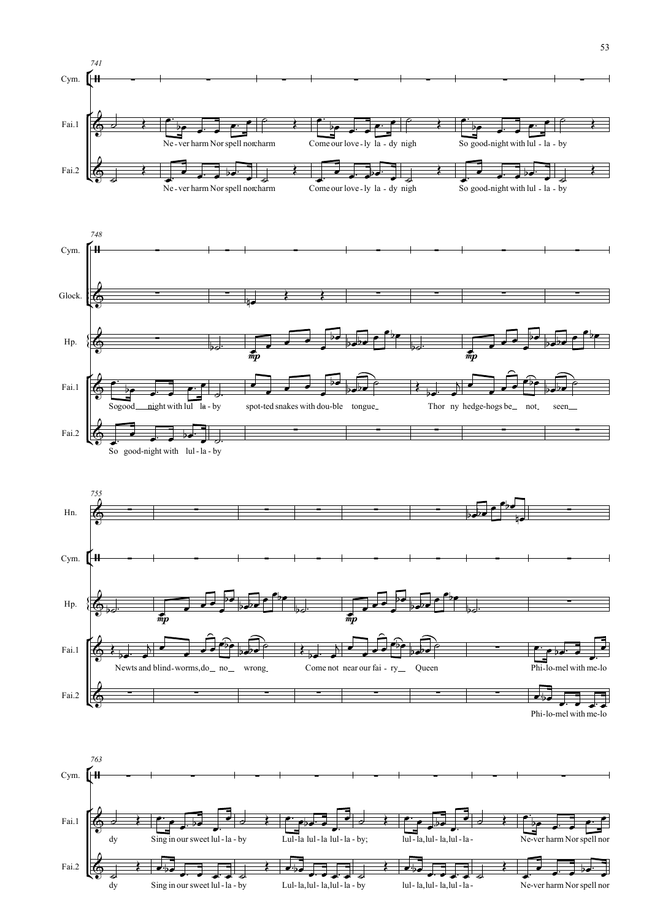

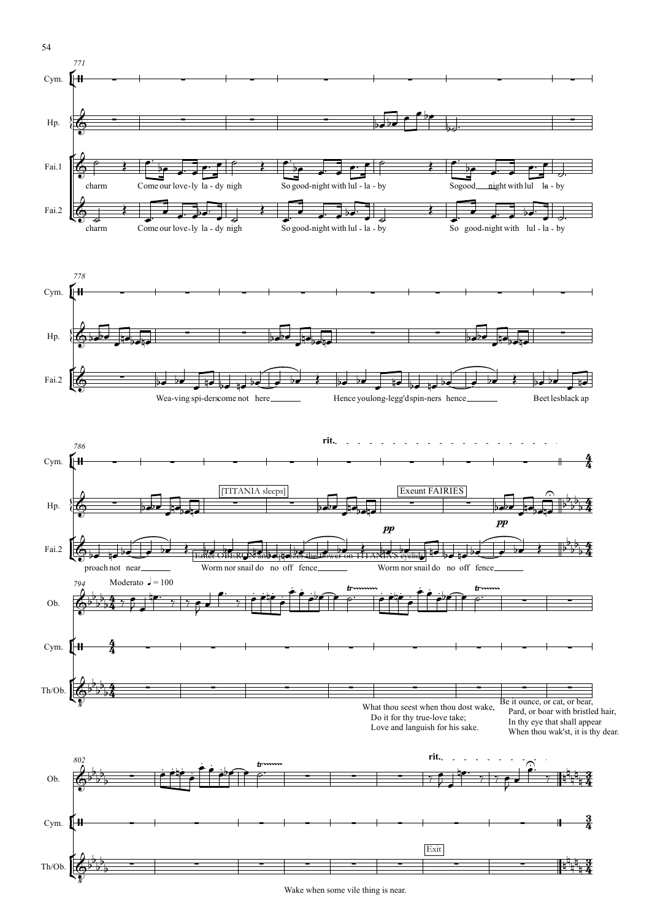

Wake when some vile thing is near.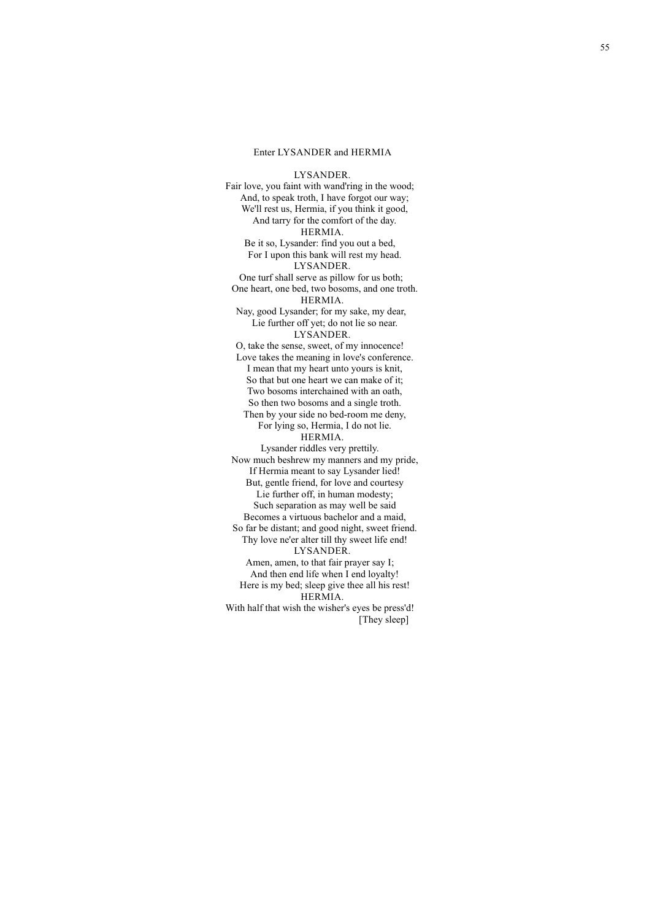LYSANDER. Fair love, you faint with wand'ring in the wood; And, to speak troth, I have forgot our way; We'll rest us, Hermia, if you think it good, And tarry for the comfort of the day. HERMIA. Be it so, Lysander: find you out a bed, For I upon this bank will rest my head. LYSANDER. One turf shall serve as pillow for us both; One heart, one bed, two bosoms, and one troth. HERMIA. Nay, good Lysander; for my sake, my dear, Lie further off yet; do not lie so near. LYSANDER. O, take the sense, sweet, of my innocence! Love takes the meaning in love's conference. I mean that my heart unto yours is knit, So that but one heart we can make of it; Two bosoms interchained with an oath, So then two bosoms and a single troth. Then by your side no bed-room me deny, For lying so, Hermia, I do not lie. HERMIA. Lysander riddles very prettily. Now much beshrew my manners and my pride, If Hermia meant to say Lysander lied! But, gentle friend, for love and courtesy Lie further off, in human modesty; Such separation as may well be said Becomes a virtuous bachelor and a maid, So far be distant; and good night, sweet friend. Thy love ne'er alter till thy sweet life end! LYSANDER. Amen, amen, to that fair prayer say I; And then end life when I end loyalty! Here is my bed; sleep give thee all his rest! HERMIA. With half that wish the wisher's eyes be press'd! [They sleep]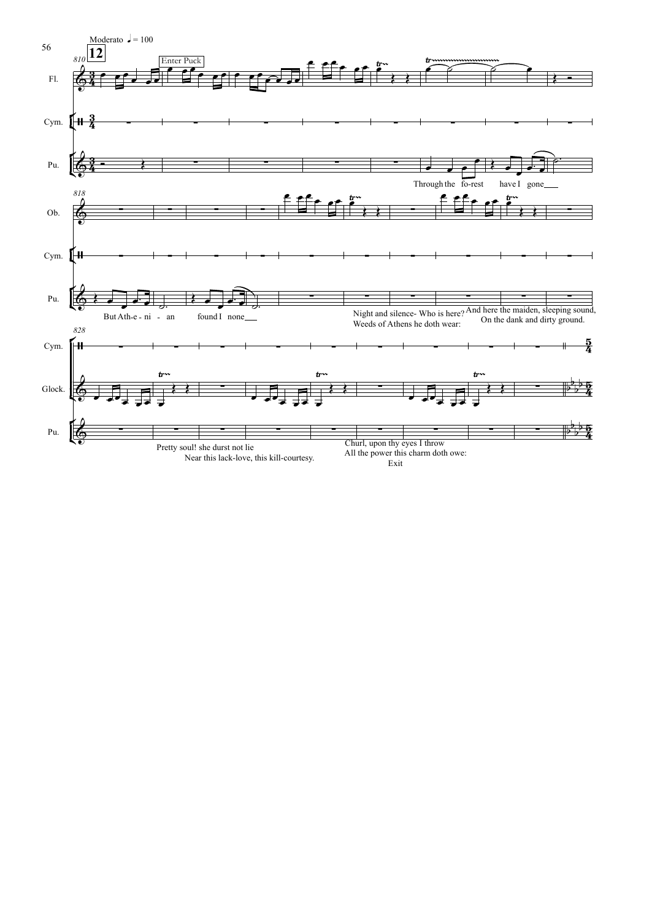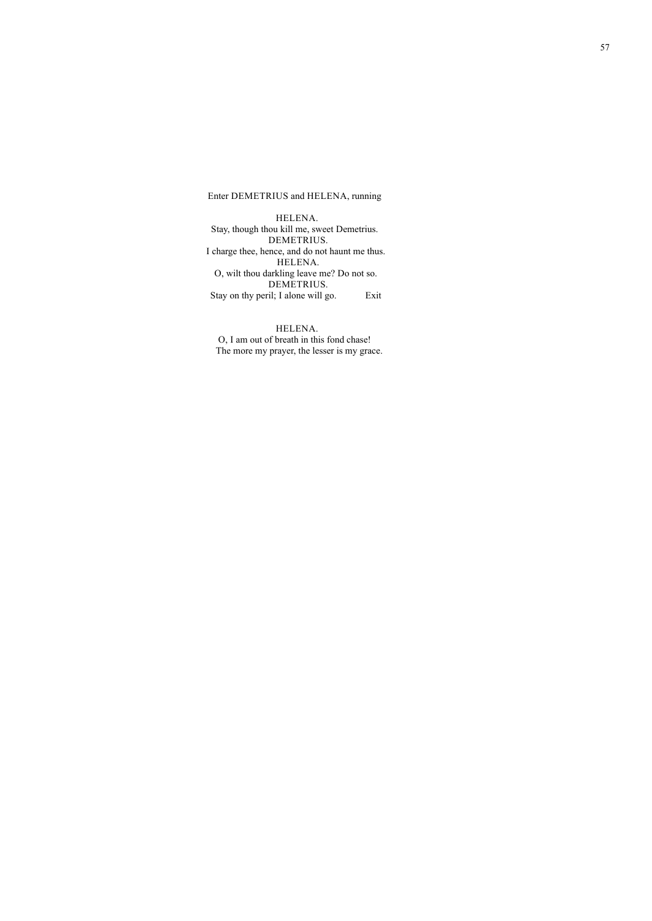### Enter DEMETRIUS and HELENA, running

HELENA. Stay, though thou killme, sweet Demetrius. DEMETRIUS. I charge thee, hence, and do not haunt me thus. HELENA. O, wilt thou darkling leave me? Do not so. DEMETRIUS. Stay on thy peril; I alone will go. Exit

HELENA. O, I am out of breath in this fond chase! The more my prayer, the lesser is my grace.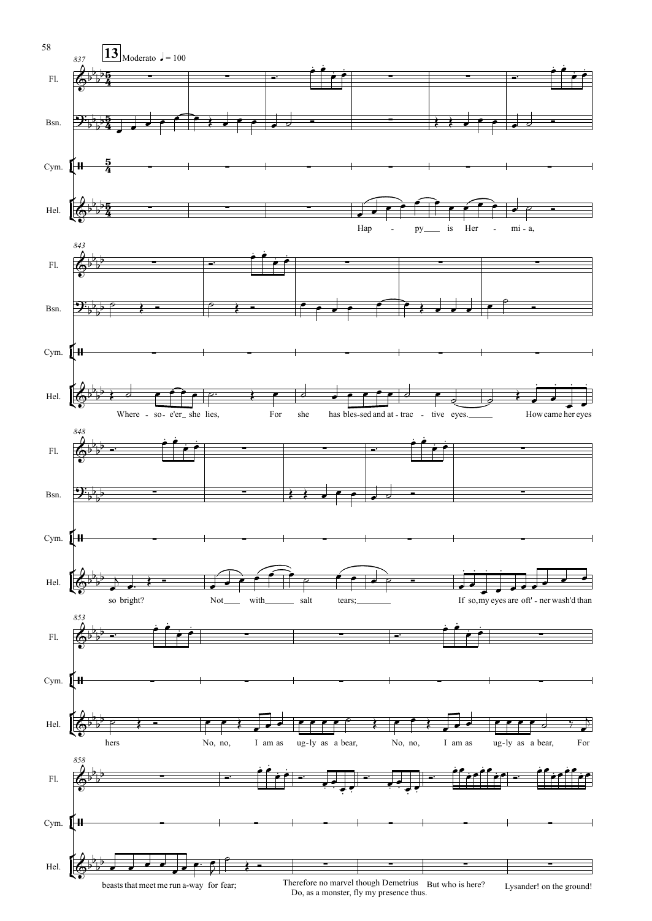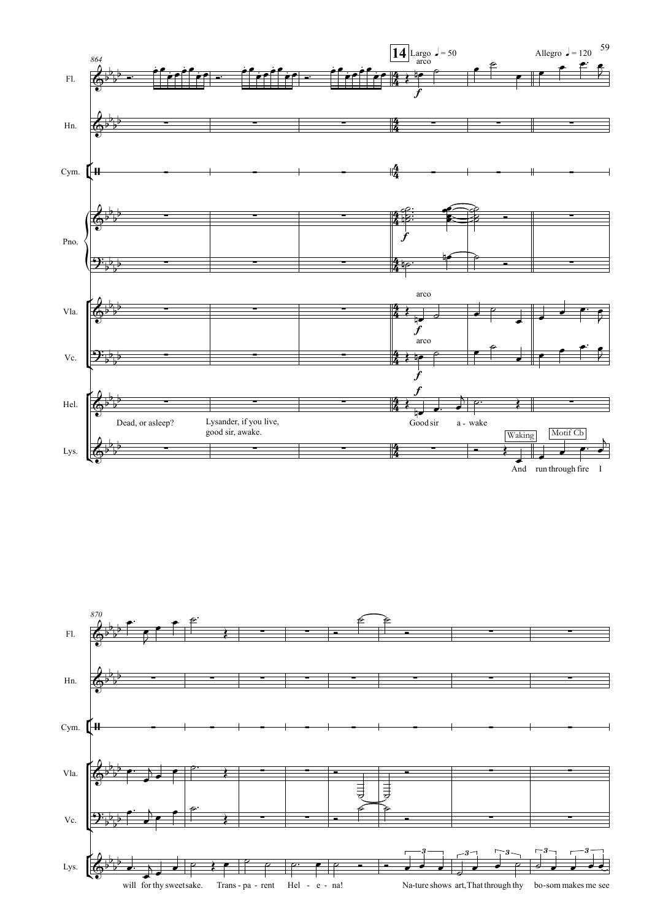

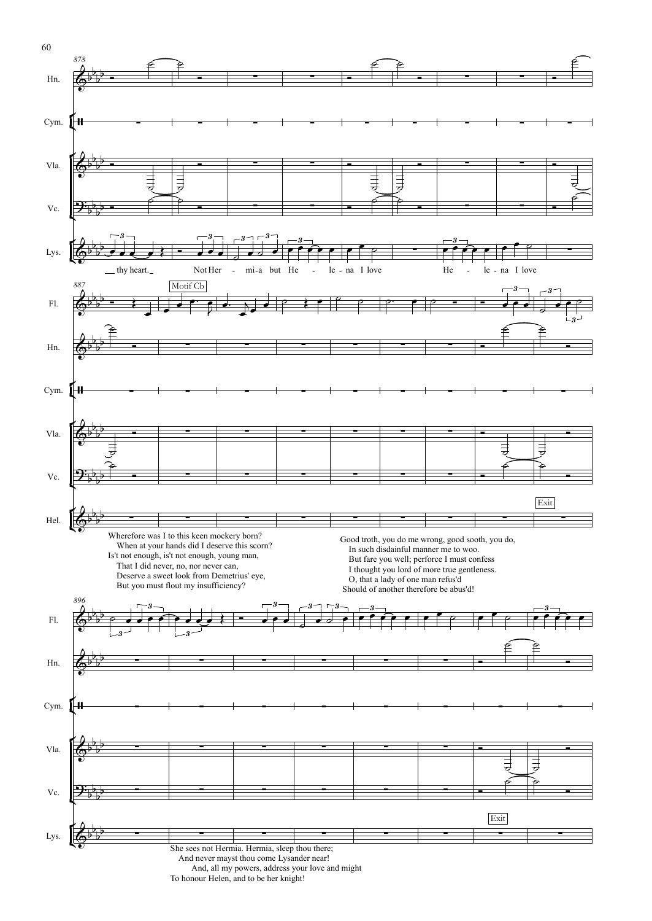

To honour Helen, and to be her knight!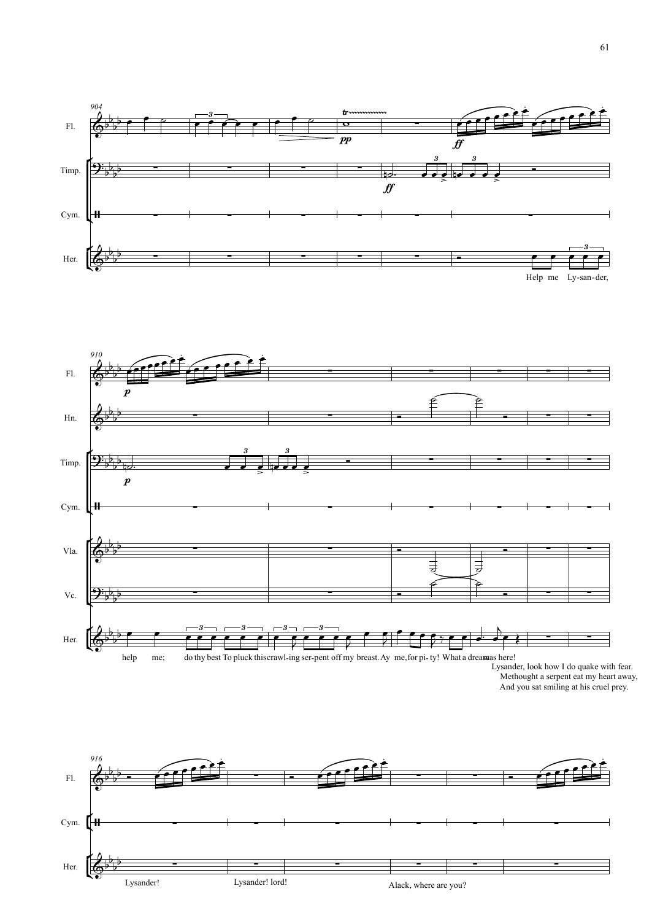

Help me Ly-san-der,



Methought a serpent eat my heart away,

And you sat smiling at his cruel prey.

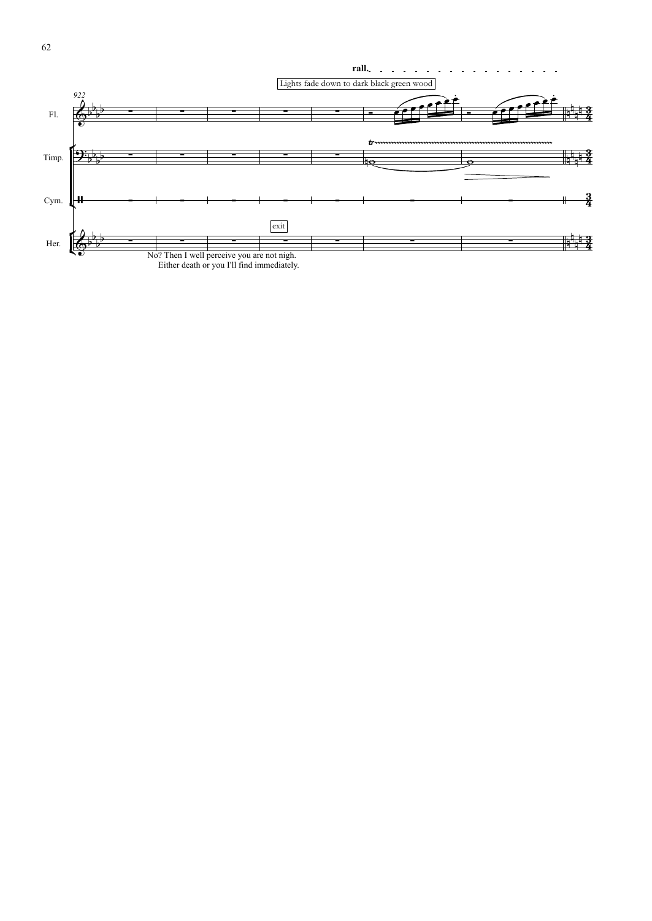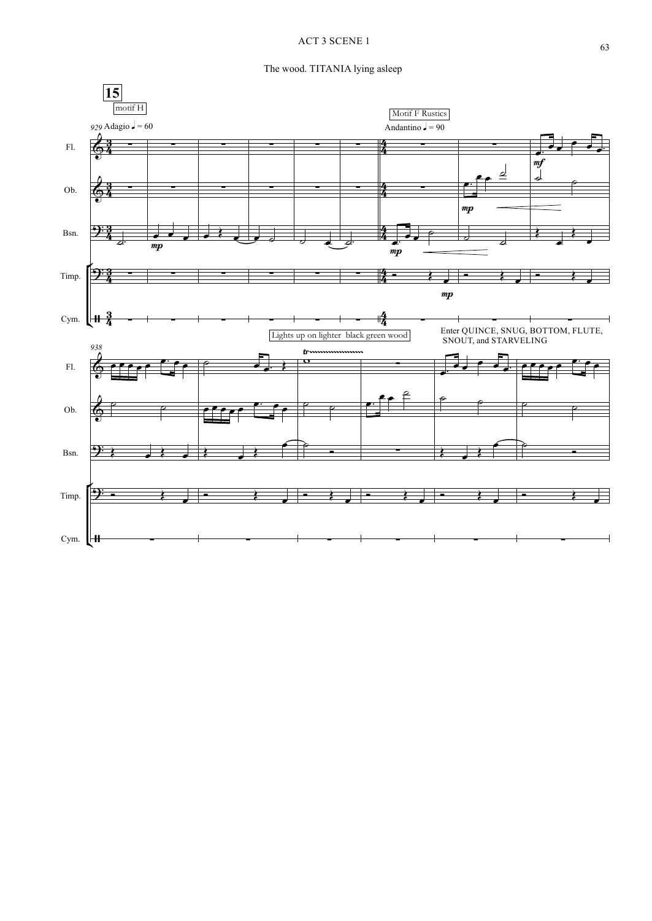## The wood. TITANIA lying asleep

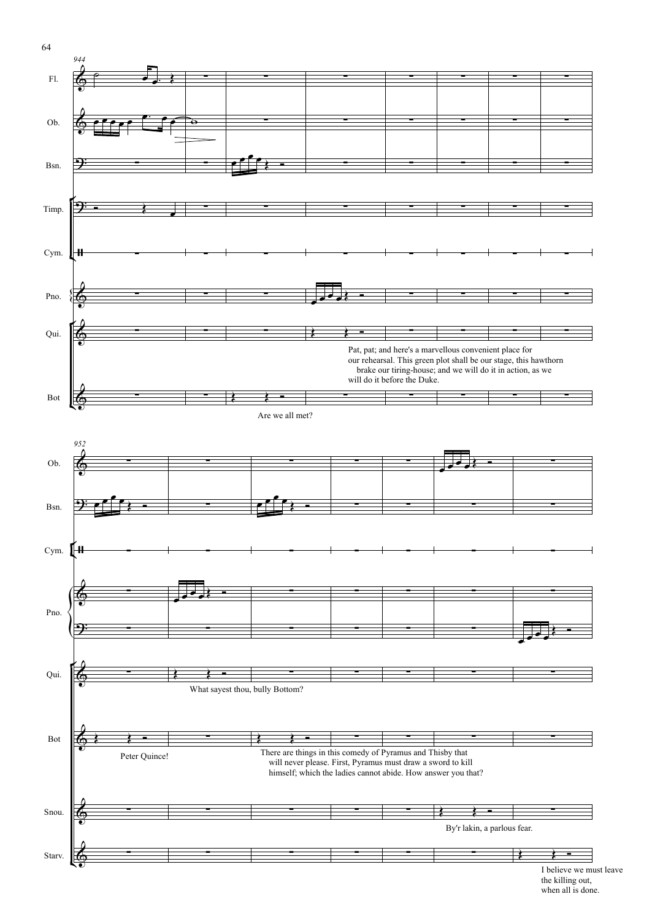

the killing out,<br>when all is done.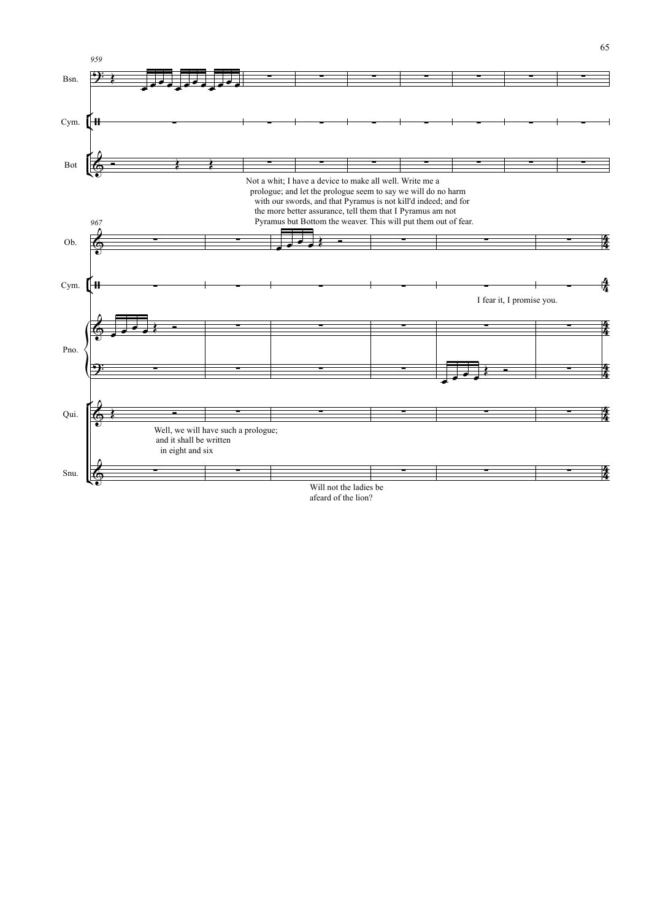

afeard of the lion?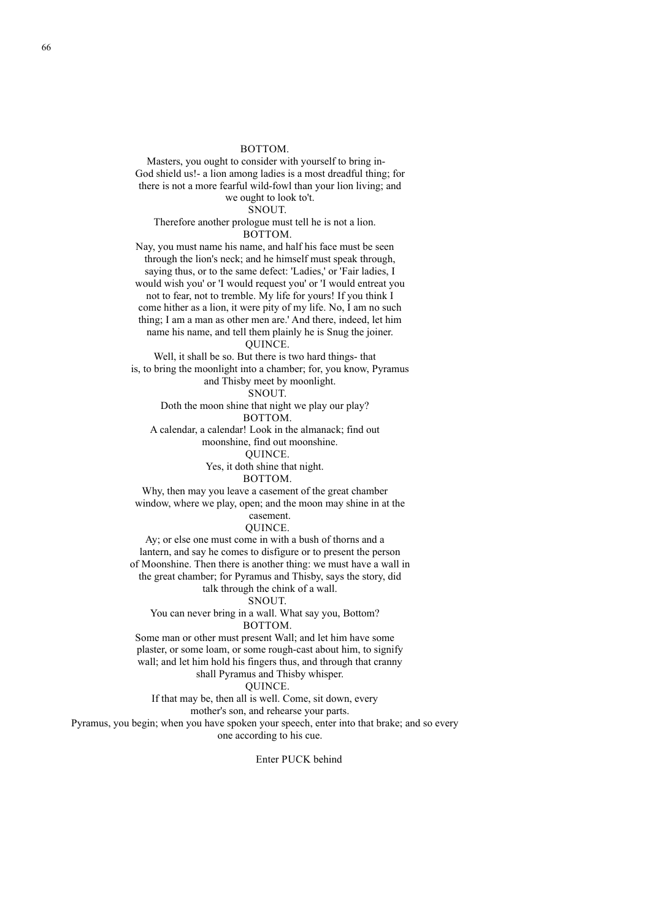### BOTTOM.

Masters, you ought to consider with yourself to bring in- God shield us!- a lion among ladies is a most dreadful thing; for there is not a more fearful wild-fowl than your lion living; and

we ought to look to't.<br>SNOUT.

Therefore another prologue must tell he is not a lion. BOTTOM.

Nay, you must name his name, and half his face must be seen through the lion's neck; and he himself must speak through, saying thus, or to the same defect: 'Ladies,' or 'Fair ladies, I would wish you' or 'I would request you' or 'I would entreat you not to fear, not to tremble. My life for yours! If you think I come hither as a lion, it were pity of my life.No, I am no such thing; I am a man as other men are.' And there, indeed, let him name his name, and tell them plainly he is Snug the joiner.

QUINCE.

Well, it shall be so. But there is two hard things- that is, to bring the moonlight into a chamber; for, you know, Pyramus and Thisby meet by moonlight.

SNOUT.

Doth the moon shine that night we play our play?

BOTTOM. A calendar, a calendar! Look in the almanack; find out

moonshine, find out moonshine.

QUINCE.

Yes, it doth shine that night.

BOTTOM.

Why, then may you leave a casement of the great chamber window, where we play, open; and the moon may shine in at the

# casement.

QUINCE.

Ay; or else one must come in with a bush of thorns and a lantern, and say he comes to disfigure or to present the person

of Moonshine. Then there is another thing: we must have a wall in

the great chamber; for Pyramus and Thisby, says the story, did

talk through the chink of a wall.

### SNOUT.

You can never bring in a wall. What say you, Bottom? BOTTOM.

Some man or other must present Wall; and let him have some plaster, or some loam, or some rough-cast about him, to signify wall; and let him hold his fingers thus, and through that cranny shall Pyramus and Thisby whisper.

#### QUINCE.

If that may be, then all is well. Come, sit down, every mother's son, and rehearse your parts.

Pyramus, you begin; when you have spoken your speech, enter into that brake; and so every one according to his cue.

Enter PUCK behind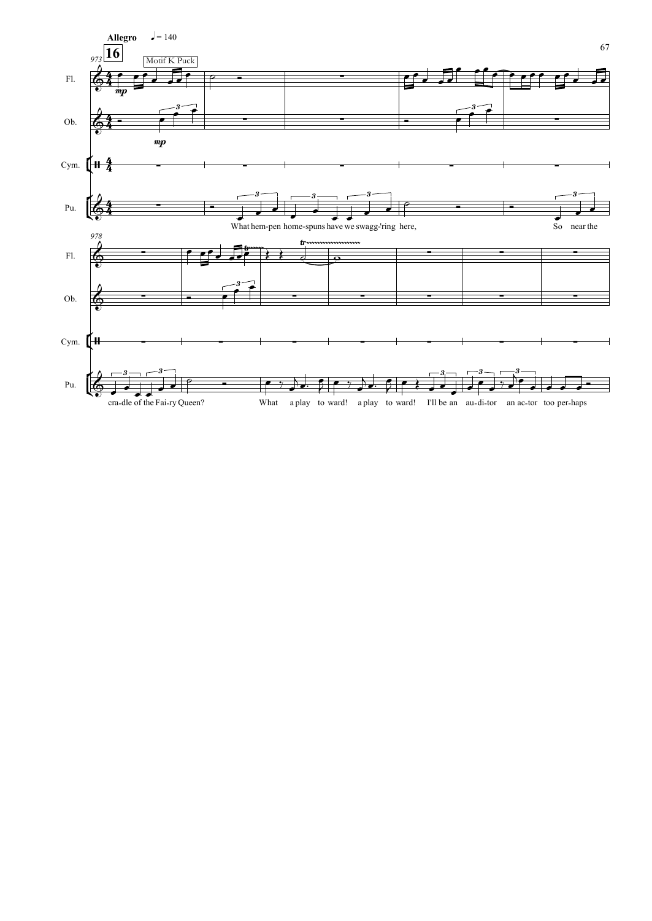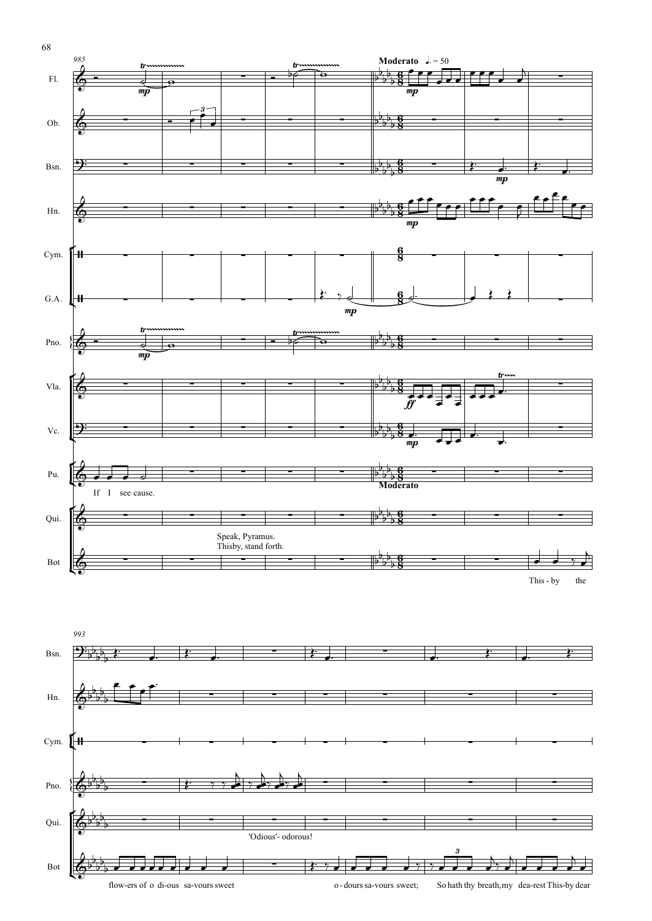

flow-ers of o di-ous sa-vours sweet o - dours sa-vours sweet; So hath thy breath,my dea-rest This-by dear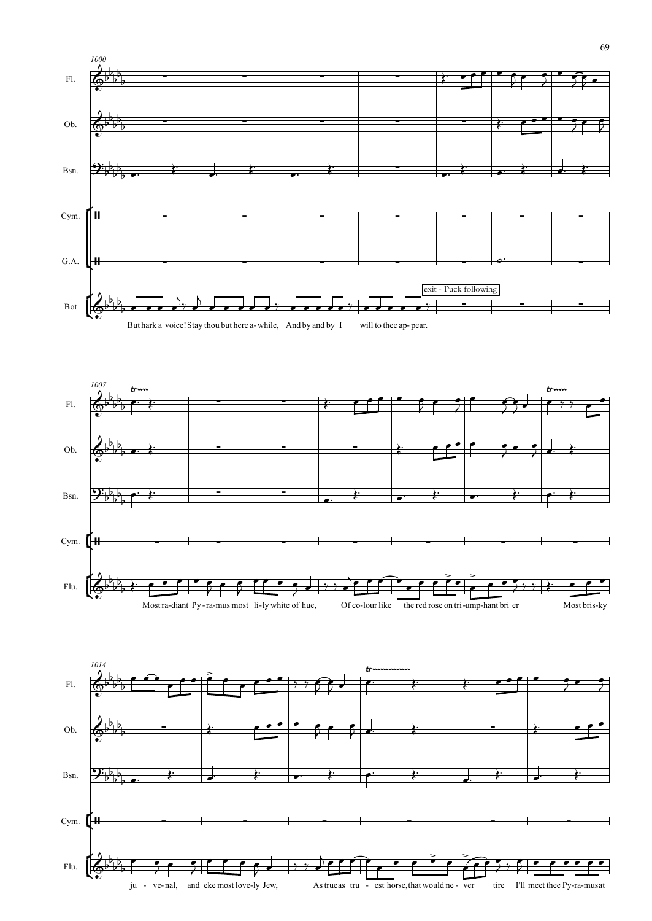



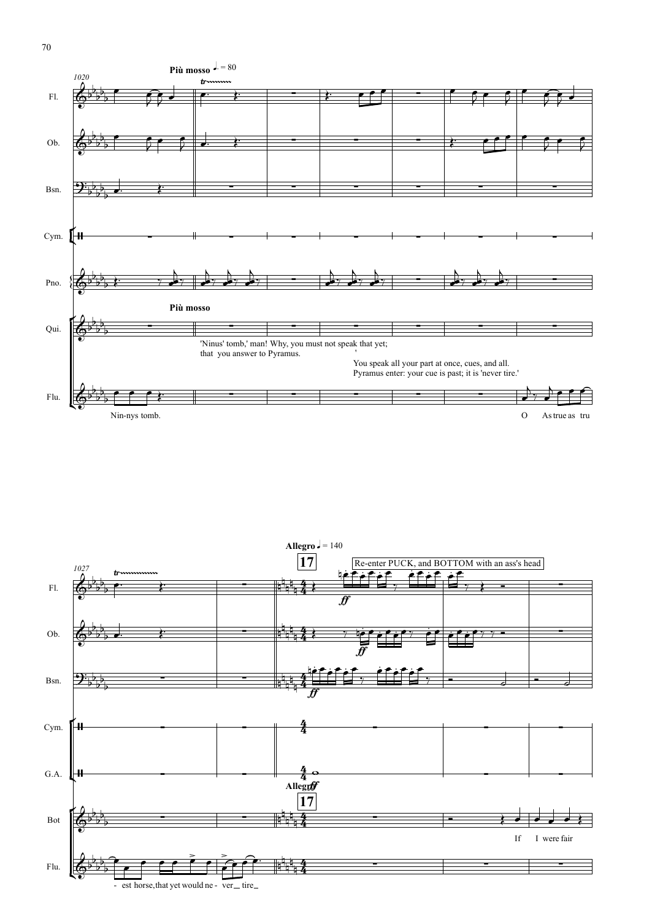

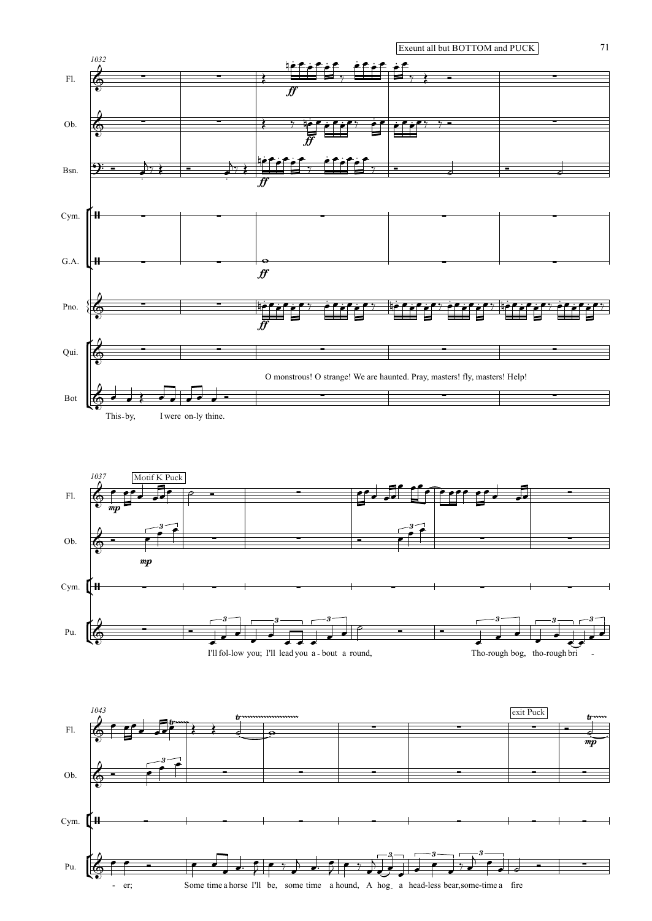**Exeunt all but BOTTOM and PUCK** 





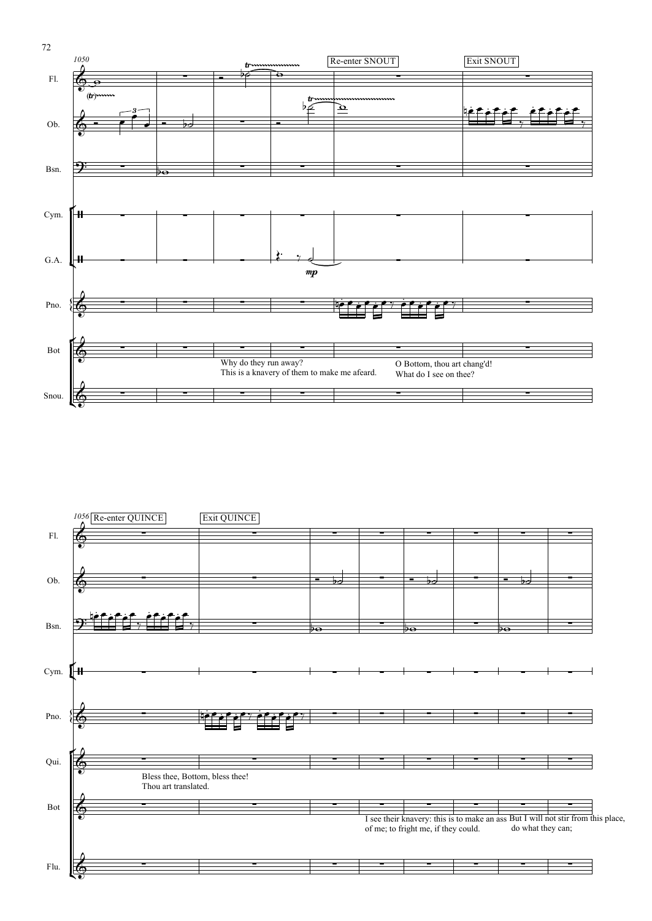

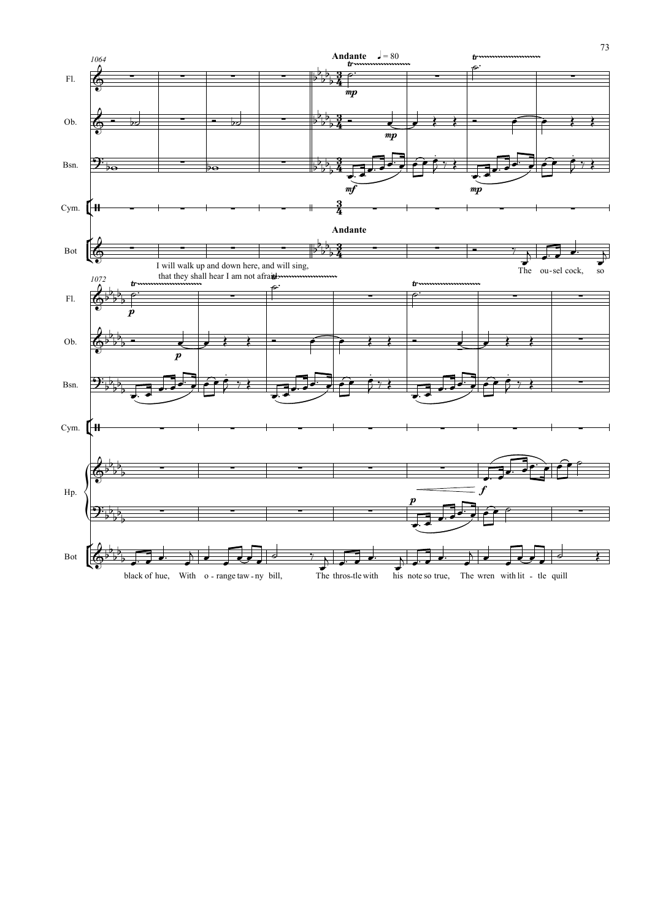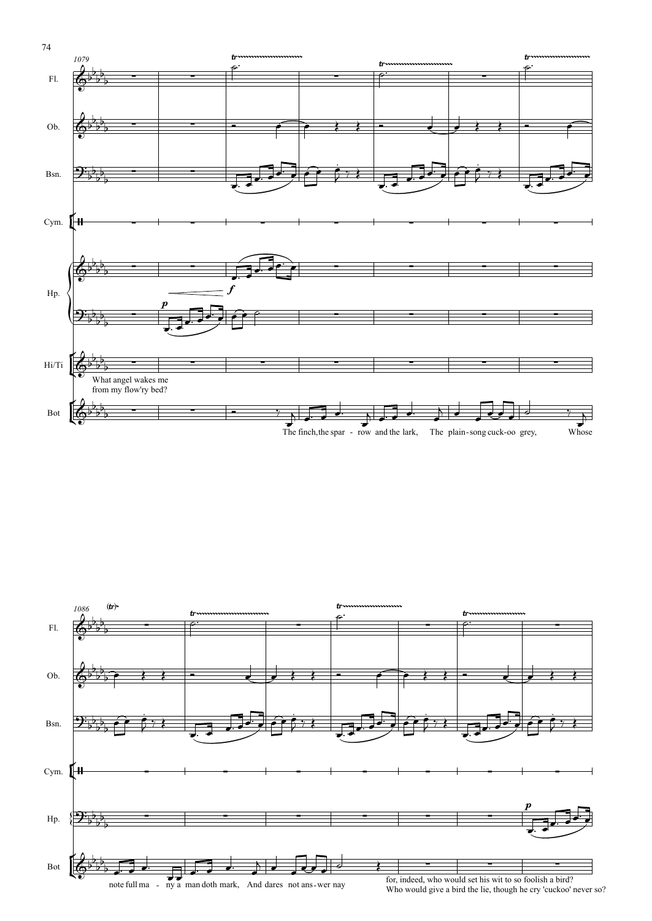

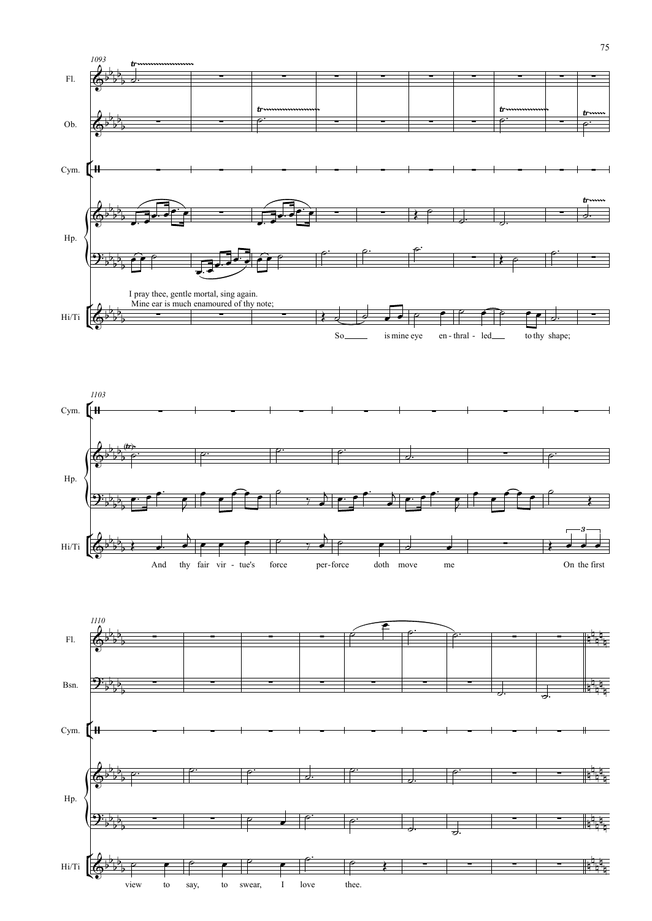



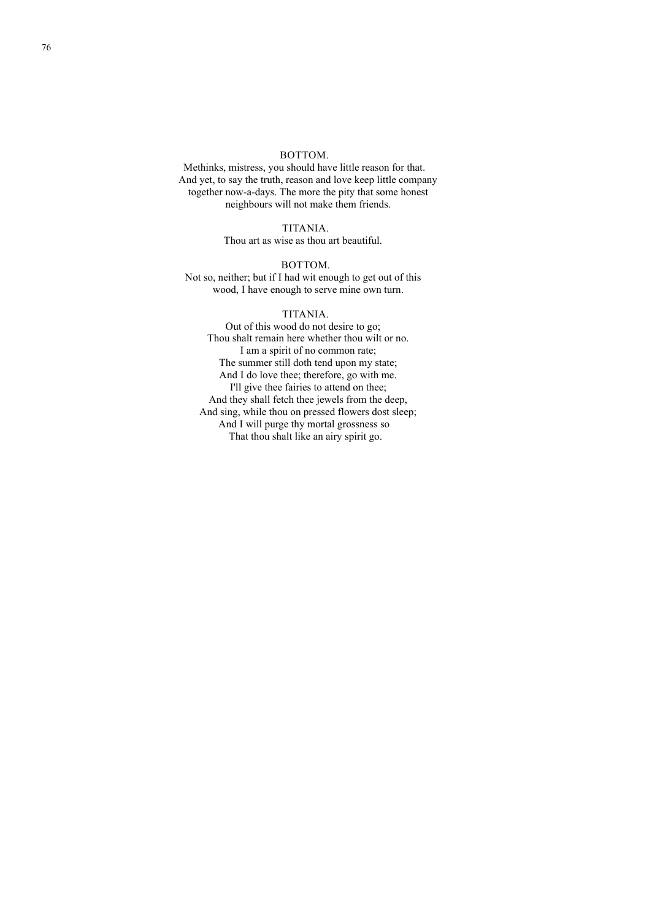# BOTTOM.

Methinks, mistress, you should have little reason for that. And yet, to say the truth, reason and love keep little company together now-a-days. The more the pity that some honest neighbours will not make them friends.

#### TITANIA.

Thou art as wise as thou art beautiful.

# BOTTOM.

Not so, neither; but if I had wit enough to get out of this wood, I have enough to serve mine own turn.

# TITANIA.

Out of this wood do not desire to go; Thou shalt remain here whether thou wilt or no. I am a spirit of no common rate; The summer still doth tend upon my state; And I do love thee; therefore, go with me. I'll give thee fairies to attend on thee; And they shall fetch thee jewels from the deep, And sing, while thou on pressed flowers dost sleep; And I will purge thy mortal grossness so That thou shalt like an airy spirit go.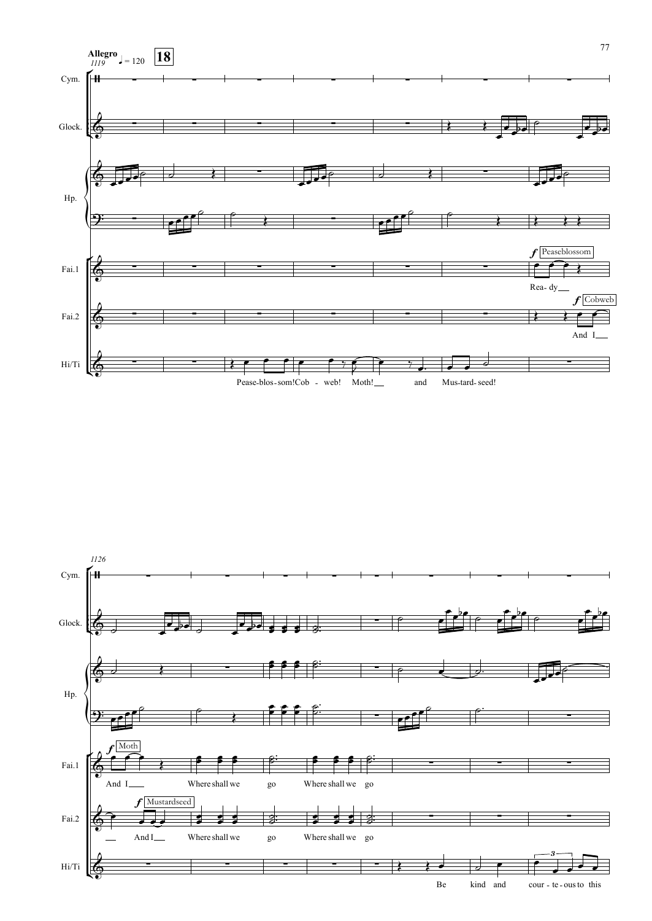

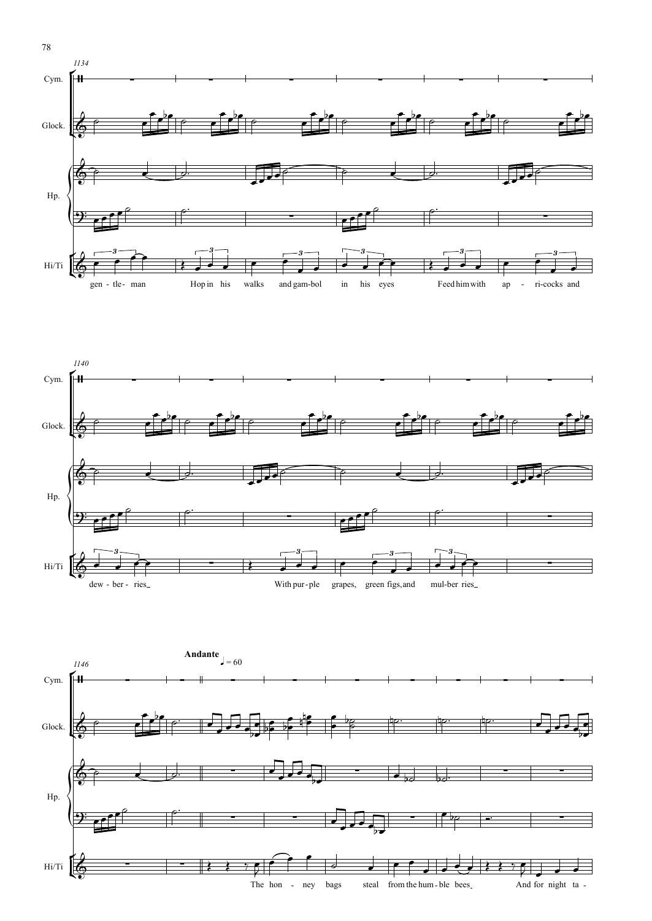





78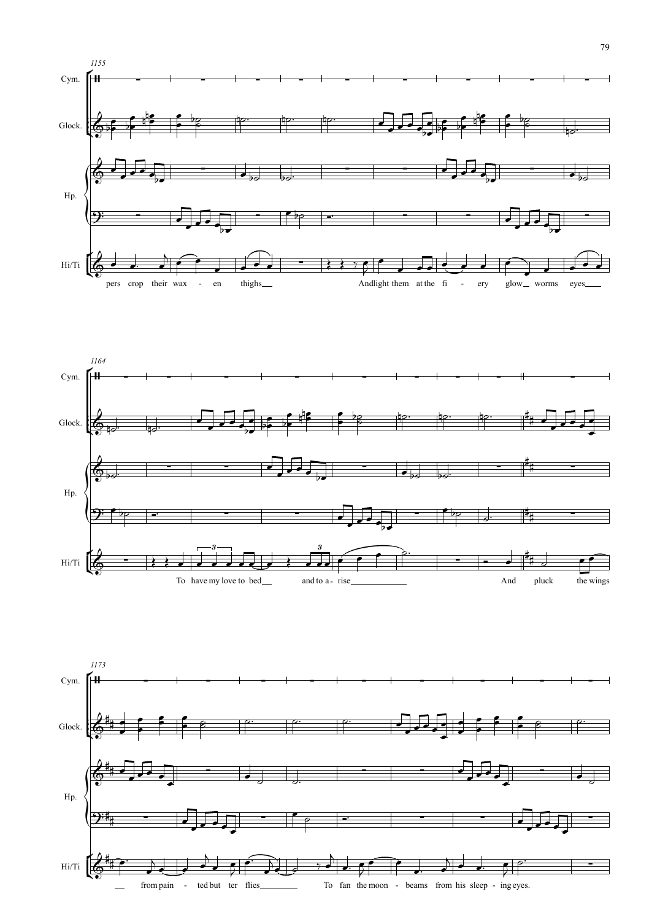



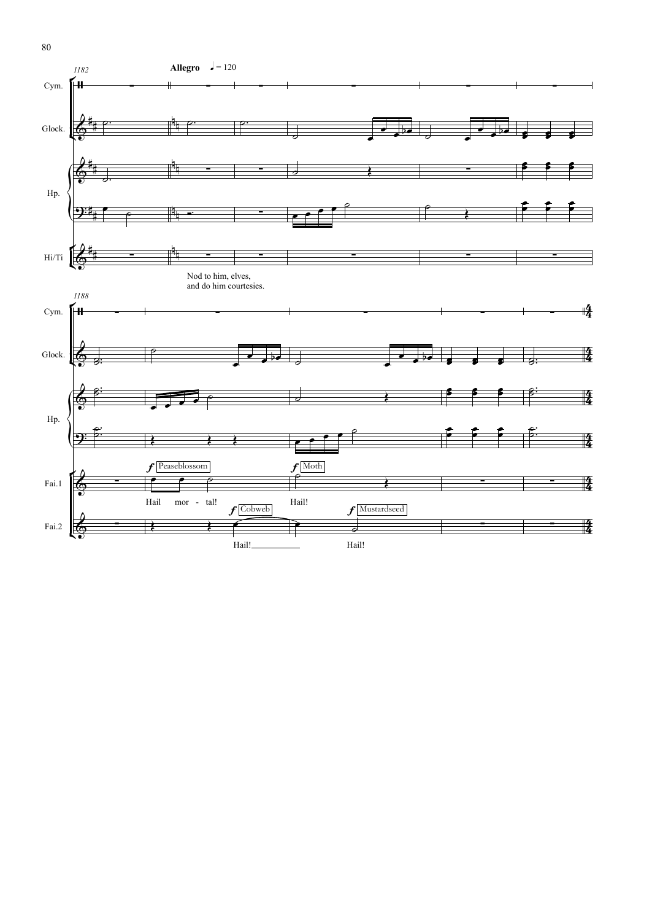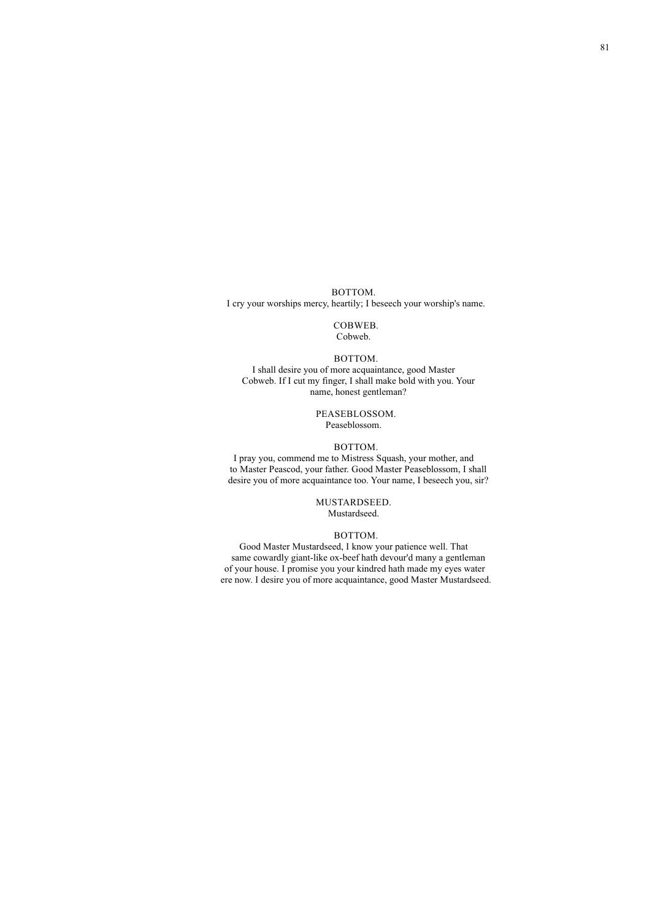BOTTOM. I cry your worships mercy, heartily; I beseech your worship's name.

### COBWEB. Cobweb.

#### BOTTOM.

I shall desire you of more acquaintance, good Master Cobweb. If I cut my finger, I shall make bold with you. Your name, honest gentleman?

> PEASEBLOSSOM. Peaseblossom.

#### BOTTOM.

I pray you, commend me to Mistress Squash, your mother, and to Master Peascod, your father. Good Master Peaseblossom, I shall desire you of more acquaintance too. Your name, I beseech you, sir?

#### MUSTARDSEED. Mustardseed.

# BOTTOM.

Good Master Mustardseed, I know your patience well. That same cowardly giant-like ox-beef hath devour'd many a gentleman of your house. I promise you your kindred hath made my eyes water ere now. I desire you of more acquaintance, good Master Mustardseed.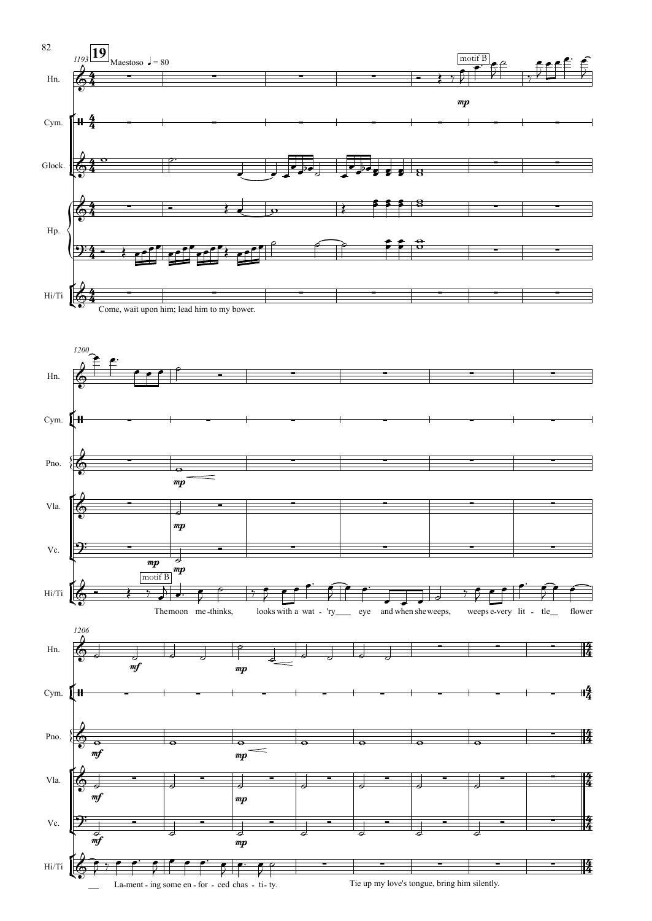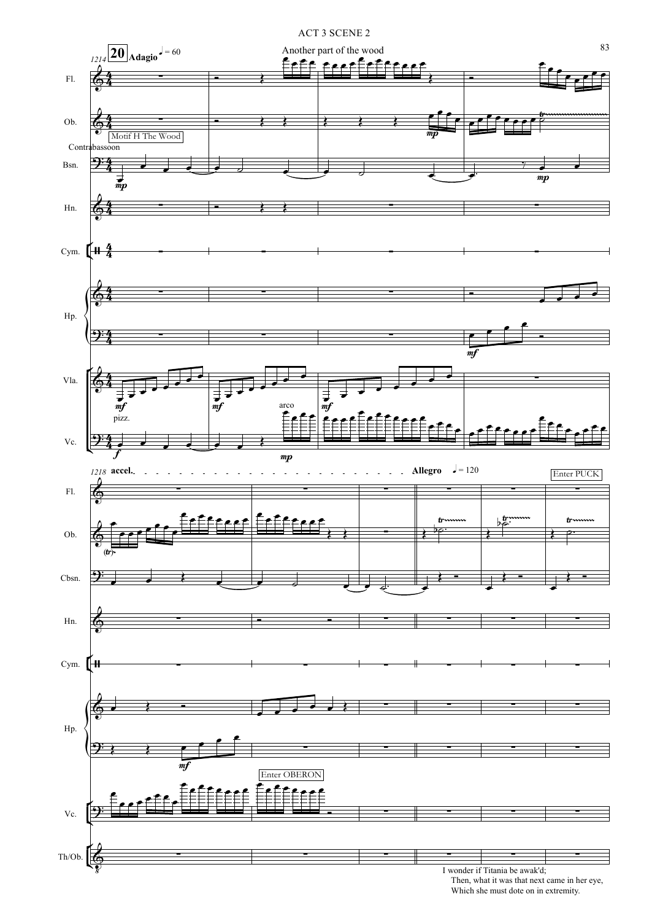



Then, what it was that next came in her eye, Which she must dote on in extremity.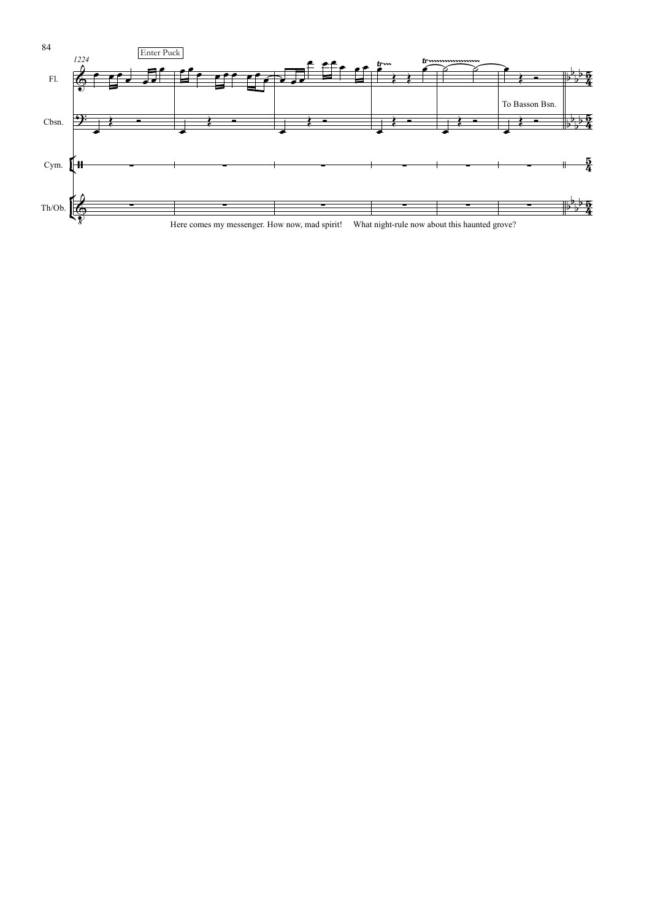

Here comes my messenger. How now, mad spirit! What night-rule now about this haunted grove?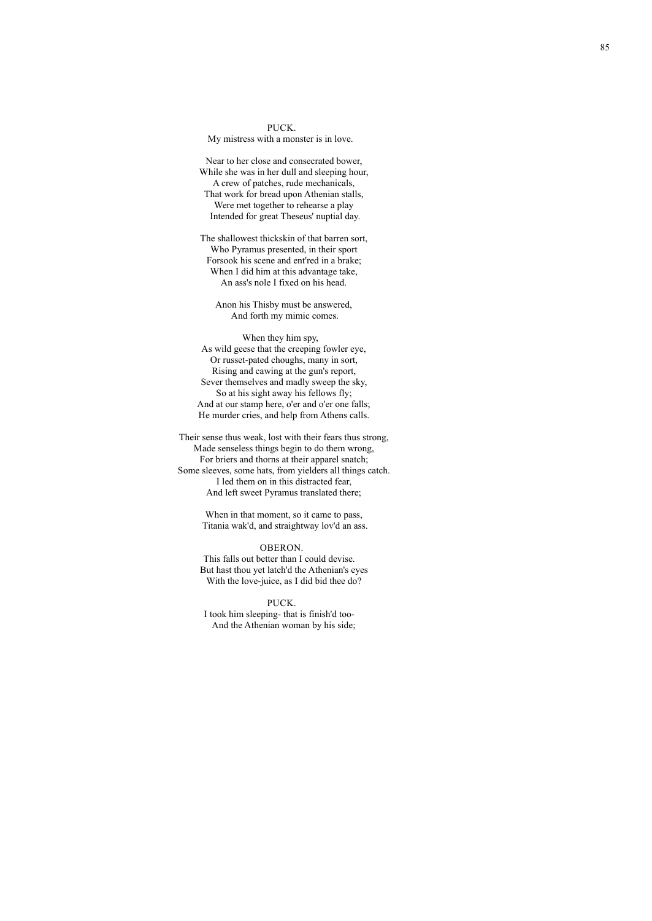PUCK. My mistress with a monster is in love.

Near to her close and consecrated bower, While she was in her dull and sleeping hour, A crew of patches, rude mechanicals, That work for bread upon Athenian stalls, Were met together to rehearse a play Intended for great Theseus' nuptial day.

The shallowest thickskin of that barren sort, Who Pyramus presented, in their sport Forsook his scene and ent'red in a brake; When I did him at this advantage take, An ass's nole I fixed on his head.

Anon his Thisby must be answered, And forth my mimic comes.

When they him spy, As wild geese that the creeping fowler eye, Or russet-pated choughs, many in sort, Rising and cawing at the gun's report, Sever themselves and madly sweep the sky, So at his sight away his fellows fly; And at our stamp here, o'er and o'er one falls; He murder cries, and help from Athens calls.

Their sense thus weak, lost with their fears thus strong, Made senseless things begin to do them wrong, For briers and thorns at their apparel snatch; Some sleeves, some hats, from yielders all things catch. I led them on in this distracted fear, And left sweet Pyramus translated there;

> When in that moment, so it came to pass, Titania wak'd, and straightway lov'd an ass.<br>OBERON.

This falls out better than I could devise. But hast thou yet latch'd the Athenian's eyes With the love-juice, as I did bid thee do?

PUCK. I took him sleeping- that is finish'd too- And the Athenian woman by his side;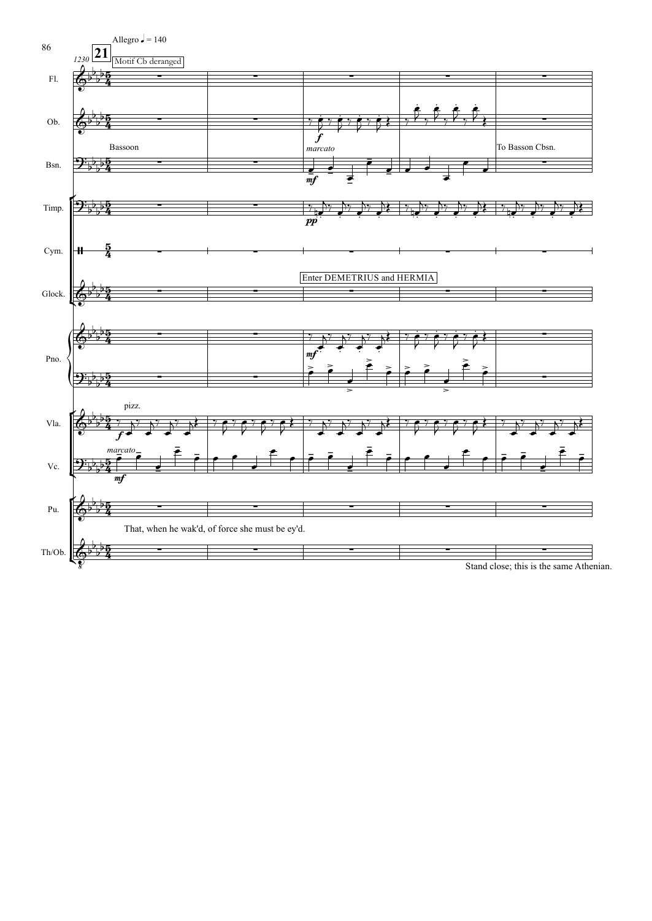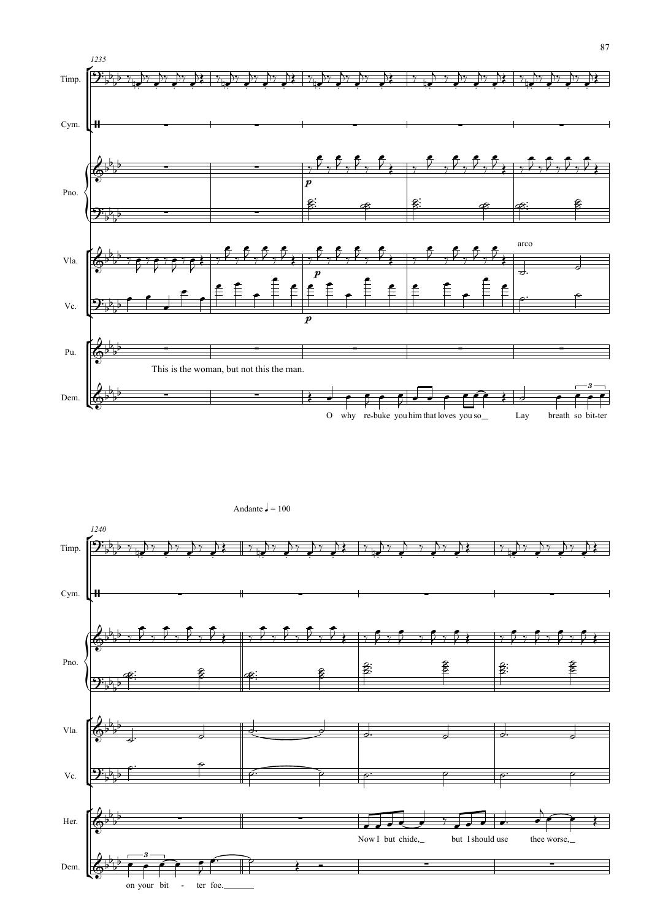

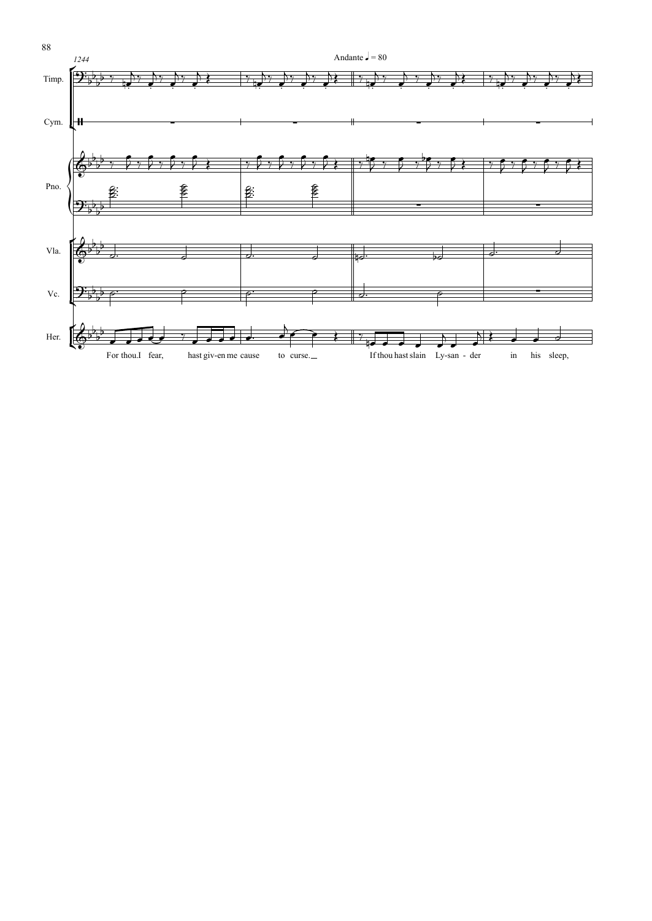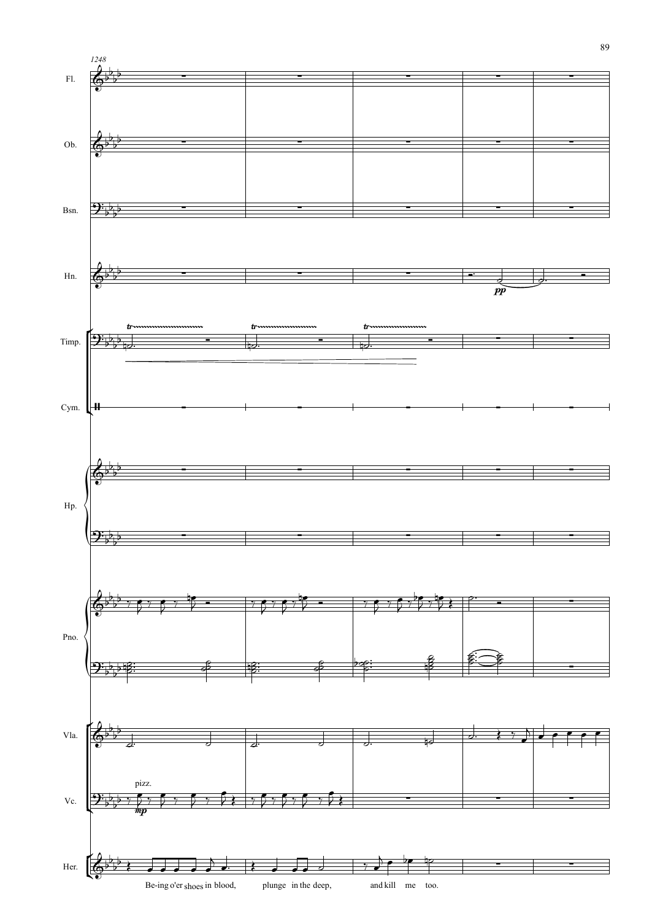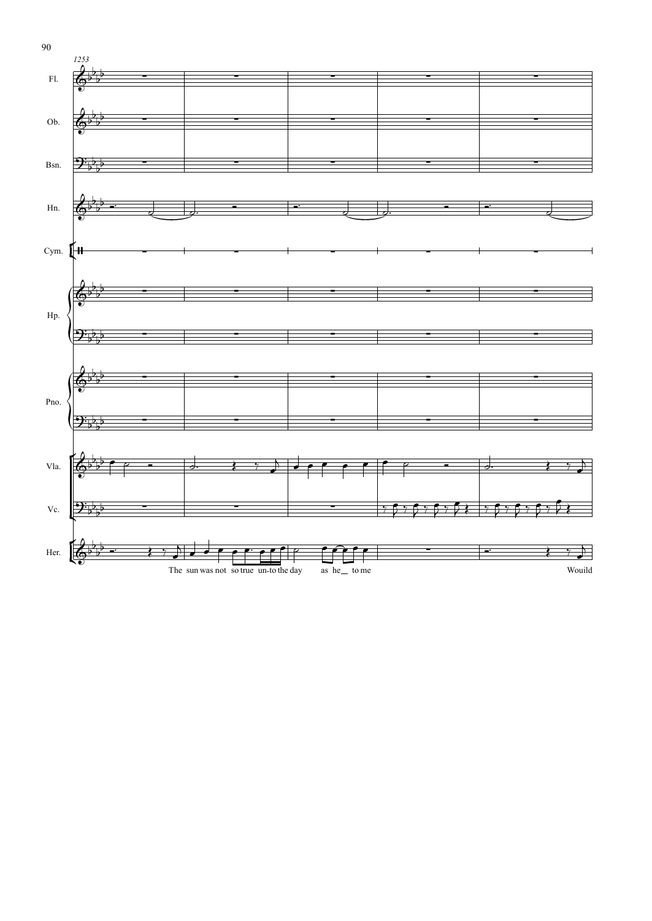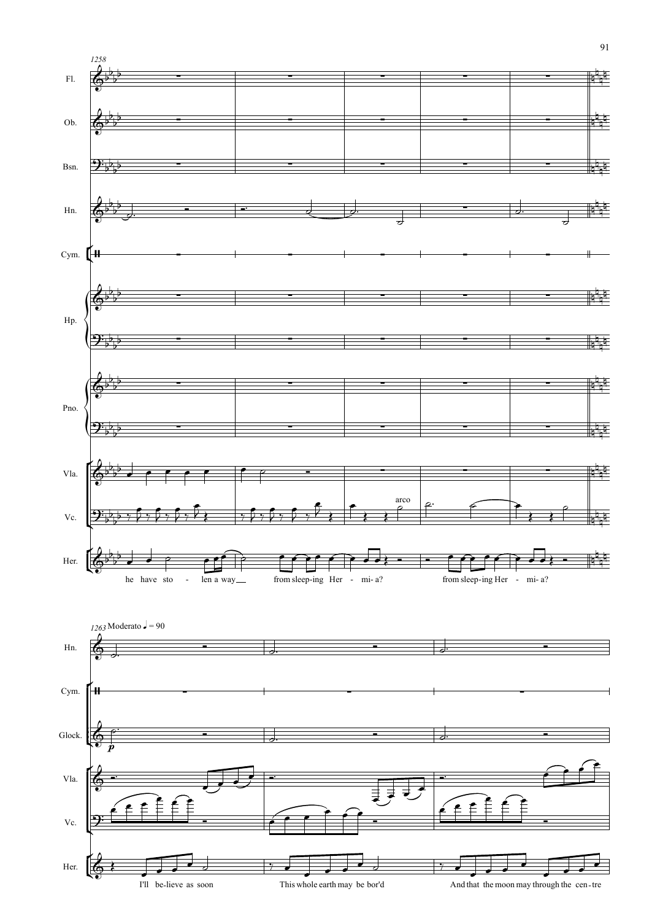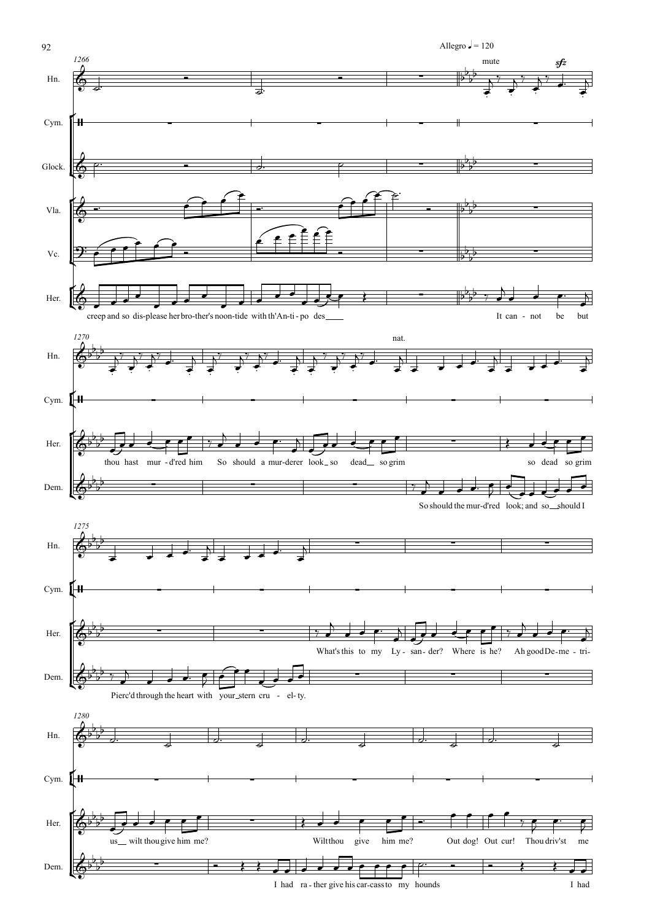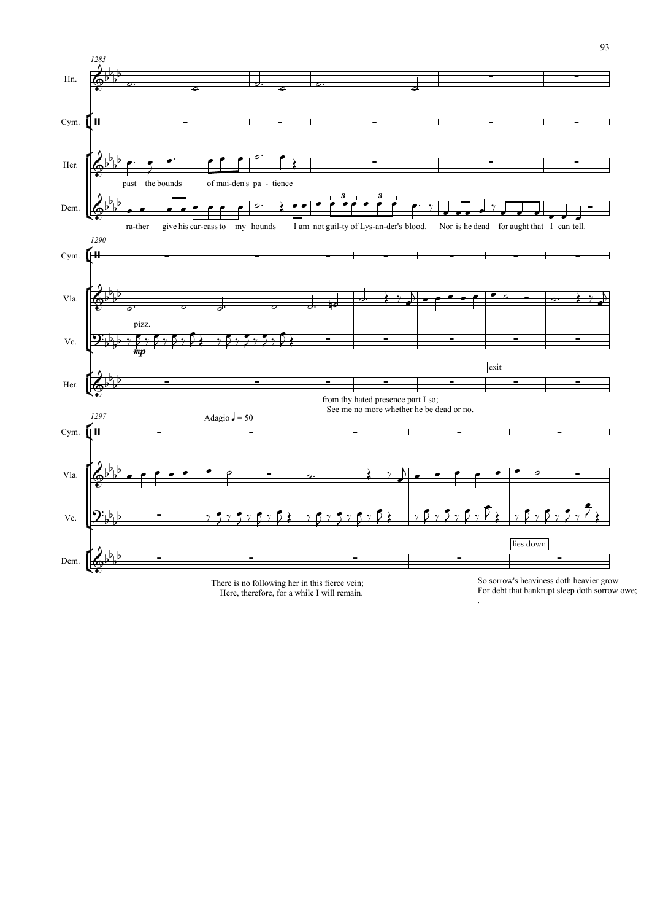

There is no following her in this fierce vein; Here, therefore, for a while I will remain.

So sorrow's heaviness doth heavier grow For debt that bankrupt sleep doth sorrow owe;

.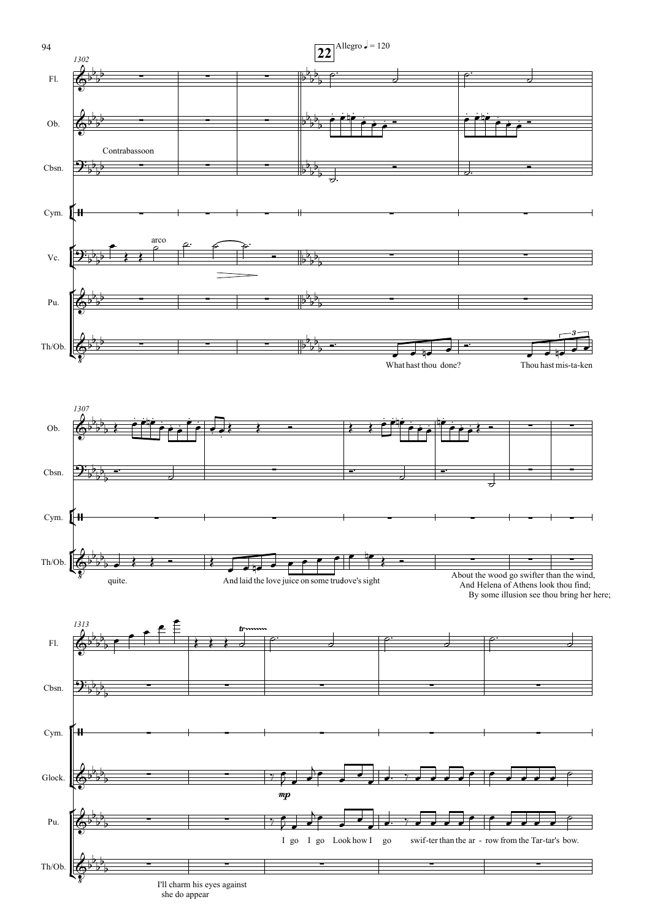

she do appear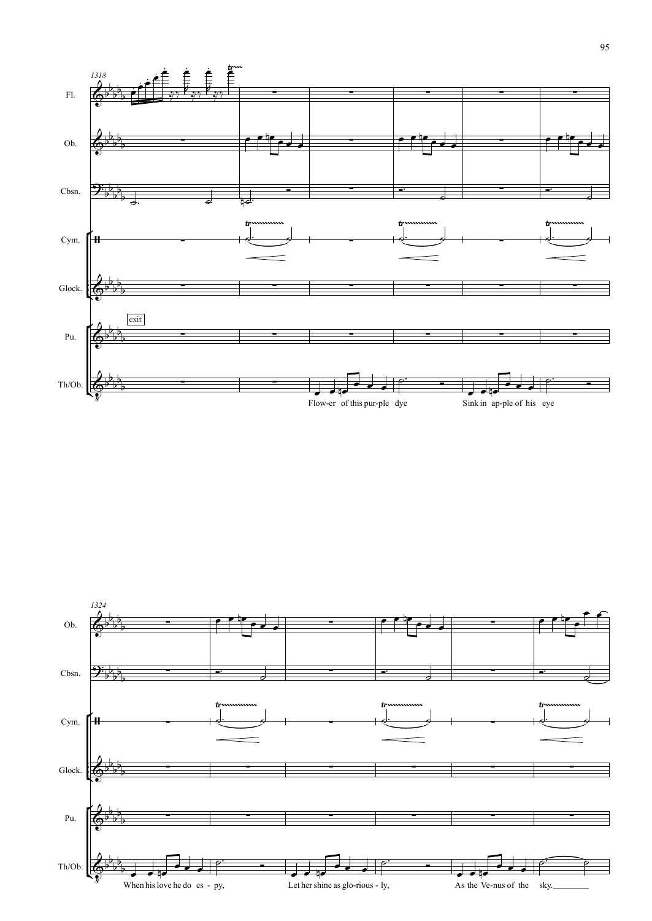

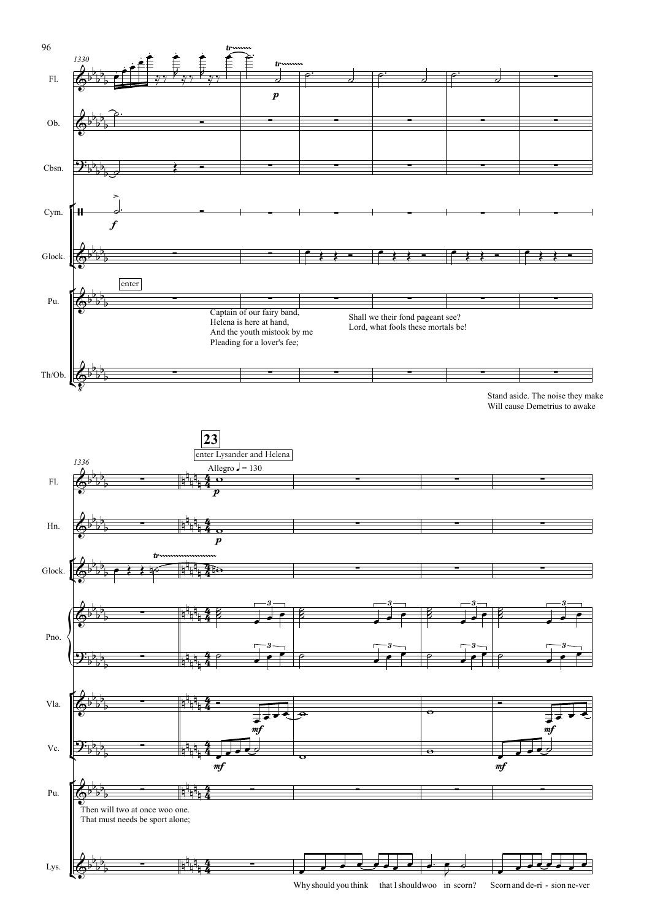

Why should you think that I should woo in scorn? Scorn and de-ri - sion ne-ver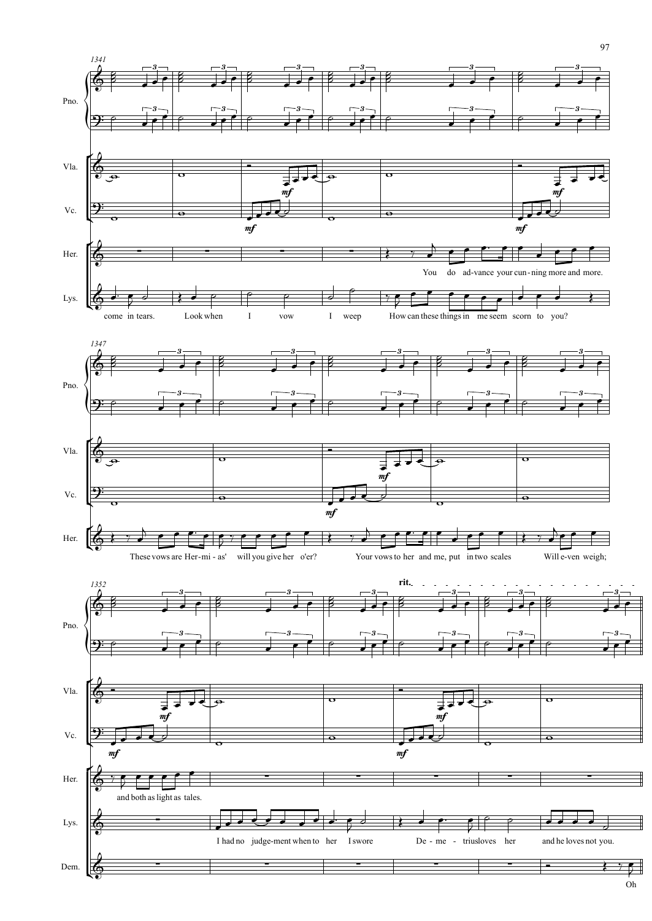

Oh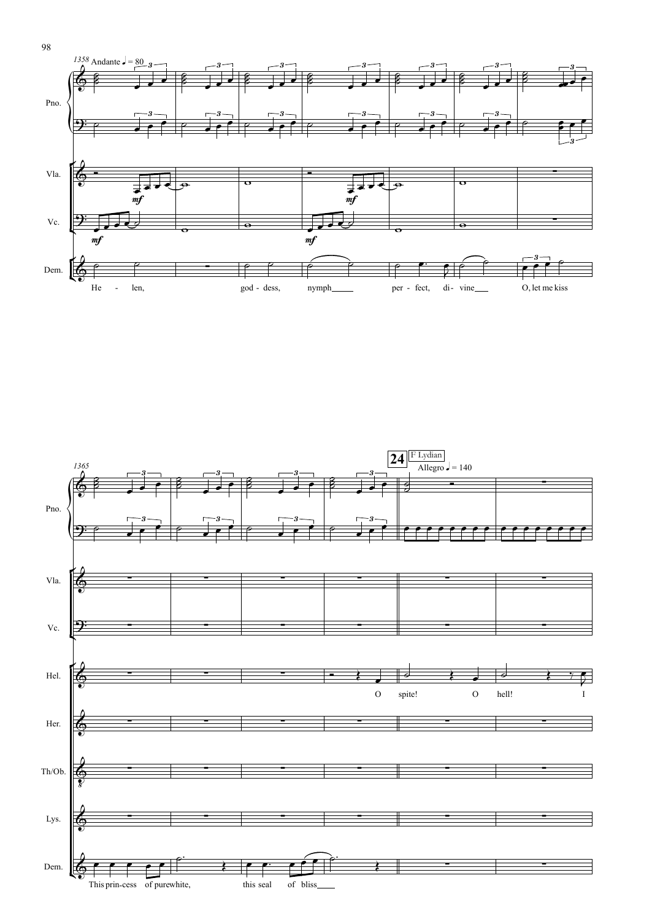



98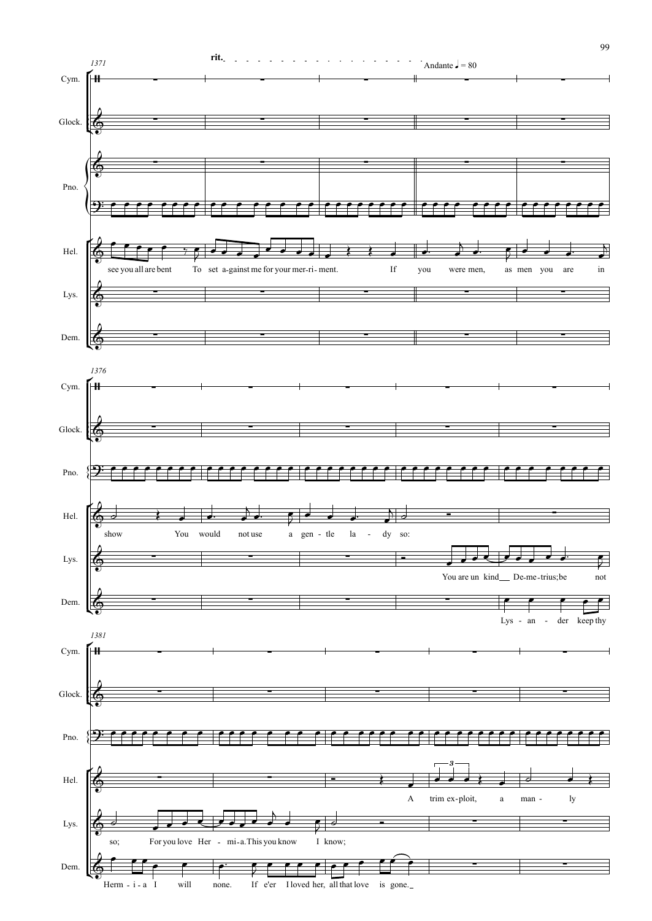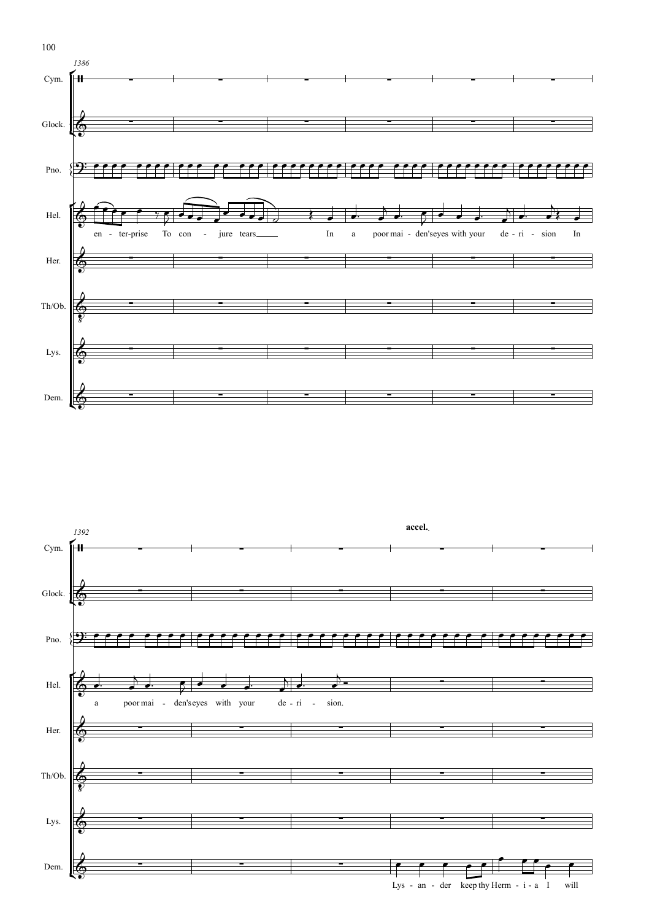

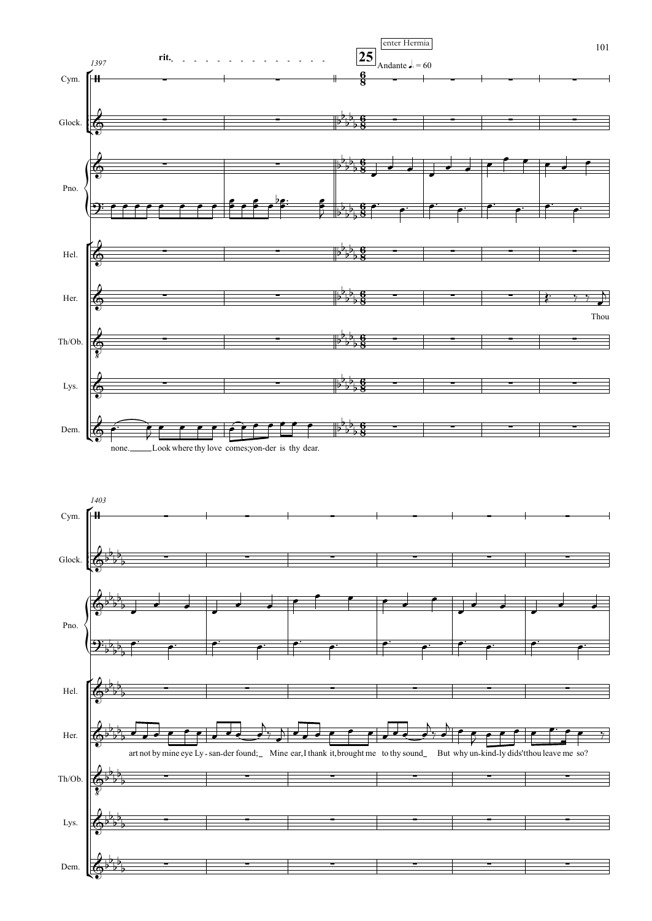

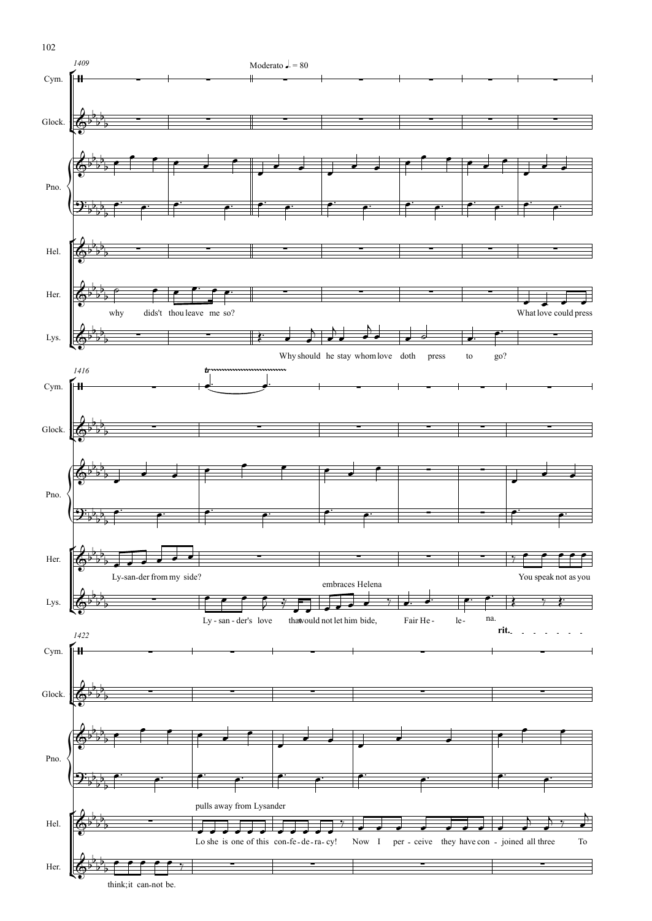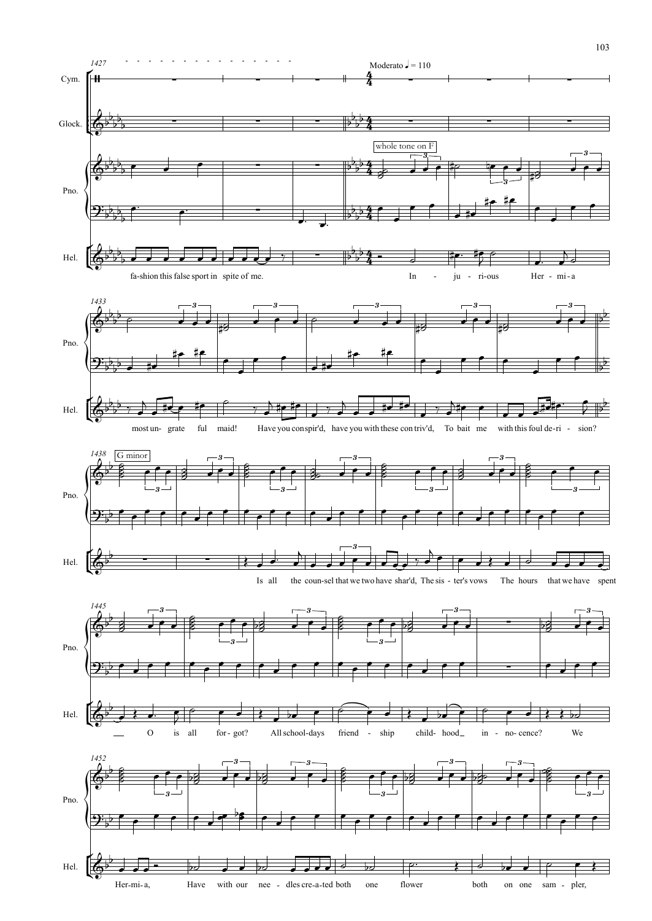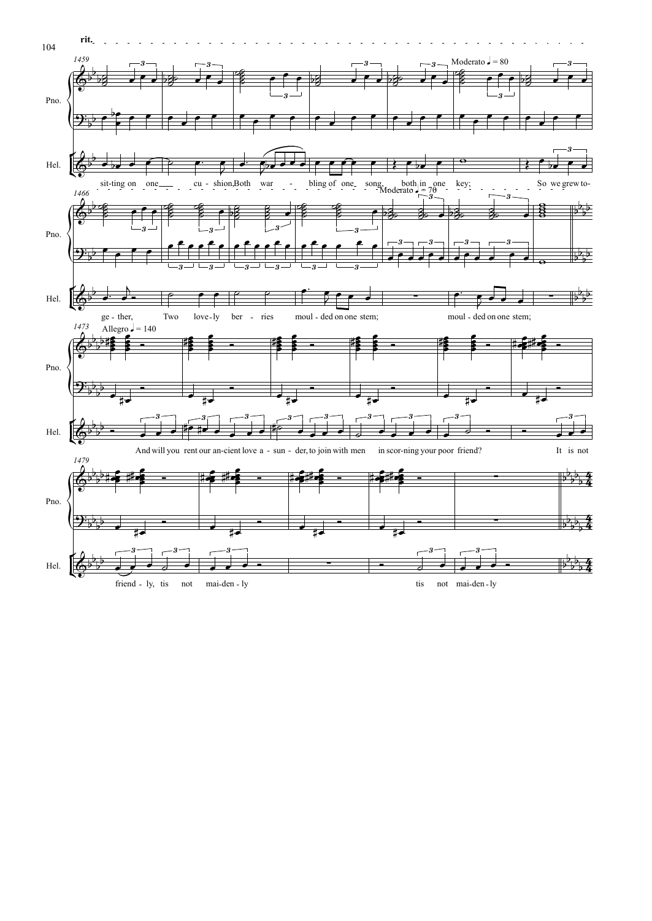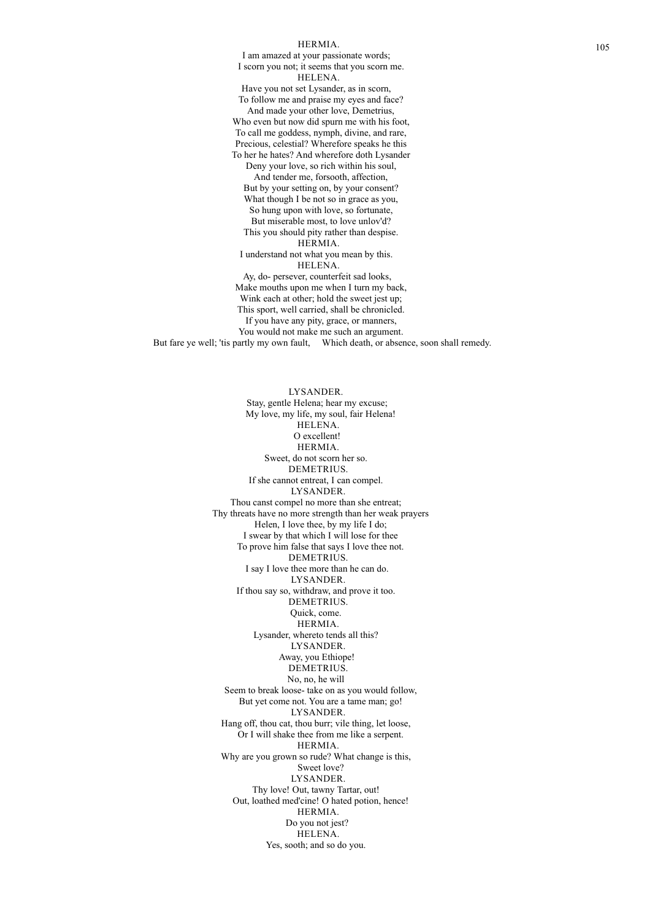#### **HERMIA**

I am amazed at your passionate words; I scorn you not; it seems that you scorn me. HELENA. Have you not set Lysander, as in scorn, To follow me and praise my eyes and face? And made your other love, Demetrius, Who even but now did spurn me with his foot, To call me goddess, nymph, divine, and rare, Precious, celestial? Wherefore speaks he this To her he hates? And wherefore doth Lysander Deny your love, so rich within his soul, And tender me, forsooth, affection, But by your setting on, by your consent? What though I be not so in grace as you, So hung upon with love, so fortunate, But miserable most, to love unlov'd? This you should pity rather than despise. HERMIA. I understand not what you mean by this. HELENA. Ay, do- persever, counterfeit sad looks, Make mouths upon me when I turn my back, Wink each at other; hold the sweet jest up; This sport, well carried, shall be chronicled. If you have any pity, grace, or manners, You would not make me such an argument. But fare ye well; 'tis partly my own fault, Which death, or absence, soon shall remedy.

> LYSANDER. Stay, gentle Helena; hear my excuse; My love, my life, my soul, fair Helena! HELENA. O excellent! HERMIA. Sweet, do not scorn her so. DEMETRIUS. If she cannot entreat, I can compel. LYSANDER. Thou canst compel no more than she entreat; Thy threats have no more strength than her weak prayers Helen, I love thee, by my life I do; I swear by that which I will lose for thee To prove him false that says I love thee not. DEMETRIUS. I say I love thee more than he can do. LYSANDER. If thou say so, withdraw, and prove it too. DEMETRIUS. Quick, come. HERMIA. Lysander, whereto tends all this? LYSANDER. Away, you Ethiope! DEMETRIUS. No, no, he will Seem to break loose- take on as you would follow, But yet come not. You are a tame man; go! LYSANDER. Hang off, thou cat, thou burr; vile thing, let loose, Or I will shake thee from me like a serpent. HERMIA. Why are you grown so rude? What change is this, Sweet love? LYSANDER. Thy love! Out, tawny Tartar, out! Out, loathed med'cine! O hated potion, hence! HERMIA. Do you not jest? HELENA. Yes, sooth; and so do you.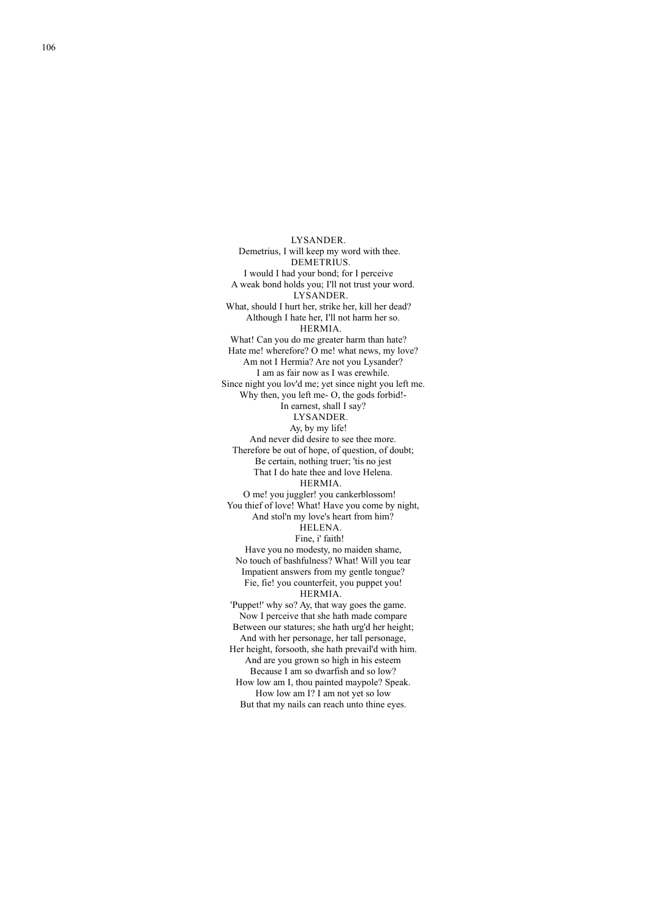LYSANDER. Demetrius, I will keep my word with thee. DEMETRIUS. I would I had your bond; for I perceive A weak bond holds you; I'll not trust your word. LYSANDER. What, should I hurt her, strike her, kill her dead? Although I hate her, I'll not harm her so. HERMIA. What! Can you do me greater harm than hate? Hate me! wherefore? O me! what news, my love? Am not I Hermia? Are not you Lysander? I am as fair now as I was erewhile. Since night you lov'd me; yet since night you left me. Why then, you left me- O, the gods forbid!-In earnest, shall I say? LYSANDER. Ay, by my life! And never did desire to see thee more. Therefore be out of hope, of question, of doubt; Be certain, nothing truer; 'tis no jest That I do hate thee and love Helena. HERMIA. O me! you juggler! you cankerblossom! You thief of love! What! Have you come by night, And stol'n my love's heart from him? HELENA. Fine, i' faith! Have you no modesty, no maiden shame, No touch of bashfulness? What! Will you tear Impatient answers from my gentle tongue? Fie, fie! you counterfeit, you puppet you! HERMIA. 'Puppet!' why so? Ay, that way goes the game. Now I perceive that she hath made compare Between our statures; she hath urg'd her height; And with her personage, her tall personage, Her height, forsooth, she hath prevail'd with him. And are you grown so high in his esteem Because I am so dwarfish and so low? How low am I, thou painted maypole? Speak. How low am I? I am not yet so low But that my nails can reach unto thine eyes.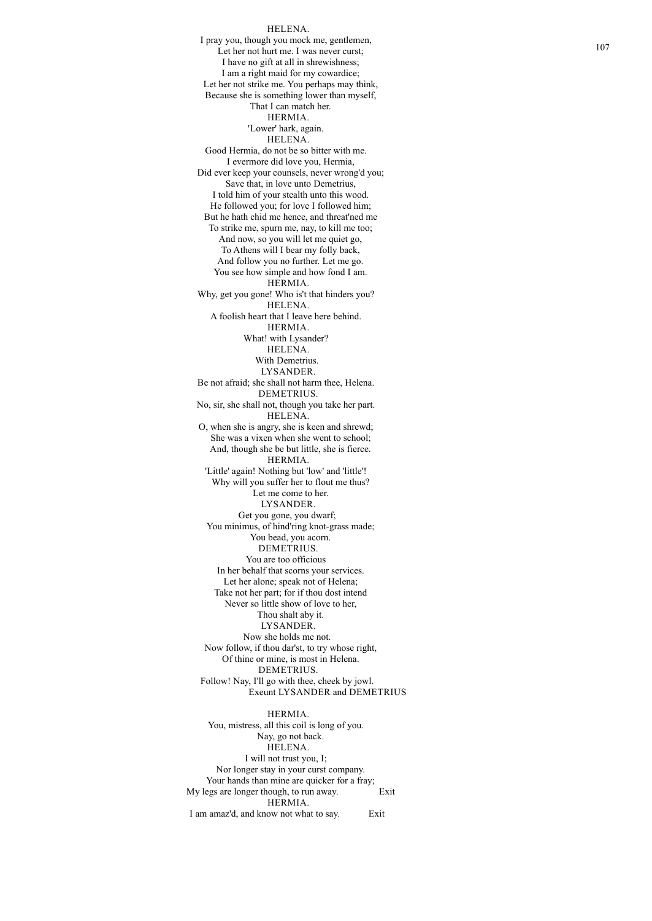HELENA.<br>
I pray you, though you mock me, gentlemen,<br>
Let her not hurt me. I was never curst; I have no gift at all in shrewishness; I am a right maid for my cowardice; Let her not strike me. You perhaps may think, Because she is something lower than myself, That I can match her.<br>HERMIA. 'Lower' hark, again. HELENA. Good Hermia, do not be so bitter with me.<br>I evermore did love you, Hermia, Did ever keep your counsels, never wrong'd you; Save that, in love unto Demetrius, I told him of your stealth unto this wood. He followed you; for love I followed him; But he hath chid me hence, and threat'ned me To strike me, spurn me, nay, to kill me too; And now, so you will let me quiet go, To Athens will I bear my folly back, And follow you no further. Let me go. You see how simple and how fond I am. HERMIA. Why, get you gone! Who is't that hinders you? HELENA. A foolish heart that I leave here behind. HERMIA. What! with Lysander? HELENA. With Demetrius. LYSANDER. Be not afraid; she shall not harm thee, Helena. DEMETRIUS. No, sir, she shall not, though you take her part. HELENA. O, when she is angry, she is keen and shrewd; She was a vixen when she went to school; And, though she be but little, she is fierce. HERMIA. 'Little' again! Nothing but 'low' and 'little'! Why will you suffer her to flout me thus? Let me come to her. LYSANDER. Get you gone, you dwarf; You minimus, of hind'ring knot-grass made; You bead, you acorn. DEMETRIUS. You are too officious In her behalf that scorns your services. Let her alone; speak not of Helena; Take not her part; for if thou dost intend Never so little show of love to her,<br>Thou shalt aby it. LYSANDER. Now she holds me not. Now follow, if thou dar'st, to try whose right, Of thine or mine, is most in Helena. DEMETRIUS. Follow! Nay, I'll go with thee, cheek by jowl. Exeunt LYSANDER and DEMETRIUS HERMIA. You, mistress, all this coil is long of you. Nay, go not back. HELENA. I will not trust you, I; Nor longer stay in your curst company. Your hands than mine are quicker for a fray; My legs are longer though, to run away. Exit HERMIA.

I am amaz'd, and know not what to say. Exit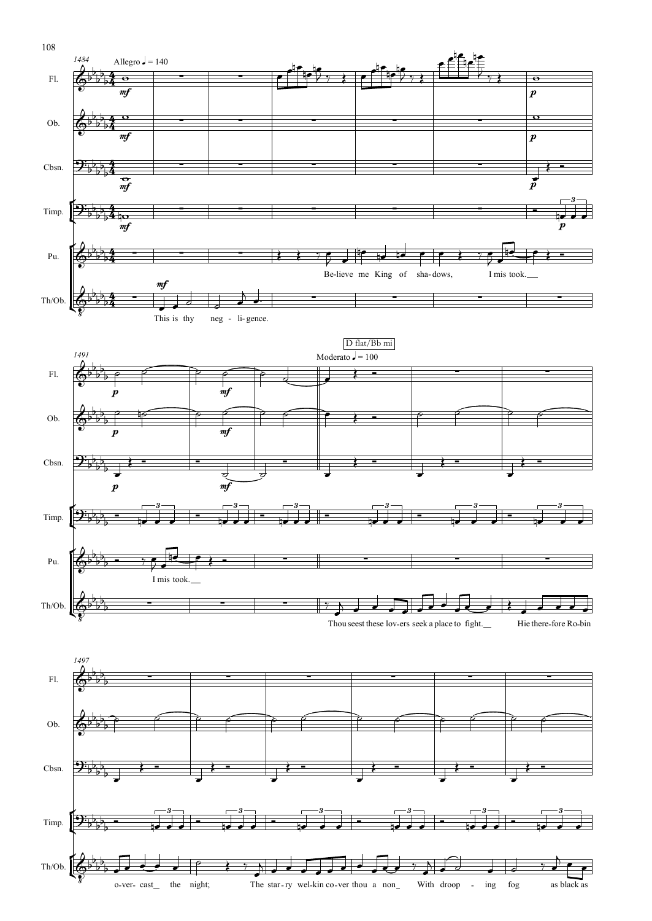

o-ver- cast\_ the night; The star-ry wel-kin co-ver thou a non\_ With droop - ing fog as black as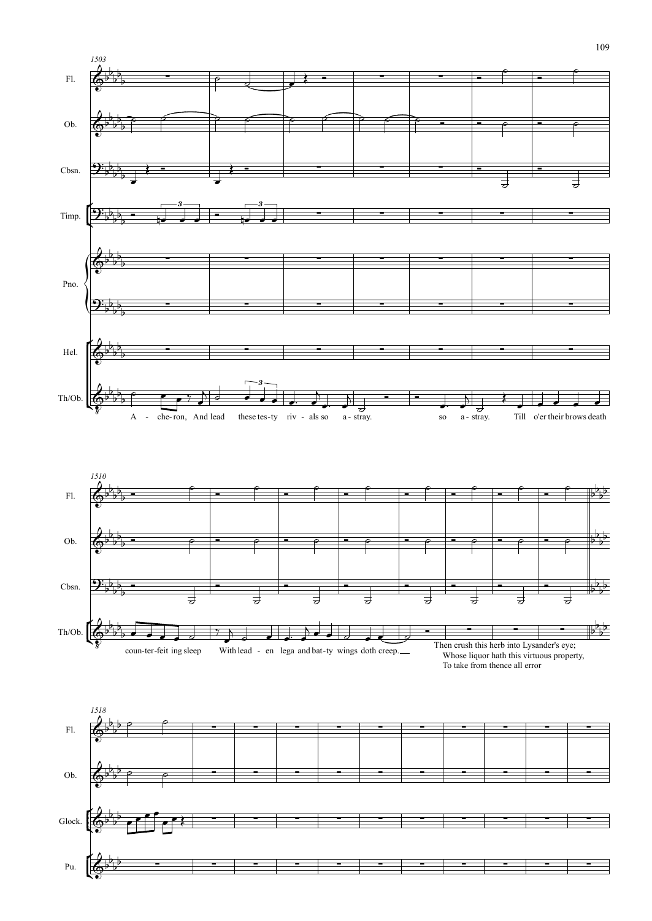

 $\left(\frac{\phi^p}{p} \right)^p$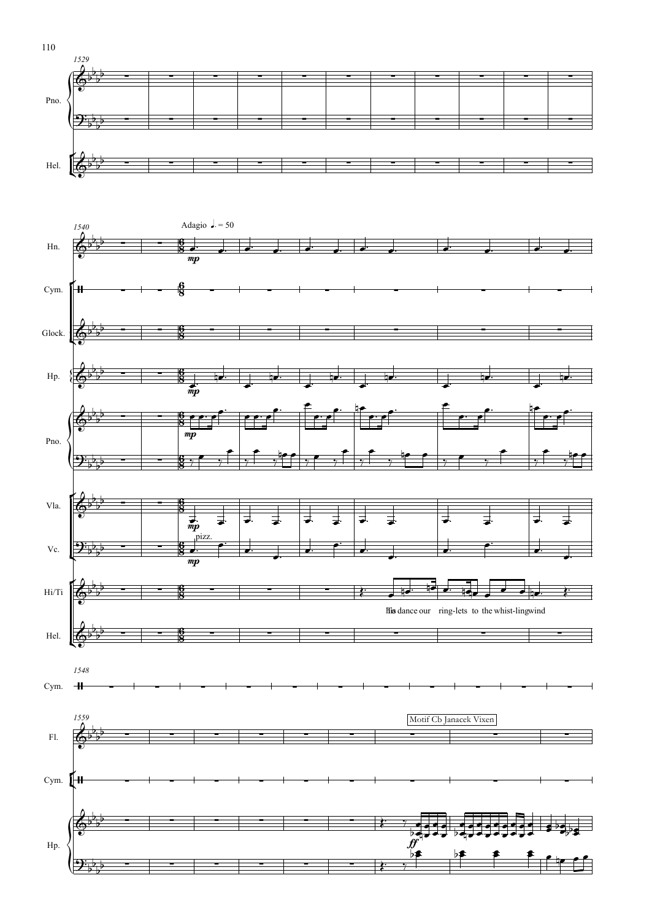

110